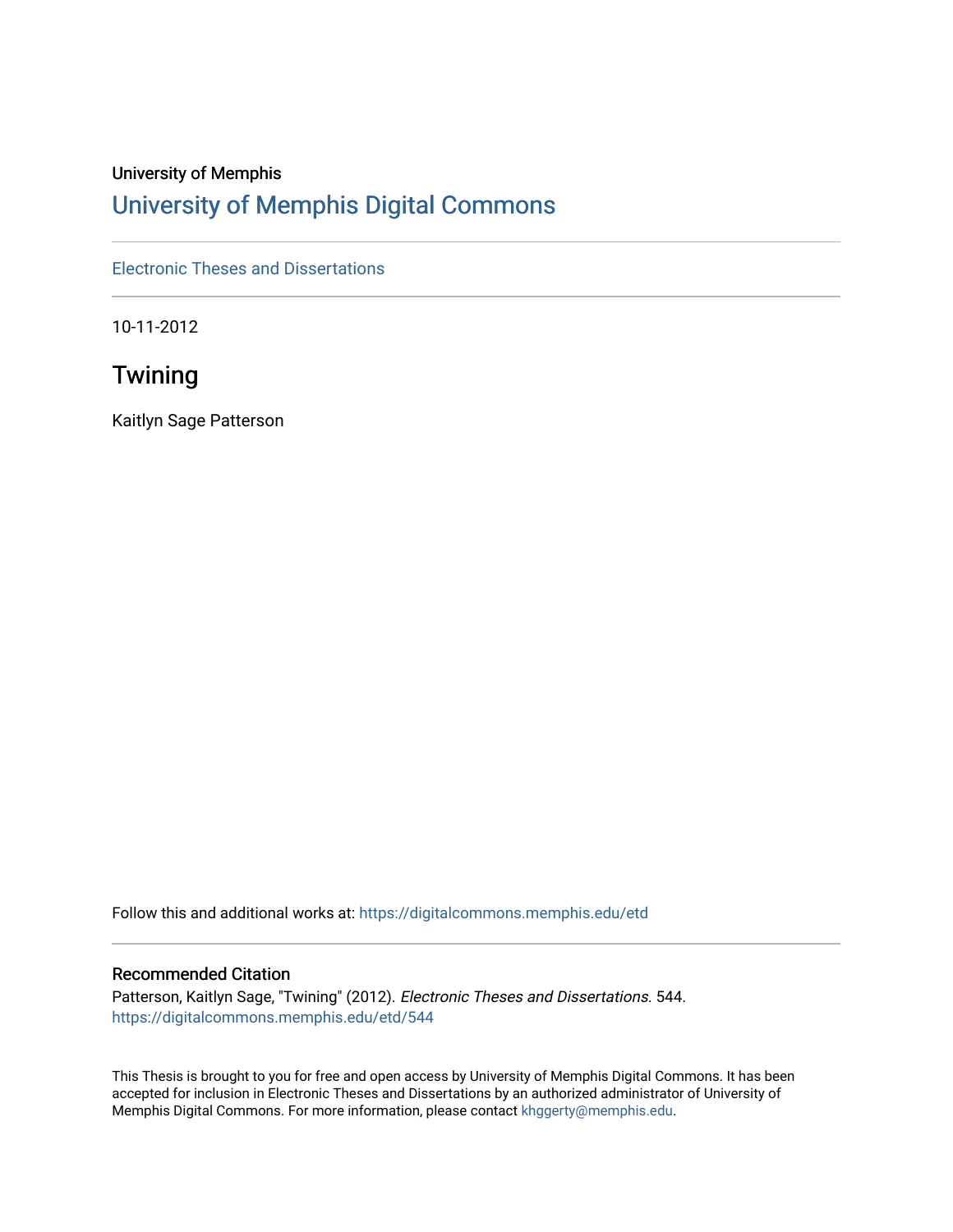# University of Memphis [University of Memphis Digital Commons](https://digitalcommons.memphis.edu/)

[Electronic Theses and Dissertations](https://digitalcommons.memphis.edu/etd)

10-11-2012

# **Twining**

Kaitlyn Sage Patterson

Follow this and additional works at: [https://digitalcommons.memphis.edu/etd](https://digitalcommons.memphis.edu/etd?utm_source=digitalcommons.memphis.edu%2Fetd%2F544&utm_medium=PDF&utm_campaign=PDFCoverPages) 

#### Recommended Citation

Patterson, Kaitlyn Sage, "Twining" (2012). Electronic Theses and Dissertations. 544. [https://digitalcommons.memphis.edu/etd/544](https://digitalcommons.memphis.edu/etd/544?utm_source=digitalcommons.memphis.edu%2Fetd%2F544&utm_medium=PDF&utm_campaign=PDFCoverPages) 

This Thesis is brought to you for free and open access by University of Memphis Digital Commons. It has been accepted for inclusion in Electronic Theses and Dissertations by an authorized administrator of University of Memphis Digital Commons. For more information, please contact [khggerty@memphis.edu.](mailto:khggerty@memphis.edu)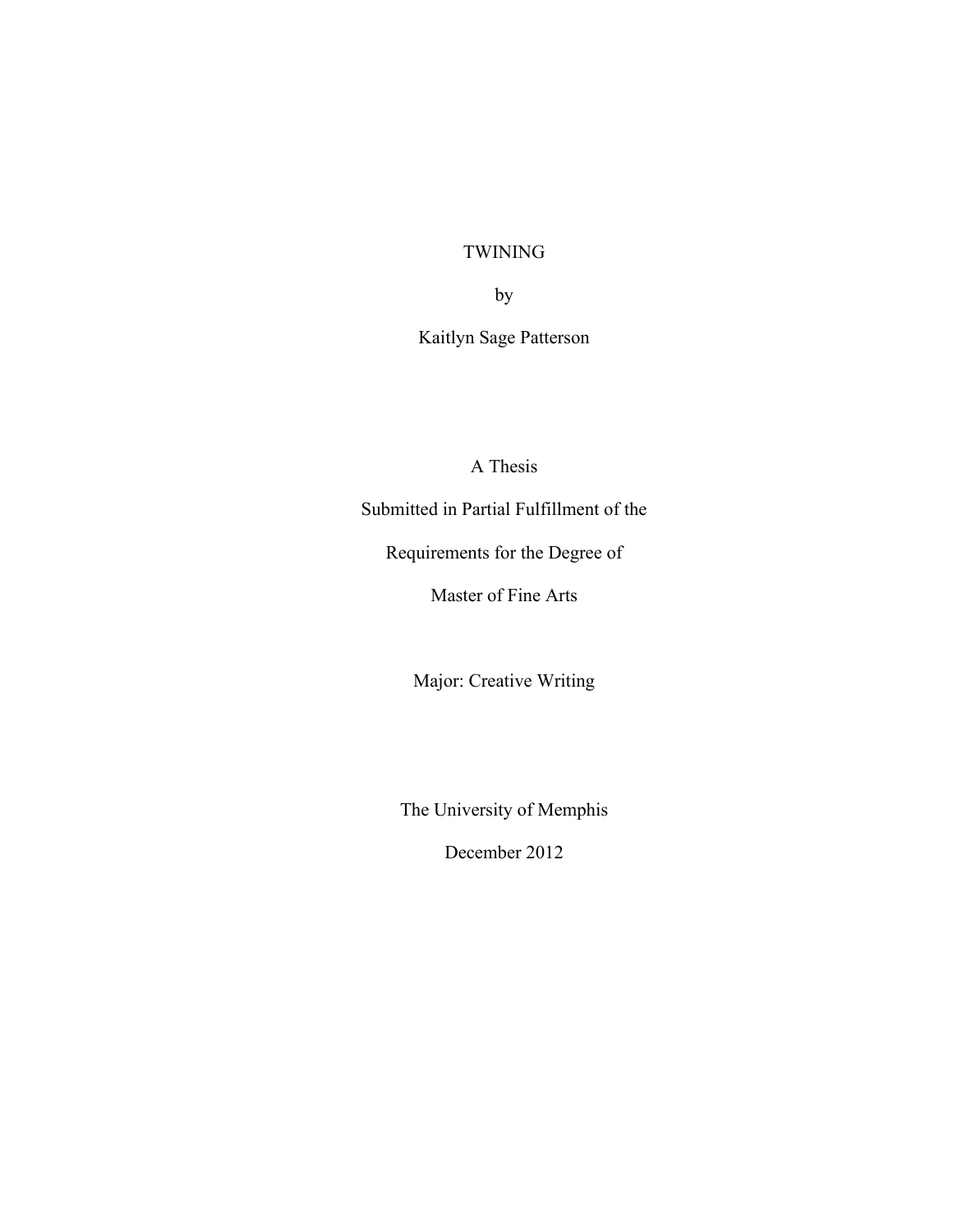# TWINING

by

# Kaitlyn Sage Patterson

A Thesis

Submitted in Partial Fulfillment of the

Requirements for the Degree of

Master of Fine Arts

Major: Creative Writing

The University of Memphis

December 2012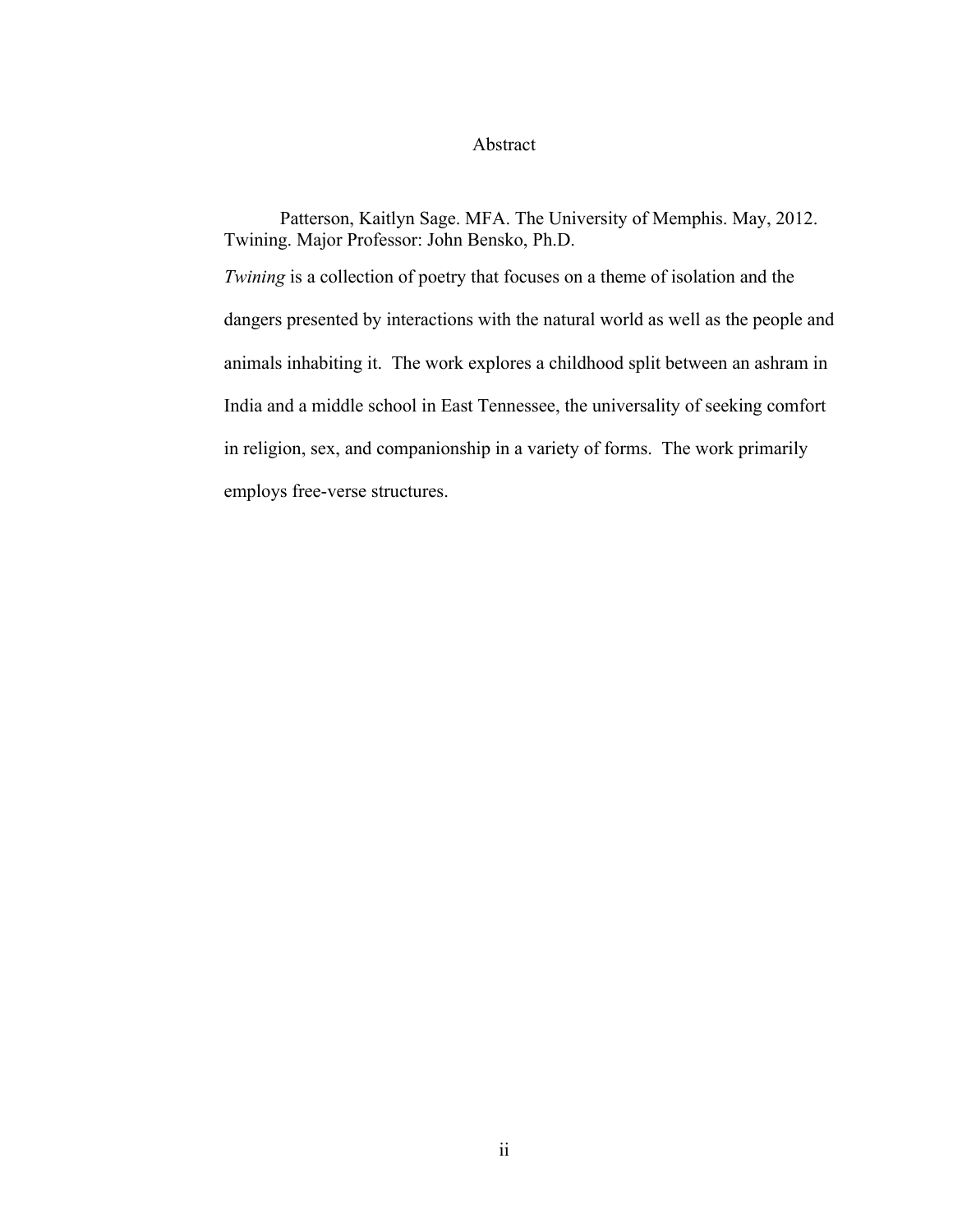### Abstract

Patterson, Kaitlyn Sage. MFA. The University of Memphis. May, 2012. Twining. Major Professor: John Bensko, Ph.D. *Twining* is a collection of poetry that focuses on a theme of isolation and the dangers presented by interactions with the natural world as well as the people and animals inhabiting it. The work explores a childhood split between an ashram in India and a middle school in East Tennessee, the universality of seeking comfort in religion, sex, and companionship in a variety of forms. The work primarily employs free-verse structures.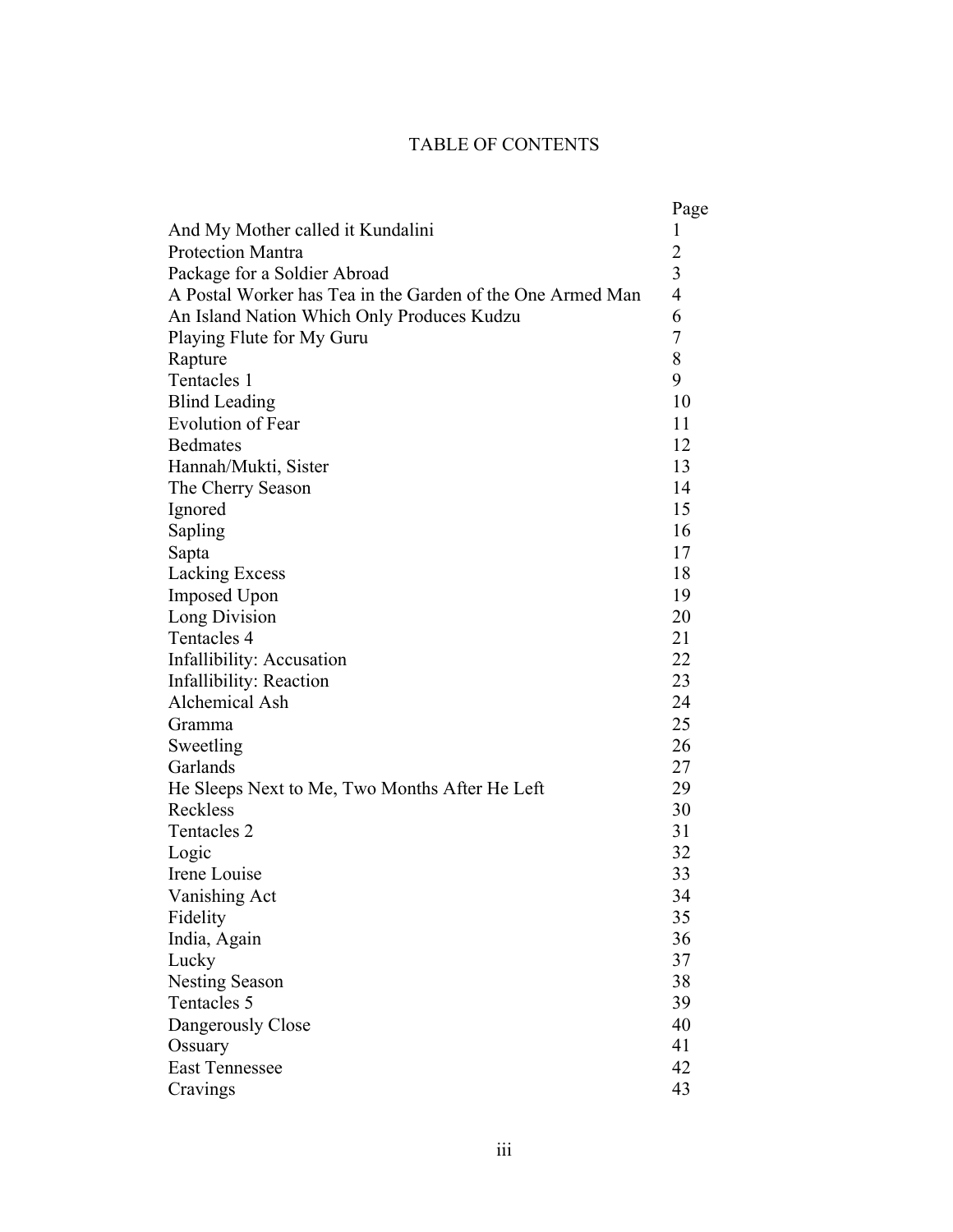# TABLE OF CONTENTS

|                                                            | Page           |
|------------------------------------------------------------|----------------|
| And My Mother called it Kundalini                          | 1              |
| <b>Protection Mantra</b>                                   | $\overline{2}$ |
| Package for a Soldier Abroad                               | 3              |
| A Postal Worker has Tea in the Garden of the One Armed Man | $\overline{4}$ |
| An Island Nation Which Only Produces Kudzu                 | 6              |
| Playing Flute for My Guru                                  | 7              |
| Rapture                                                    | 8              |
| Tentacles 1                                                | 9              |
| <b>Blind Leading</b>                                       | 10             |
| <b>Evolution of Fear</b>                                   | 11             |
| <b>Bedmates</b>                                            | 12             |
| Hannah/Mukti, Sister                                       | 13             |
| The Cherry Season                                          | 14             |
| Ignored                                                    | 15             |
| Sapling                                                    | 16             |
| Sapta                                                      | 17             |
| <b>Lacking Excess</b>                                      | 18             |
| Imposed Upon                                               | 19             |
| Long Division                                              | 20             |
| Tentacles 4                                                | 21             |
| Infallibility: Accusation                                  | 22             |
| Infallibility: Reaction                                    | 23             |
| <b>Alchemical Ash</b>                                      | 24             |
| Gramma                                                     | 25             |
| Sweetling                                                  | 26             |
| Garlands                                                   | 27             |
| He Sleeps Next to Me, Two Months After He Left             | 29             |
| Reckless                                                   | 30             |
| Tentacles 2                                                | 31             |
| Logic                                                      | 32             |
| Irene Louise                                               | 33             |
| Vanishing Act                                              | 34             |
| Fidelity                                                   | 35             |
| India, Again                                               | 36             |
| Lucky                                                      | 37             |
| <b>Nesting Season</b>                                      | 38             |
| Tentacles 5                                                | 39             |
| Dangerously Close                                          | 40             |
| Ossuary                                                    | 41             |
| <b>East Tennessee</b>                                      | 42             |
| Cravings                                                   | 43             |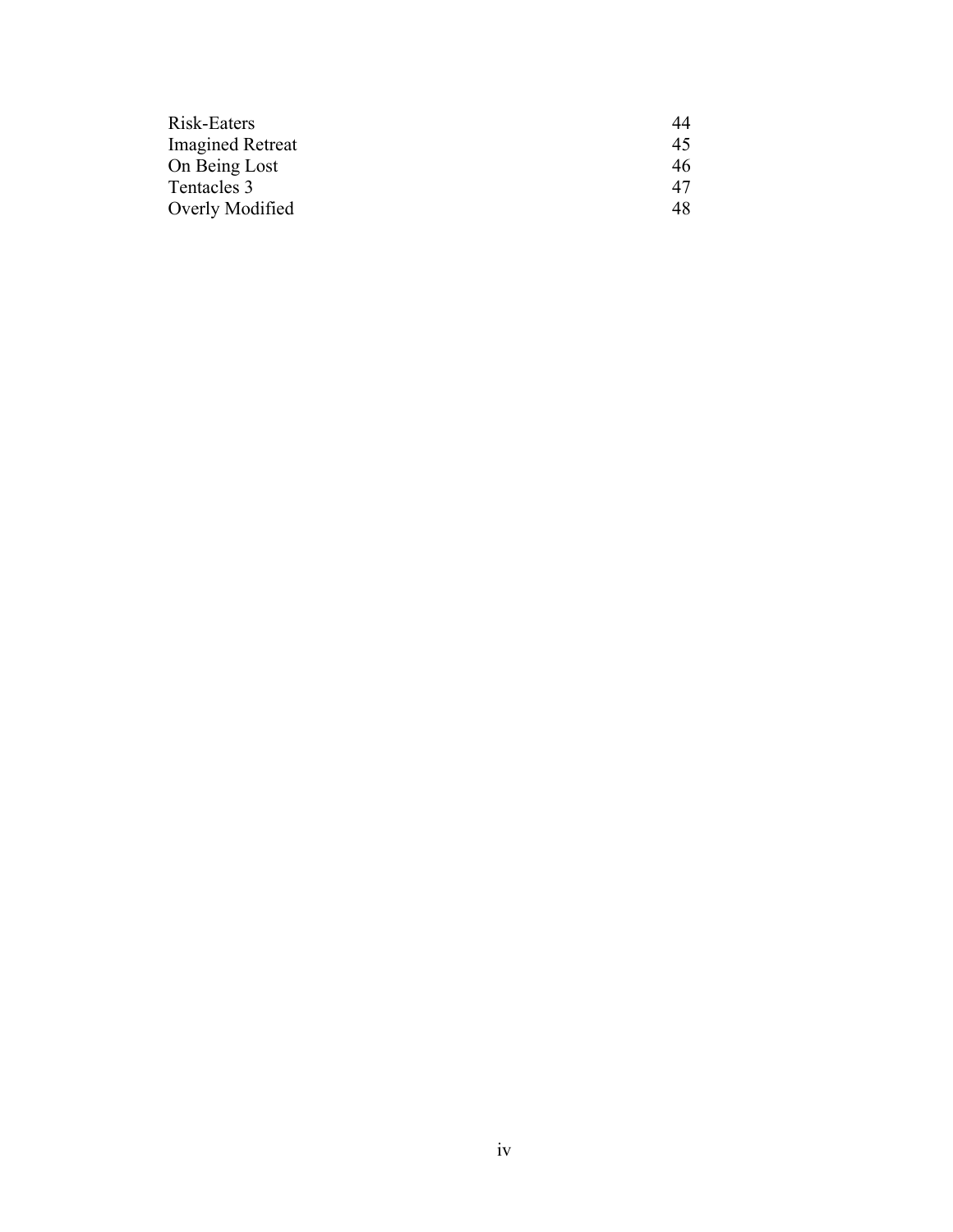| Risk-Eaters             | 44 |
|-------------------------|----|
| <b>Imagined Retreat</b> | 45 |
| On Being Lost           | 46 |
| Tentacles 3             | 47 |
| Overly Modified         | 48 |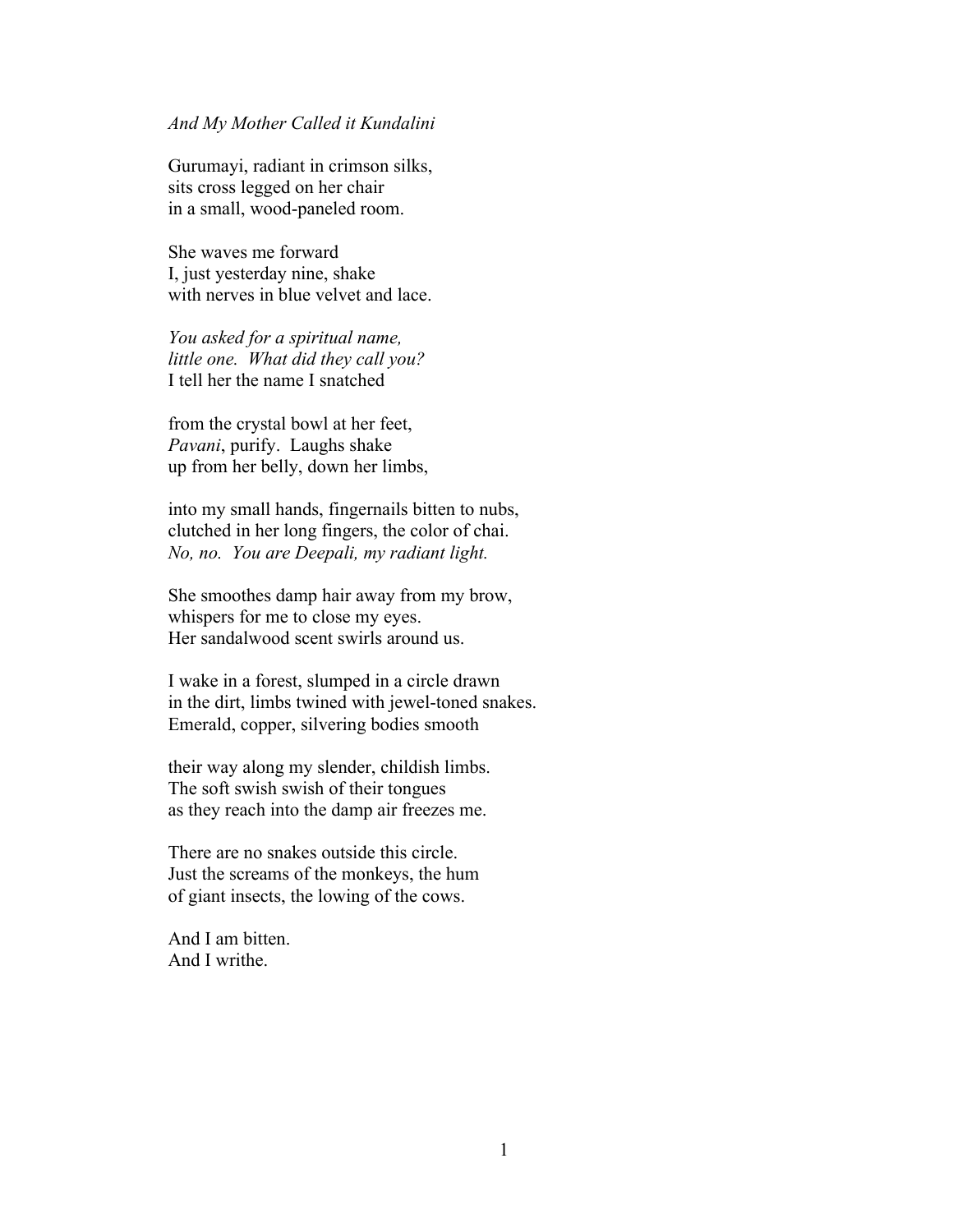### *And My Mother Called it Kundalini*

Gurumayi, radiant in crimson silks, sits cross legged on her chair in a small, wood-paneled room.

She waves me forward I, just yesterday nine, shake with nerves in blue velvet and lace

*You asked for a spiritual name, little one. What did they call you?* I tell her the name I snatched

from the crystal bowl at her feet, *Pavani*, purify. Laughs shake up from her belly, down her limbs,

into my small hands, fingernails bitten to nubs, clutched in her long fingers, the color of chai. *No, no. You are Deepali, my radiant light.*

She smoothes damp hair away from my brow, whispers for me to close my eyes. Her sandalwood scent swirls around us.

I wake in a forest, slumped in a circle drawn in the dirt, limbs twined with jewel-toned snakes. Emerald, copper, silvering bodies smooth

their way along my slender, childish limbs. The soft swish swish of their tongues as they reach into the damp air freezes me.

There are no snakes outside this circle. Just the screams of the monkeys, the hum of giant insects, the lowing of the cows.

And I am bitten. And I writhe.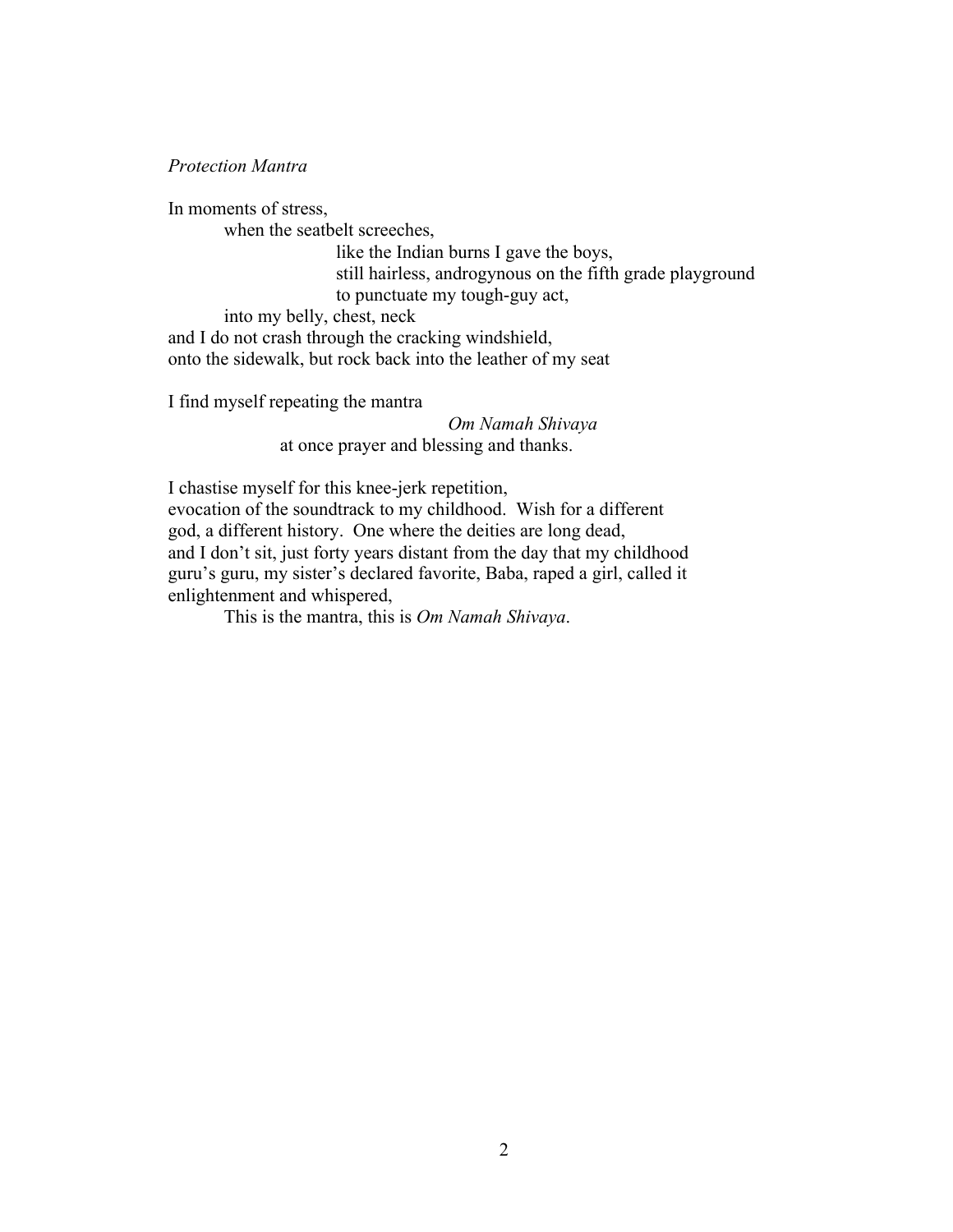*Protection Mantra*

In moments of stress,

when the seatbelt screeches,

like the Indian burns I gave the boys, still hairless, androgynous on the fifth grade playground to punctuate my tough-guy act,

into my belly, chest, neck

and I do not crash through the cracking windshield, onto the sidewalk, but rock back into the leather of my seat

I find myself repeating the mantra

*Om Namah Shivaya* at once prayer and blessing and thanks.

I chastise myself for this knee-jerk repetition, evocation of the soundtrack to my childhood. Wish for a different god, a different history. One where the deities are long dead, and I don't sit, just forty years distant from the day that my childhood guru's guru, my sister's declared favorite, Baba, raped a girl, called it

enlightenment and whispered,

This is the mantra, this is *Om Namah Shivaya*.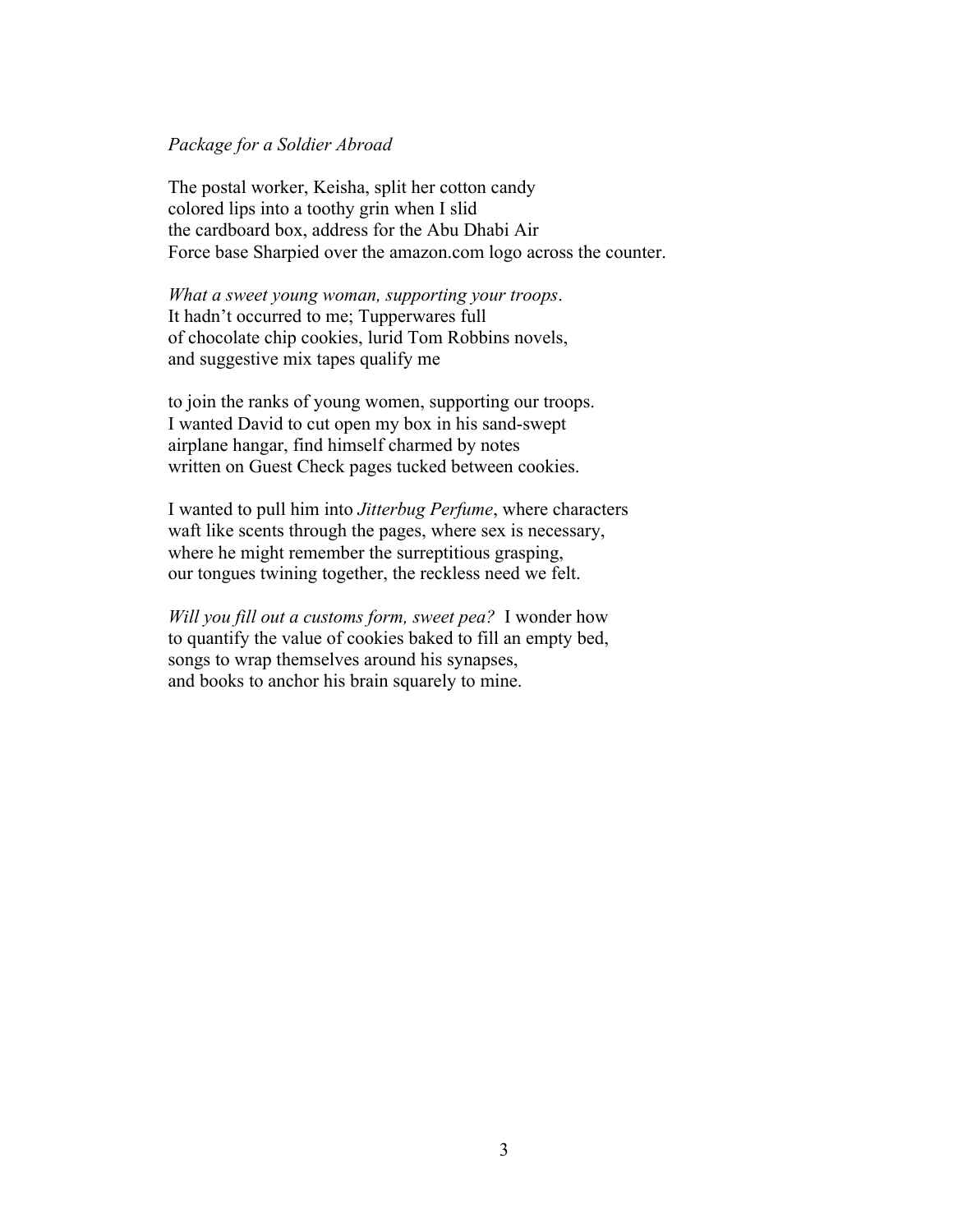### *Package for a Soldier Abroad*

The postal worker, Keisha, split her cotton candy colored lips into a toothy grin when I slid the cardboard box, address for the Abu Dhabi Air Force base Sharpied over the amazon.com logo across the counter.

*What a sweet young woman, supporting your troops*. It hadn't occurred to me; Tupperwares full of chocolate chip cookies, lurid Tom Robbins novels, and suggestive mix tapes qualify me

to join the ranks of young women, supporting our troops. I wanted David to cut open my box in his sand-swept airplane hangar, find himself charmed by notes written on Guest Check pages tucked between cookies.

I wanted to pull him into *Jitterbug Perfume*, where characters waft like scents through the pages, where sex is necessary, where he might remember the surreptitious grasping, our tongues twining together, the reckless need we felt.

*Will you fill out a customs form, sweet pea?* I wonder how to quantify the value of cookies baked to fill an empty bed, songs to wrap themselves around his synapses, and books to anchor his brain squarely to mine.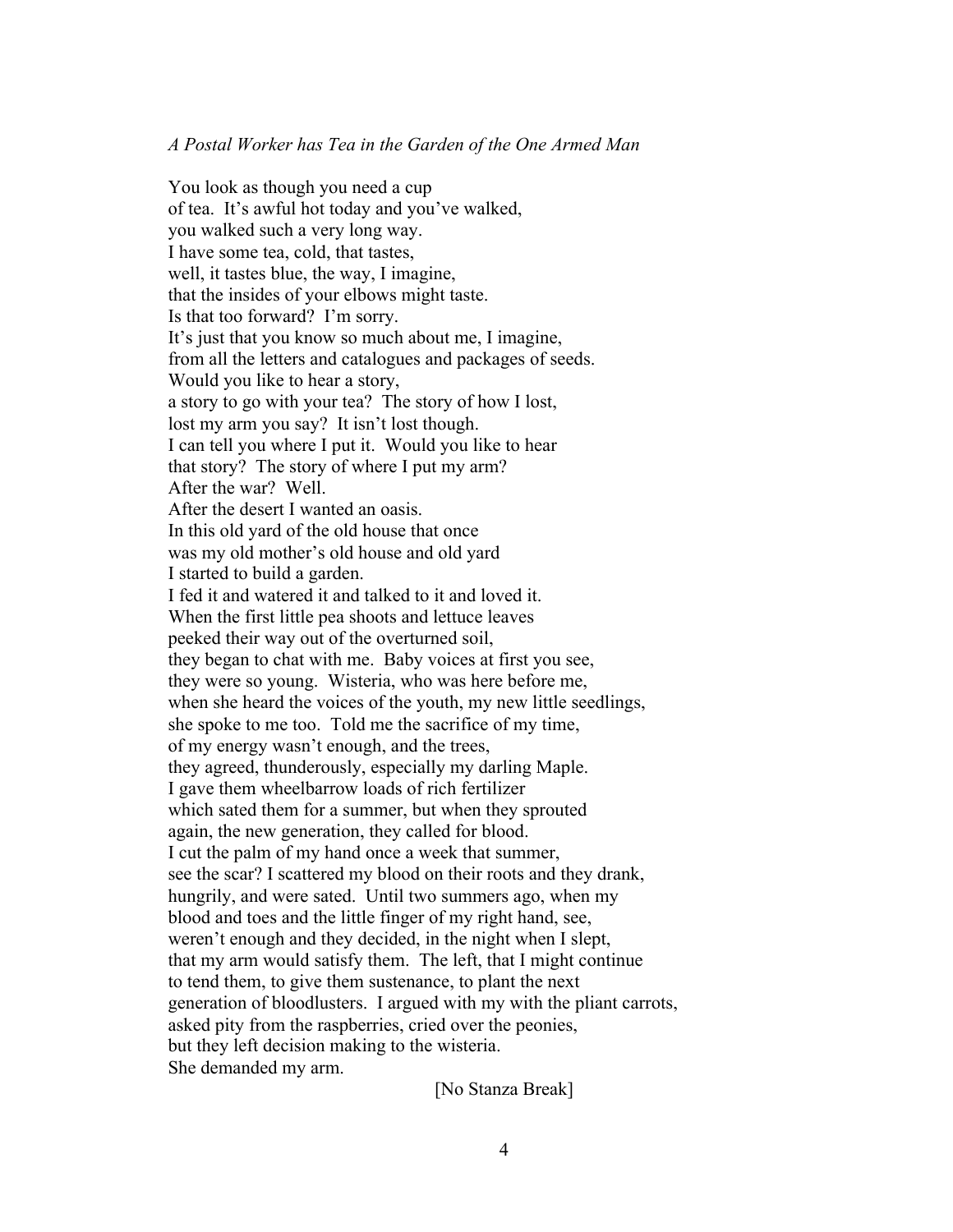### *A Postal Worker has Tea in the Garden of the One Armed Man*

You look as though you need a cup of tea. It's awful hot today and you've walked, you walked such a very long way. I have some tea, cold, that tastes, well, it tastes blue, the way, I imagine, that the insides of your elbows might taste. Is that too forward? I'm sorry. It's just that you know so much about me, I imagine, from all the letters and catalogues and packages of seeds. Would you like to hear a story, a story to go with your tea? The story of how I lost, lost my arm you say? It isn't lost though. I can tell you where I put it. Would you like to hear that story? The story of where I put my arm? After the war? Well. After the desert I wanted an oasis. In this old yard of the old house that once was my old mother's old house and old yard I started to build a garden. I fed it and watered it and talked to it and loved it. When the first little pea shoots and lettuce leaves peeked their way out of the overturned soil, they began to chat with me. Baby voices at first you see, they were so young. Wisteria, who was here before me, when she heard the voices of the youth, my new little seedlings, she spoke to me too. Told me the sacrifice of my time, of my energy wasn't enough, and the trees, they agreed, thunderously, especially my darling Maple. I gave them wheelbarrow loads of rich fertilizer which sated them for a summer, but when they sprouted again, the new generation, they called for blood. I cut the palm of my hand once a week that summer, see the scar? I scattered my blood on their roots and they drank, hungrily, and were sated. Until two summers ago, when my blood and toes and the little finger of my right hand, see, weren't enough and they decided, in the night when I slept, that my arm would satisfy them. The left, that I might continue to tend them, to give them sustenance, to plant the next generation of bloodlusters. I argued with my with the pliant carrots, asked pity from the raspberries, cried over the peonies, but they left decision making to the wisteria. She demanded my arm.

[No Stanza Break]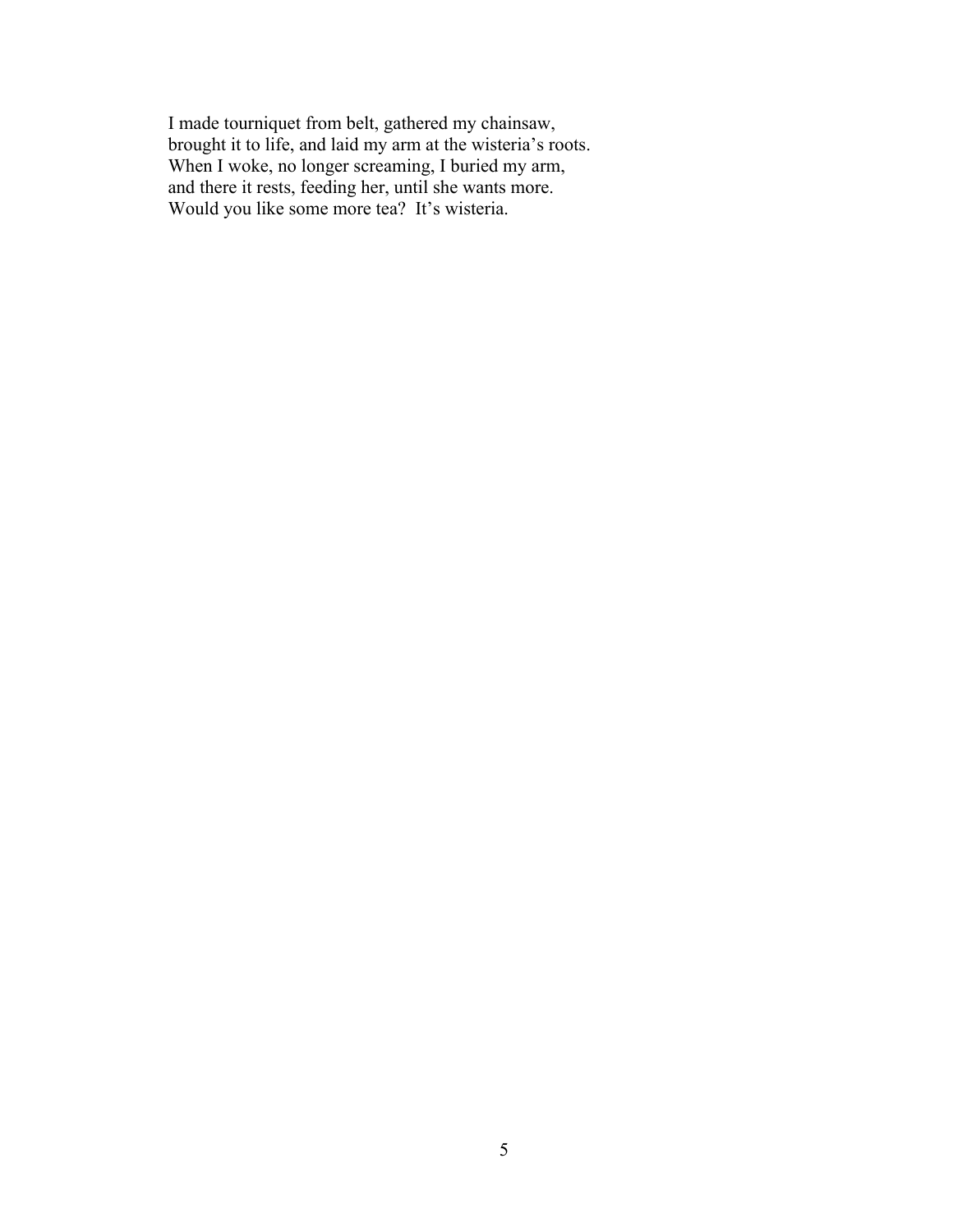I made tourniquet from belt, gathered my chainsaw, brought it to life, and laid my arm at the wisteria's roots. When I woke, no longer screaming, I buried my arm, and there it rests, feeding her, until she wants more. Would you like some more tea? It's wisteria.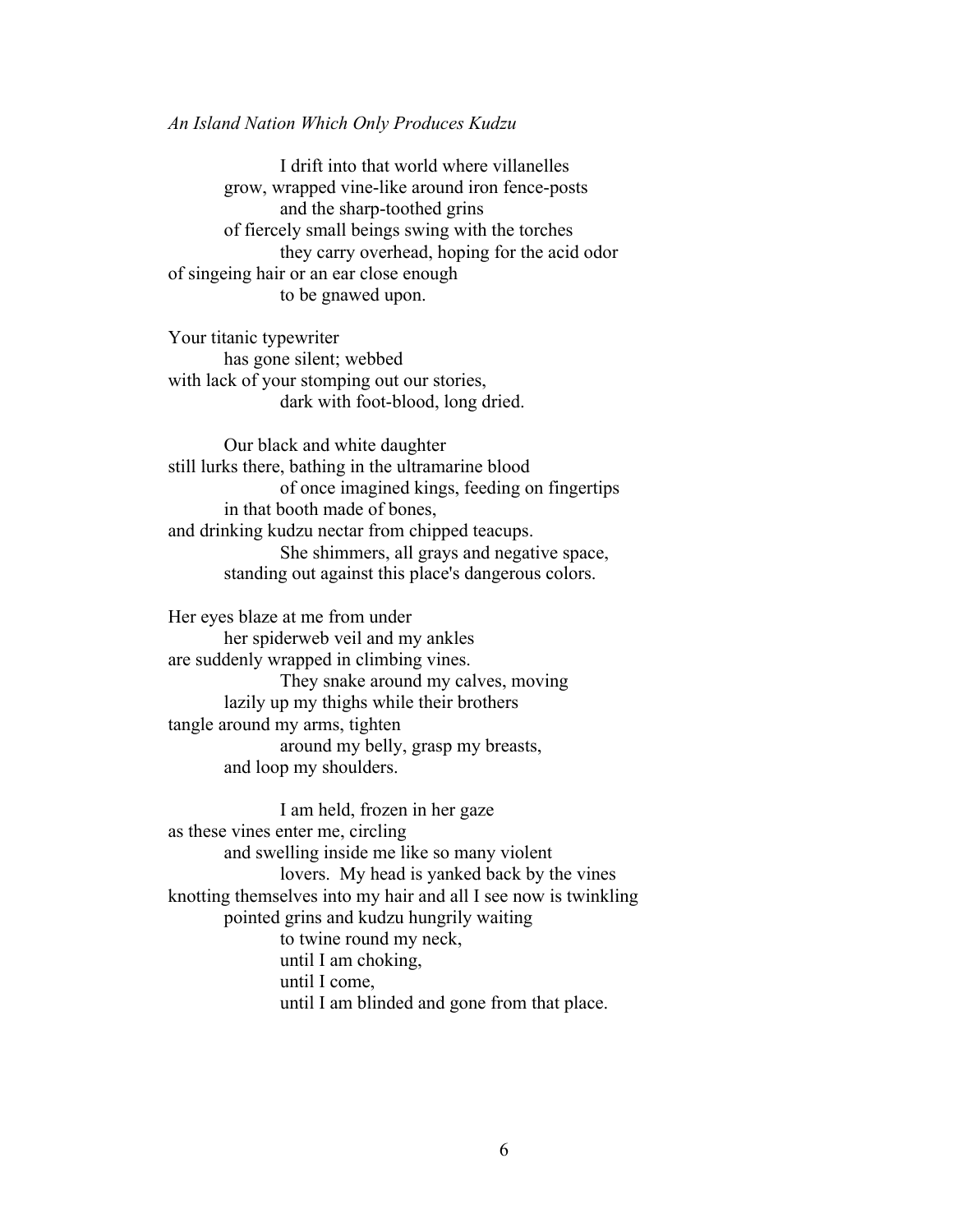*An Island Nation Which Only Produces Kudzu*

I drift into that world where villanelles grow, wrapped vine-like around iron fence-posts and the sharp-toothed grins of fiercely small beings swing with the torches they carry overhead, hoping for the acid odor of singeing hair or an ear close enough to be gnawed upon.

Your titanic typewriter has gone silent; webbed with lack of your stomping out our stories, dark with foot-blood, long dried.

Our black and white daughter still lurks there, bathing in the ultramarine blood of once imagined kings, feeding on fingertips in that booth made of bones, and drinking kudzu nectar from chipped teacups. She shimmers, all grays and negative space, standing out against this place's dangerous colors.

Her eyes blaze at me from under her spiderweb veil and my ankles are suddenly wrapped in climbing vines. They snake around my calves, moving lazily up my thighs while their brothers tangle around my arms, tighten around my belly, grasp my breasts, and loop my shoulders.

I am held, frozen in her gaze as these vines enter me, circling and swelling inside me like so many violent lovers. My head is yanked back by the vines knotting themselves into my hair and all I see now is twinkling pointed grins and kudzu hungrily waiting to twine round my neck, until I am choking, until I come, until I am blinded and gone from that place.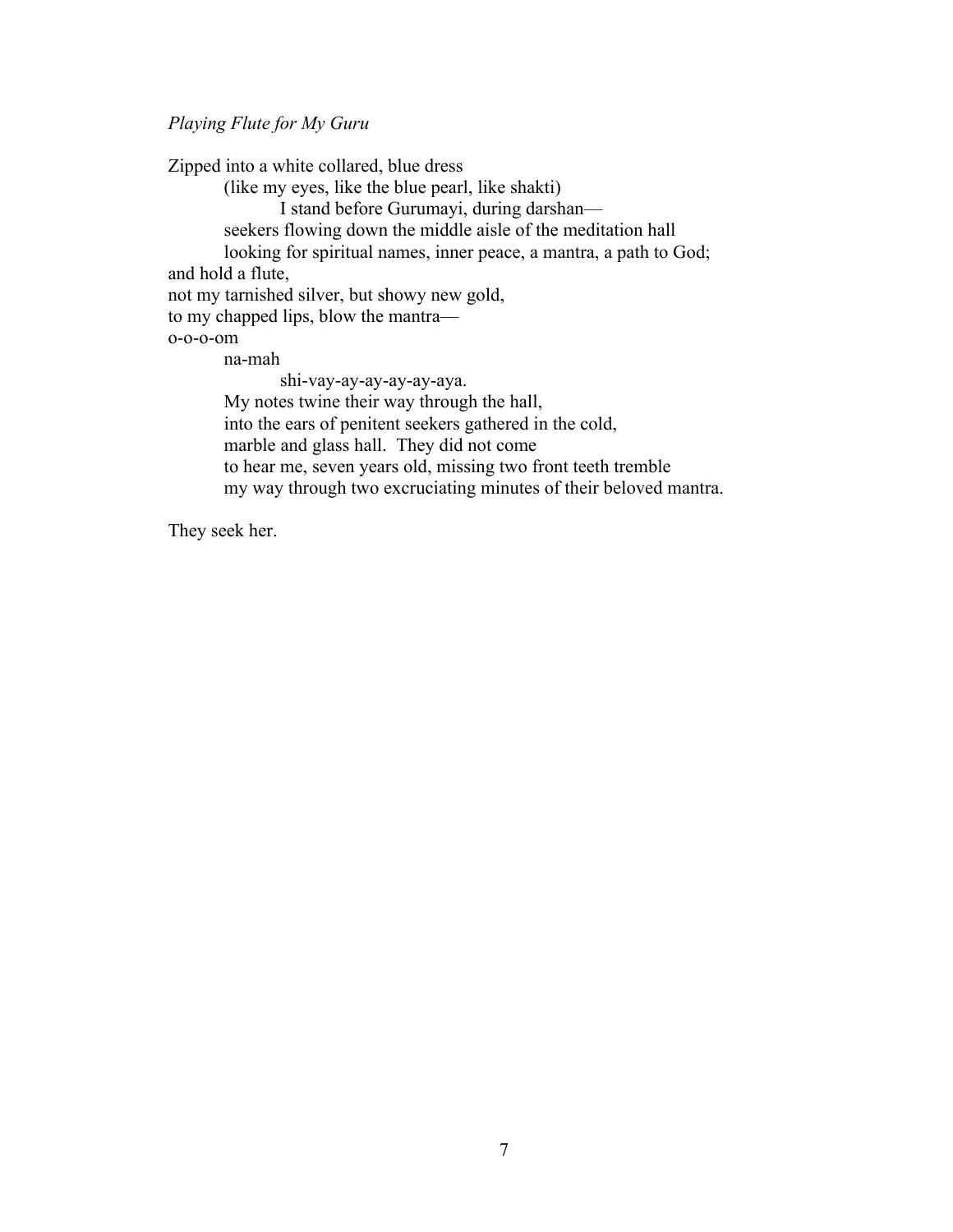*Playing Flute for My Guru*

Zipped into a white collared, blue dress (like my eyes, like the blue pearl, like shakti) I stand before Gurumayi, during darshan seekers flowing down the middle aisle of the meditation hall looking for spiritual names, inner peace, a mantra, a path to God; and hold a flute, not my tarnished silver, but showy new gold, to my chapped lips, blow the mantra o-o-o-om na-mah shi-vay-ay-ay-ay-ay-aya. My notes twine their way through the hall, into the ears of penitent seekers gathered in the cold, marble and glass hall. They did not come to hear me, seven years old, missing two front teeth tremble my way through two excruciating minutes of their beloved mantra.

They seek her.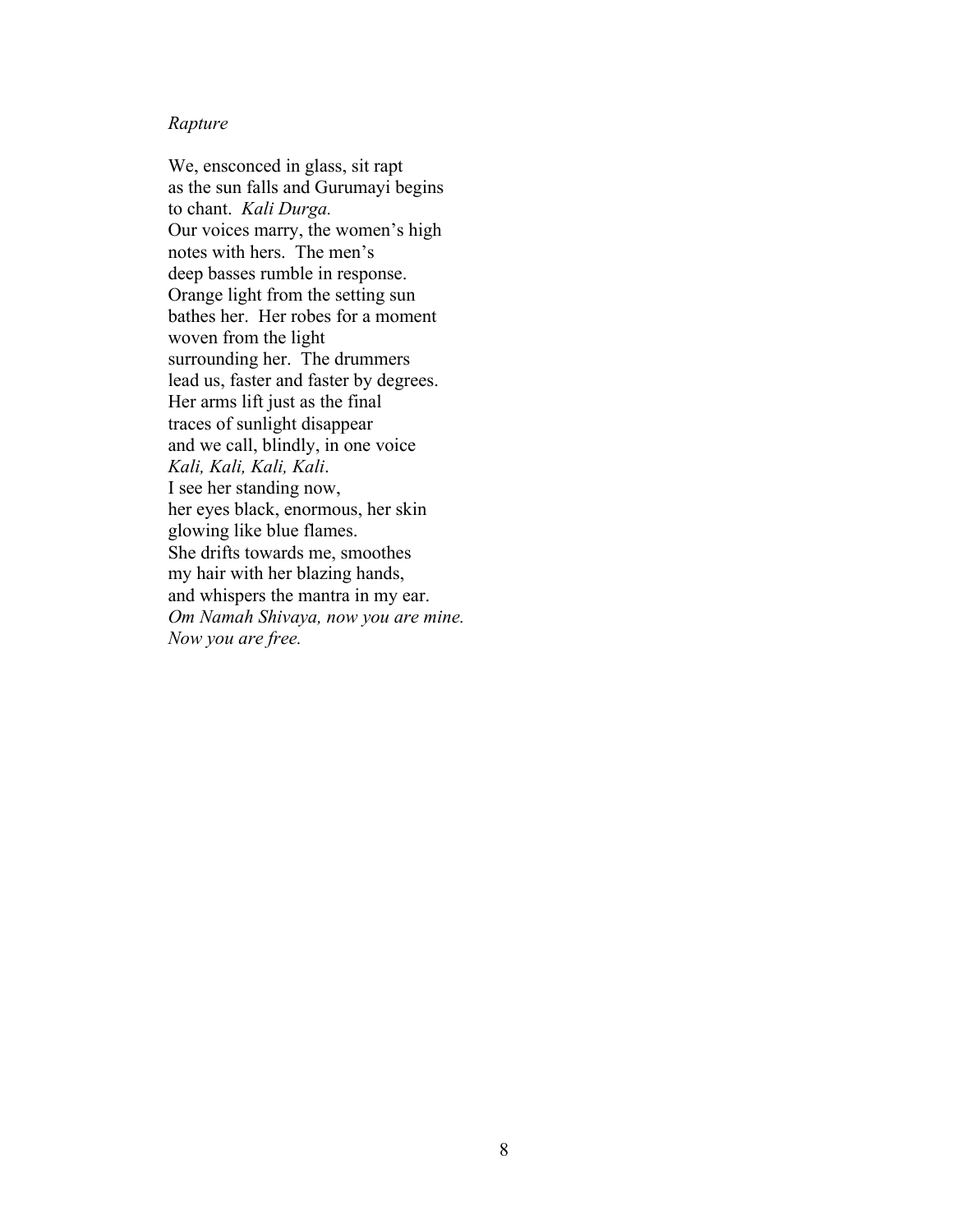### *Rapture*

We, ensconced in glass, sit rapt as the sun falls and Gurumayi begins to chant. *Kali Durga.* Our voices marry, the women's high notes with hers. The men's deep basses rumble in response. Orange light from the setting sun bathes her. Her robes for a moment woven from the light surrounding her. The drummers lead us, faster and faster by degrees. Her arms lift just as the final traces of sunlight disappear and we call, blindly, in one voice *Kali, Kali, Kali, Kali*. I see her standing now, her eyes black, enormous, her skin glowing like blue flames. She drifts towards me, smoothes my hair with her blazing hands, and whispers the mantra in my ear. *Om Namah Shivaya, now you are mine. Now you are free.*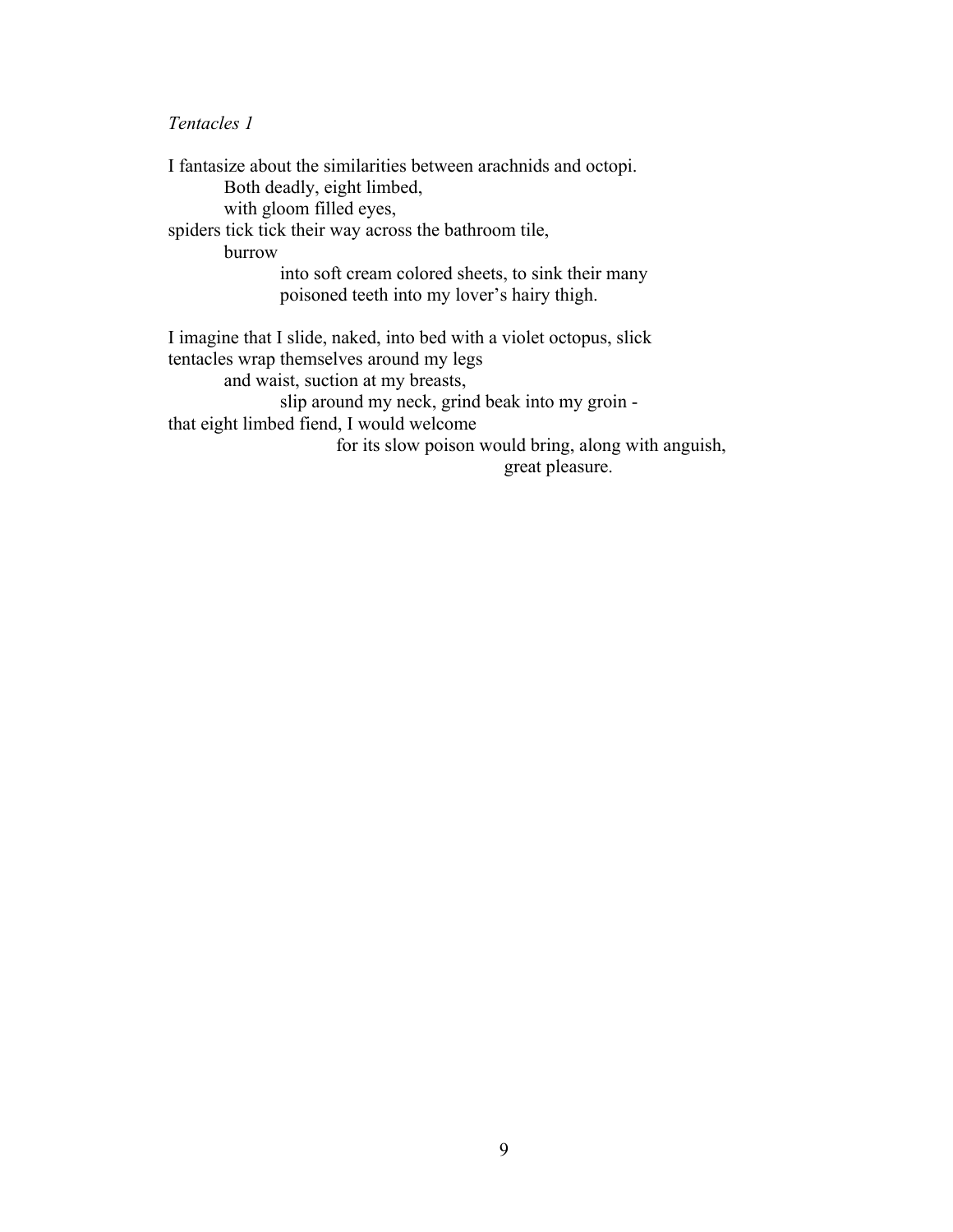## *Tentacles 1*

I fantasize about the similarities between arachnids and octopi. Both deadly, eight limbed, with gloom filled eyes, spiders tick tick their way across the bathroom tile, burrow into soft cream colored sheets, to sink their many poisoned teeth into my lover's hairy thigh. I imagine that I slide, naked, into bed with a violet octopus, slick tentacles wrap themselves around my legs and waist, suction at my breasts, slip around my neck, grind beak into my groin that eight limbed fiend, I would welcome for its slow poison would bring, along with anguish, great pleasure.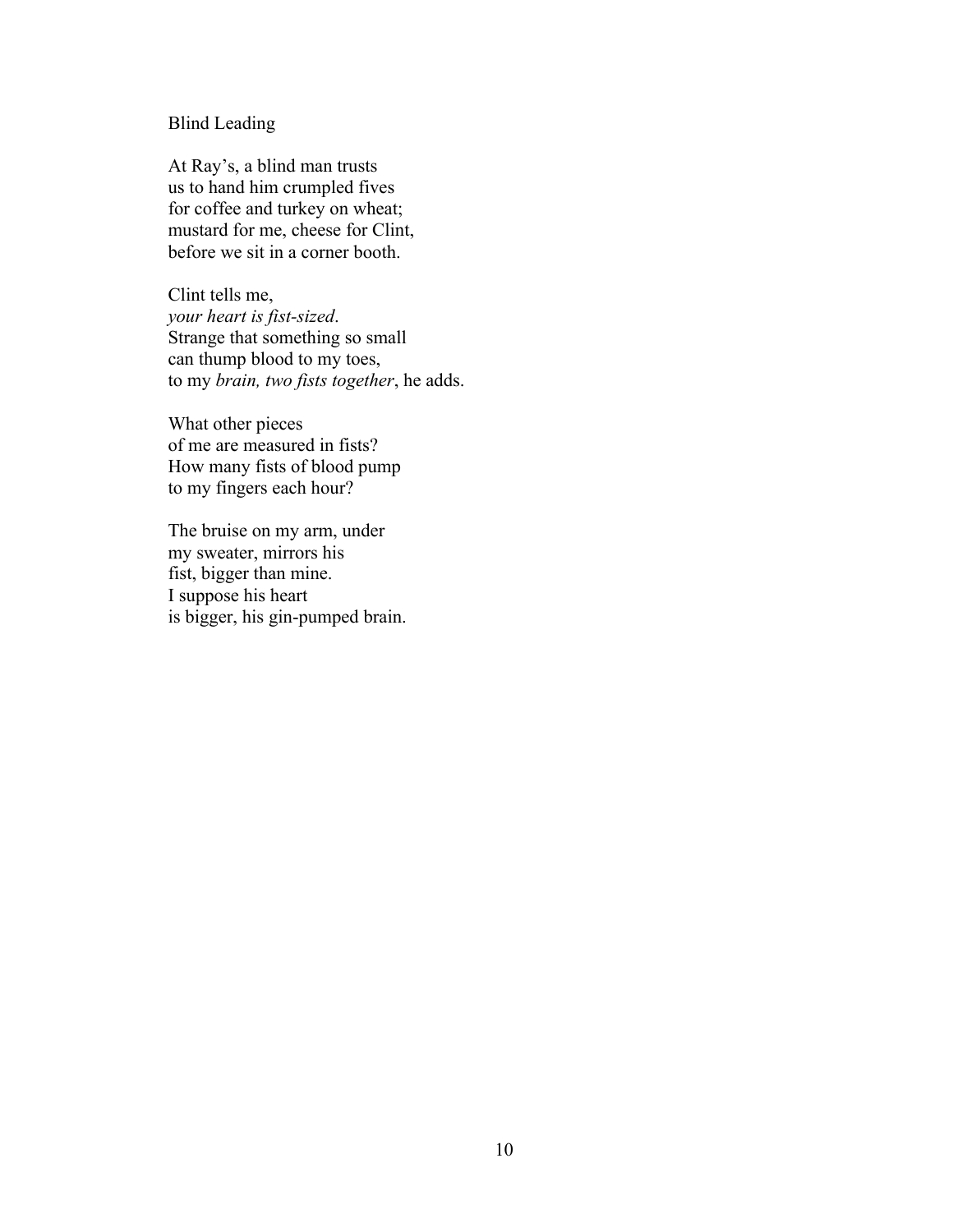## Blind Leading

At Ray's, a blind man trusts us to hand him crumpled fives for coffee and turkey on wheat; mustard for me, cheese for Clint, before we sit in a corner booth.

Clint tells me, *your heart is fist-sized*. Strange that something so small can thump blood to my toes, to my *brain, two fists together*, he adds.

What other pieces of me are measured in fists? How many fists of blood pump to my fingers each hour?

The bruise on my arm, under my sweater, mirrors his fist, bigger than mine. I suppose his heart is bigger, his gin-pumped brain.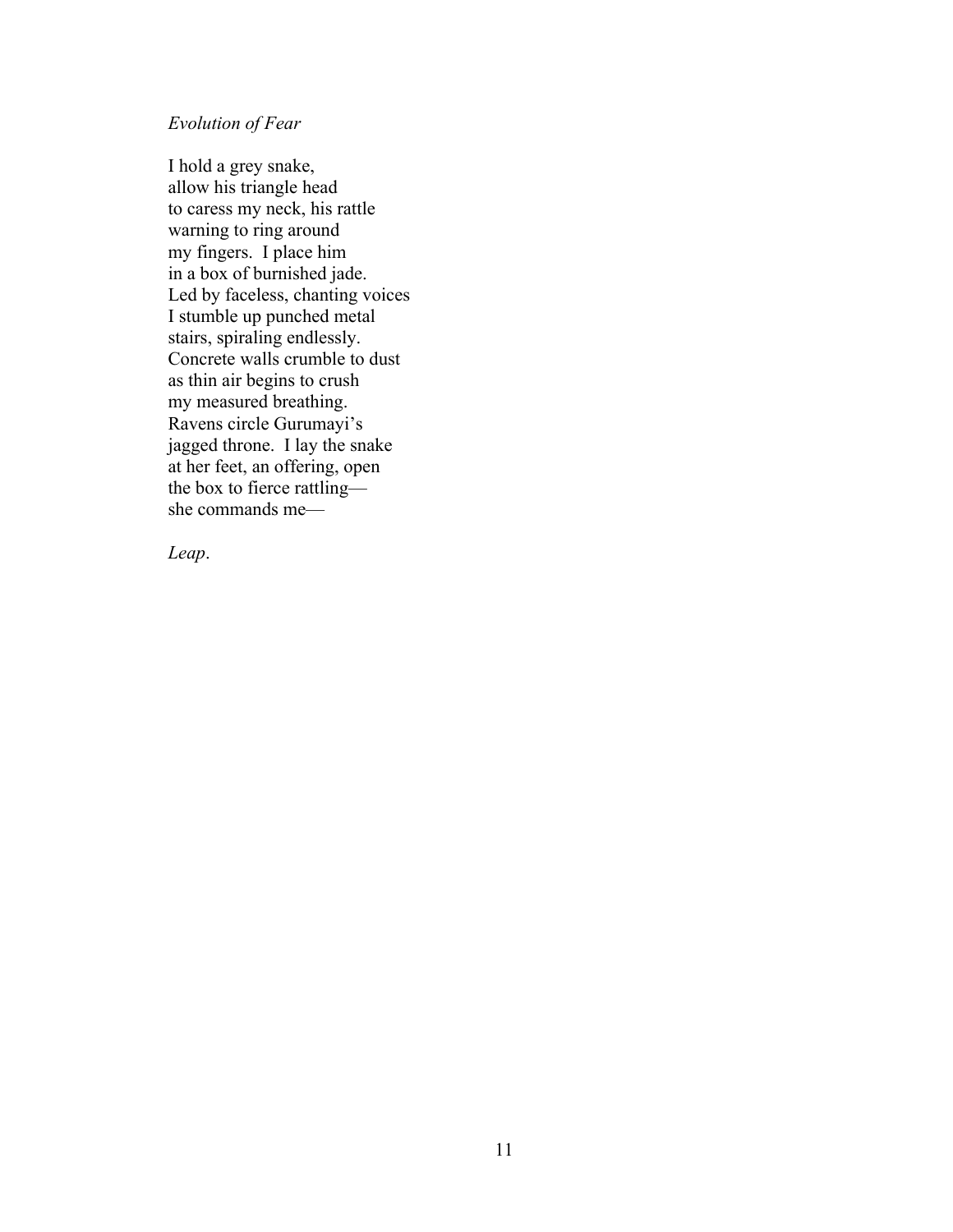### *Evolution of Fear*

I hold a grey snake, allow his triangle head to caress my neck, his rattle warning to ring around my fingers. I place him in a box of burnished jade. Led by faceless, chanting voices I stumble up punched metal stairs, spiraling endlessly. Concrete walls crumble to dust as thin air begins to crush my measured breathing. Ravens circle Gurumayi's jagged throne. I lay the snake at her feet, an offering, open the box to fierce rattling she commands me—

*Leap*.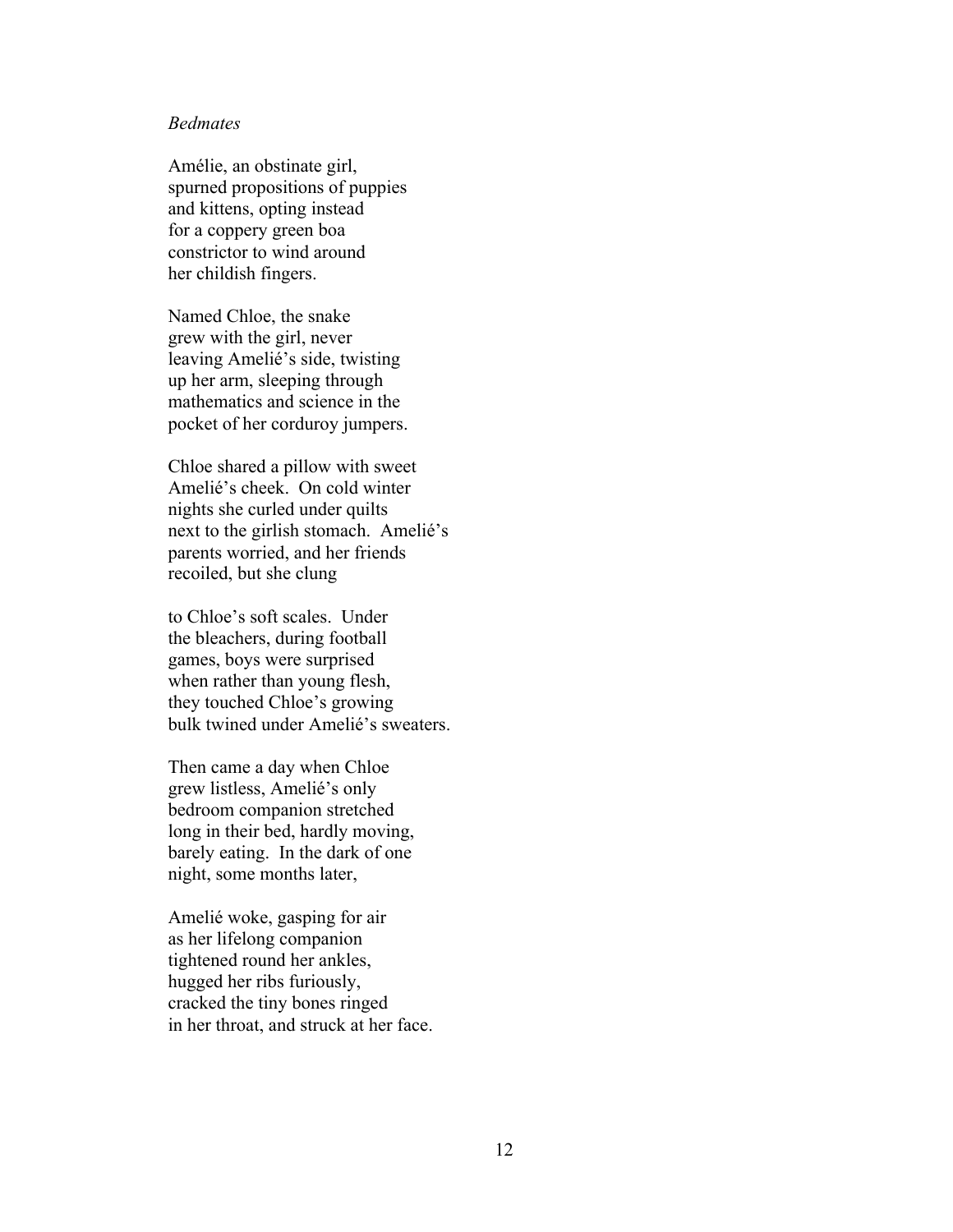### *Bedmates*

Amélie, an obstinate girl, spurned propositions of puppies and kittens, opting instead for a coppery green boa constrictor to wind around her childish fingers.

Named Chloe, the snake grew with the girl, never leaving Amelié's side, twisting up her arm, sleeping through mathematics and science in the pocket of her corduroy jumpers.

Chloe shared a pillow with sweet Amelié's cheek. On cold winter nights she curled under quilts next to the girlish stomach. Amelié's parents worried, and her friends recoiled, but she clung

to Chloe's soft scales. Under the bleachers, during football games, boys were surprised when rather than young flesh, they touched Chloe's growing bulk twined under Amelié's sweaters.

Then came a day when Chloe grew listless, Amelié's only bedroom companion stretched long in their bed, hardly moving, barely eating. In the dark of one night, some months later,

Amelié woke, gasping for air as her lifelong companion tightened round her ankles, hugged her ribs furiously, cracked the tiny bones ringed in her throat, and struck at her face.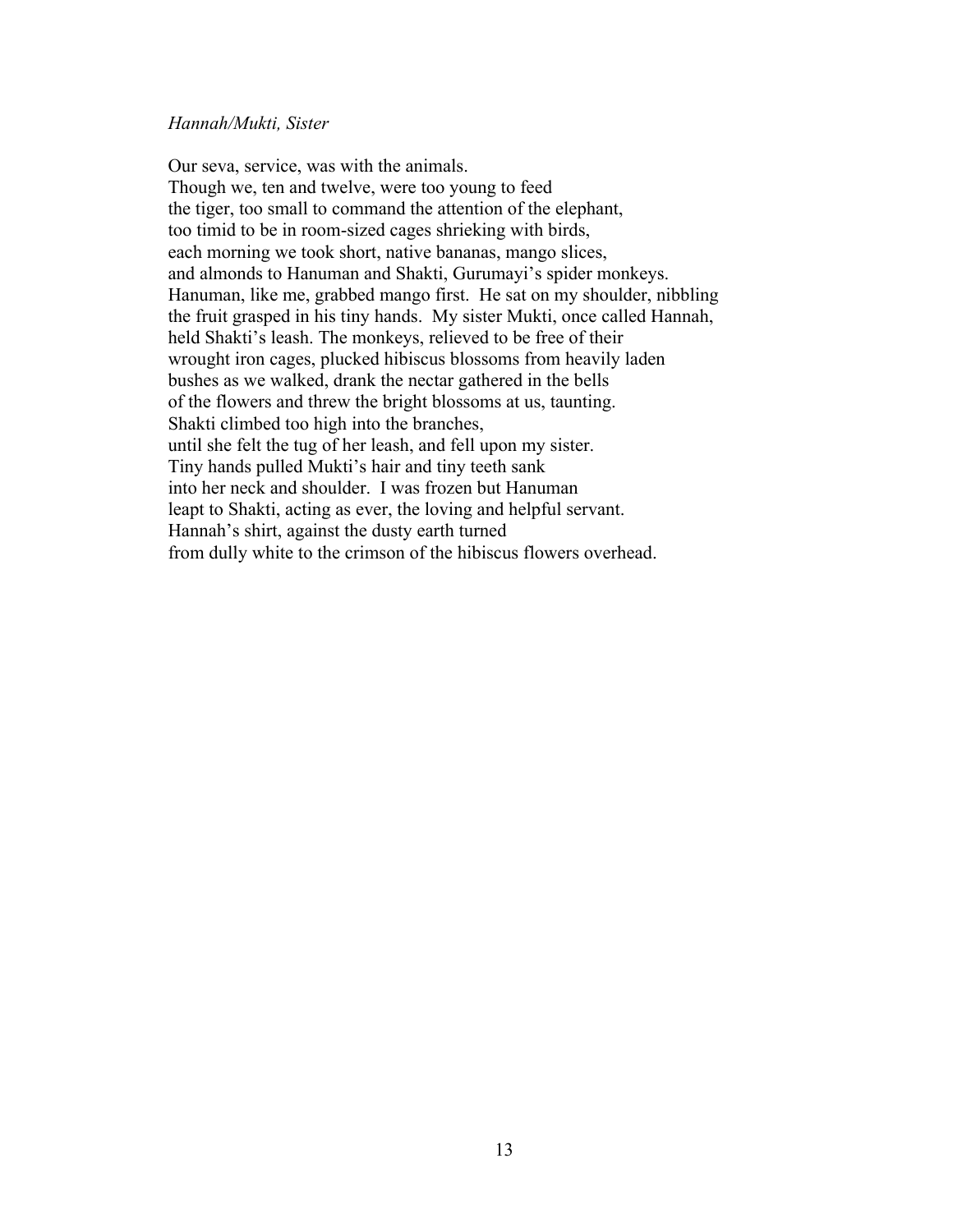### *Hannah/Mukti, Sister*

Our seva, service, was with the animals. Though we, ten and twelve, were too young to feed the tiger, too small to command the attention of the elephant, too timid to be in room-sized cages shrieking with birds, each morning we took short, native bananas, mango slices, and almonds to Hanuman and Shakti, Gurumayi's spider monkeys. Hanuman, like me, grabbed mango first. He sat on my shoulder, nibbling the fruit grasped in his tiny hands. My sister Mukti, once called Hannah, held Shakti's leash. The monkeys, relieved to be free of their wrought iron cages, plucked hibiscus blossoms from heavily laden bushes as we walked, drank the nectar gathered in the bells of the flowers and threw the bright blossoms at us, taunting. Shakti climbed too high into the branches, until she felt the tug of her leash, and fell upon my sister. Tiny hands pulled Mukti's hair and tiny teeth sank into her neck and shoulder. I was frozen but Hanuman leapt to Shakti, acting as ever, the loving and helpful servant. Hannah's shirt, against the dusty earth turned from dully white to the crimson of the hibiscus flowers overhead.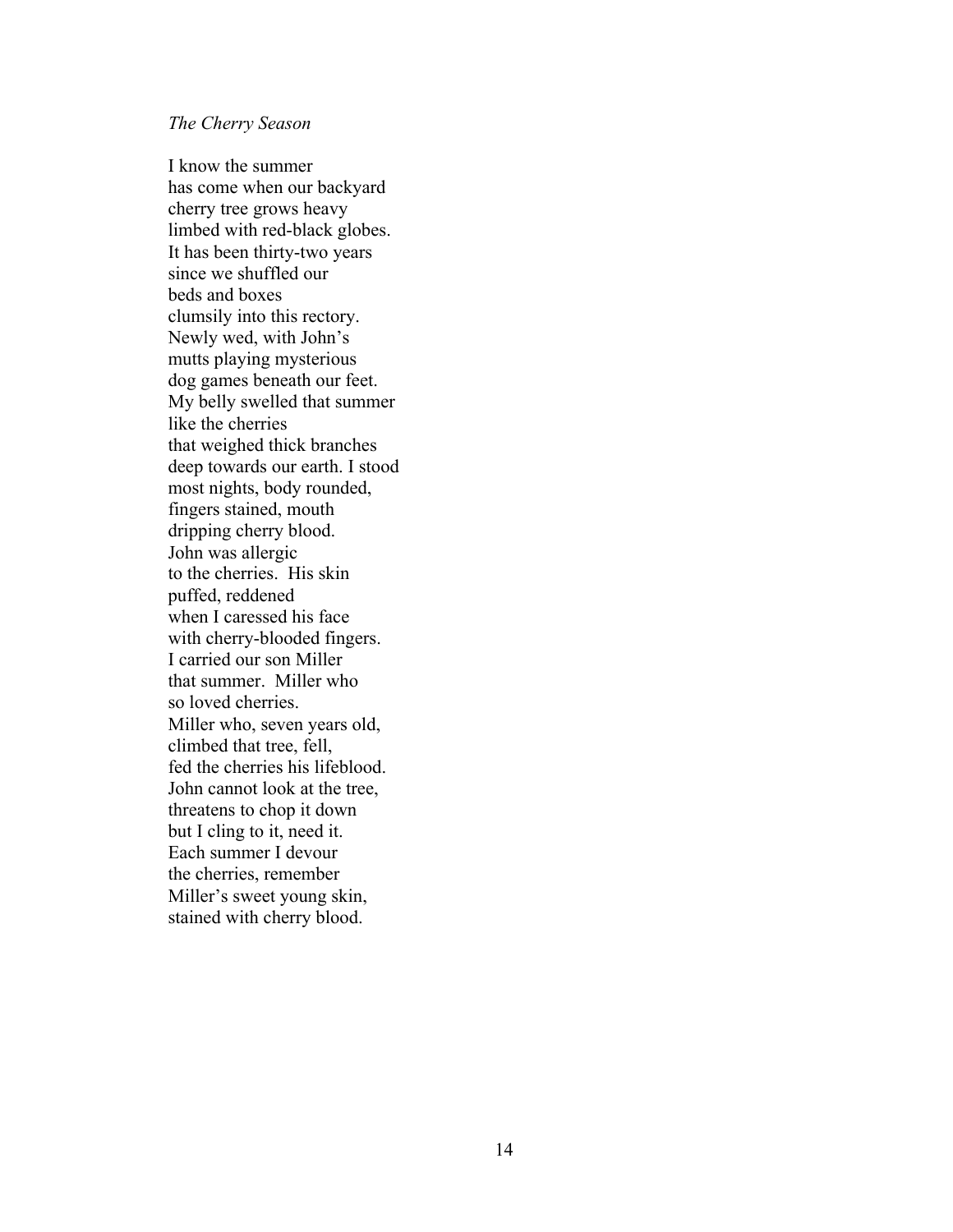### *The Cherry Season*

I know the summer has come when our backyard cherry tree grows heavy limbed with red-black globes. It has been thirty-two years since we shuffled our beds and boxes clumsily into this rectory. Newly wed, with John's mutts playing mysterious dog games beneath our feet. My belly swelled that summer like the cherries that weighed thick branches deep towards our earth. I stood most nights, body rounded, fingers stained, mouth dripping cherry blood. John was allergic to the cherries. His skin puffed, reddened when I caressed his face with cherry-blooded fingers. I carried our son Miller that summer. Miller who so loved cherries. Miller who, seven years old, climbed that tree, fell, fed the cherries his lifeblood. John cannot look at the tree, threatens to chop it down but I cling to it, need it. Each summer I devour the cherries, remember Miller's sweet young skin, stained with cherry blood.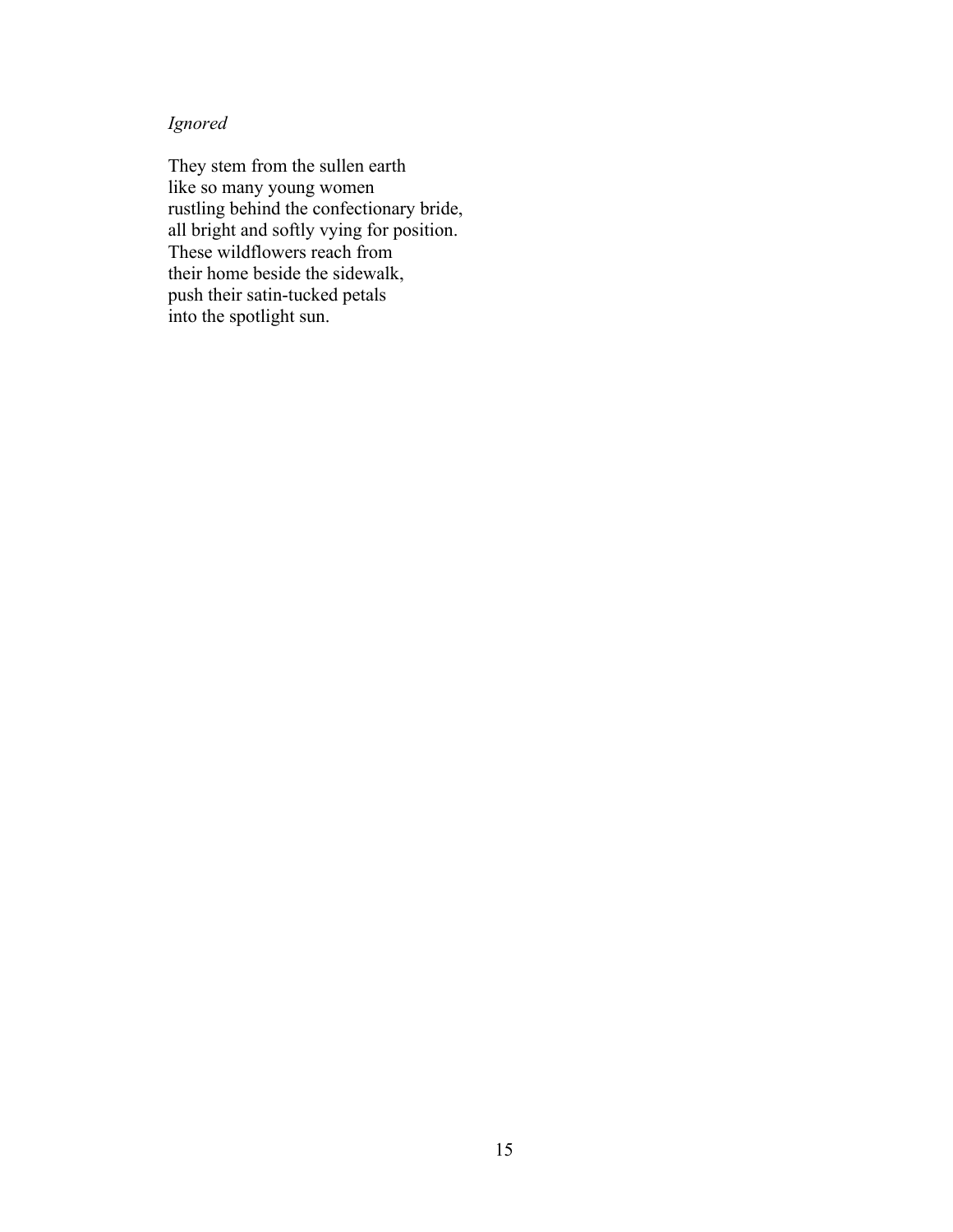# *Ignored*

They stem from the sullen earth like so many young women rustling behind the confectionary bride, all bright and softly vying for position. These wildflowers reach from their home beside the sidewalk, push their satin-tucked petals into the spotlight sun.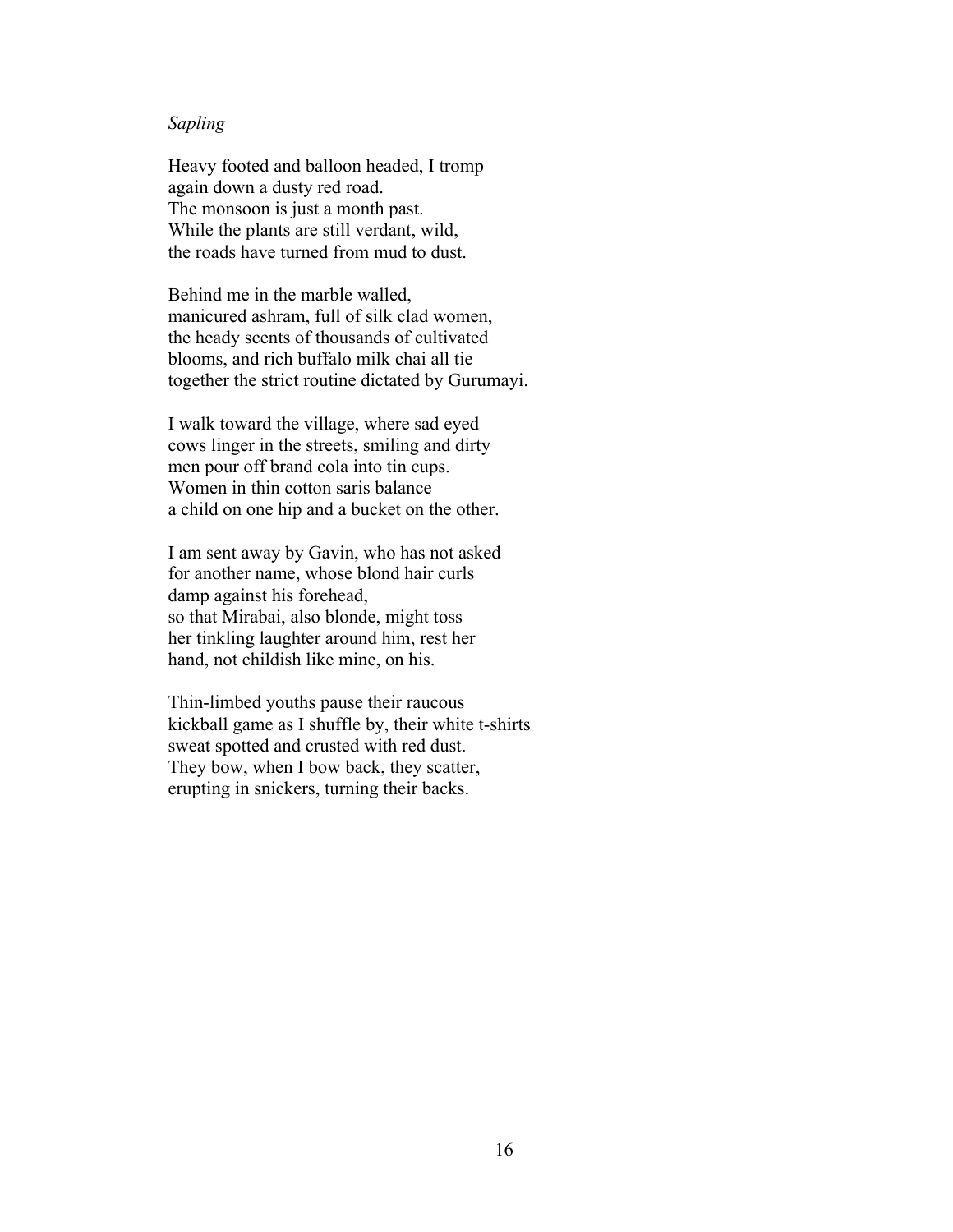### *Sapling*

Heavy footed and balloon headed, I tromp again down a dusty red road. The monsoon is just a month past. While the plants are still verdant, wild, the roads have turned from mud to dust.

Behind me in the marble walled, manicured ashram, full of silk clad women, the heady scents of thousands of cultivated blooms, and rich buffalo milk chai all tie together the strict routine dictated by Gurumayi.

I walk toward the village, where sad eyed cows linger in the streets, smiling and dirty men pour off brand cola into tin cups. Women in thin cotton saris balance a child on one hip and a bucket on the other.

I am sent away by Gavin, who has not asked for another name, whose blond hair curls damp against his forehead, so that Mirabai, also blonde, might toss her tinkling laughter around him, rest her hand, not childish like mine, on his.

Thin-limbed youths pause their raucous kickball game as I shuffle by, their white t-shirts sweat spotted and crusted with red dust. They bow, when I bow back, they scatter, erupting in snickers, turning their backs.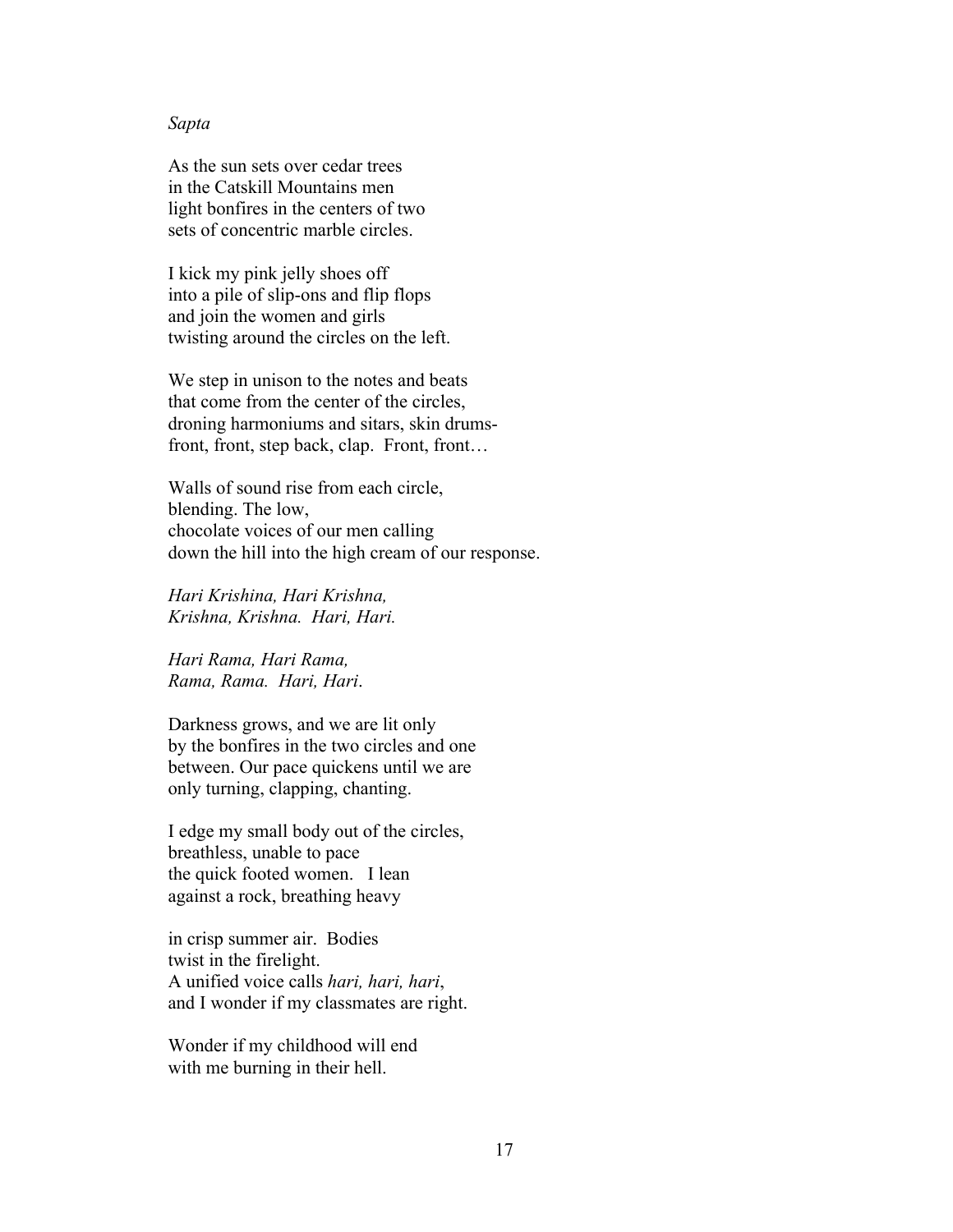#### *Sapta*

As the sun sets over cedar trees in the Catskill Mountains men light bonfires in the centers of two sets of concentric marble circles.

I kick my pink jelly shoes off into a pile of slip-ons and flip flops and join the women and girls twisting around the circles on the left.

We step in unison to the notes and beats that come from the center of the circles, droning harmoniums and sitars, skin drumsfront, front, step back, clap. Front, front…

Walls of sound rise from each circle, blending. The low, chocolate voices of our men calling down the hill into the high cream of our response.

*Hari Krishina, Hari Krishna, Krishna, Krishna. Hari, Hari.*

*Hari Rama, Hari Rama, Rama, Rama. Hari, Hari*.

Darkness grows, and we are lit only by the bonfires in the two circles and one between. Our pace quickens until we are only turning, clapping, chanting.

I edge my small body out of the circles, breathless, unable to pace the quick footed women. I lean against a rock, breathing heavy

in crisp summer air. Bodies twist in the firelight. A unified voice calls *hari, hari, hari*, and I wonder if my classmates are right.

Wonder if my childhood will end with me burning in their hell.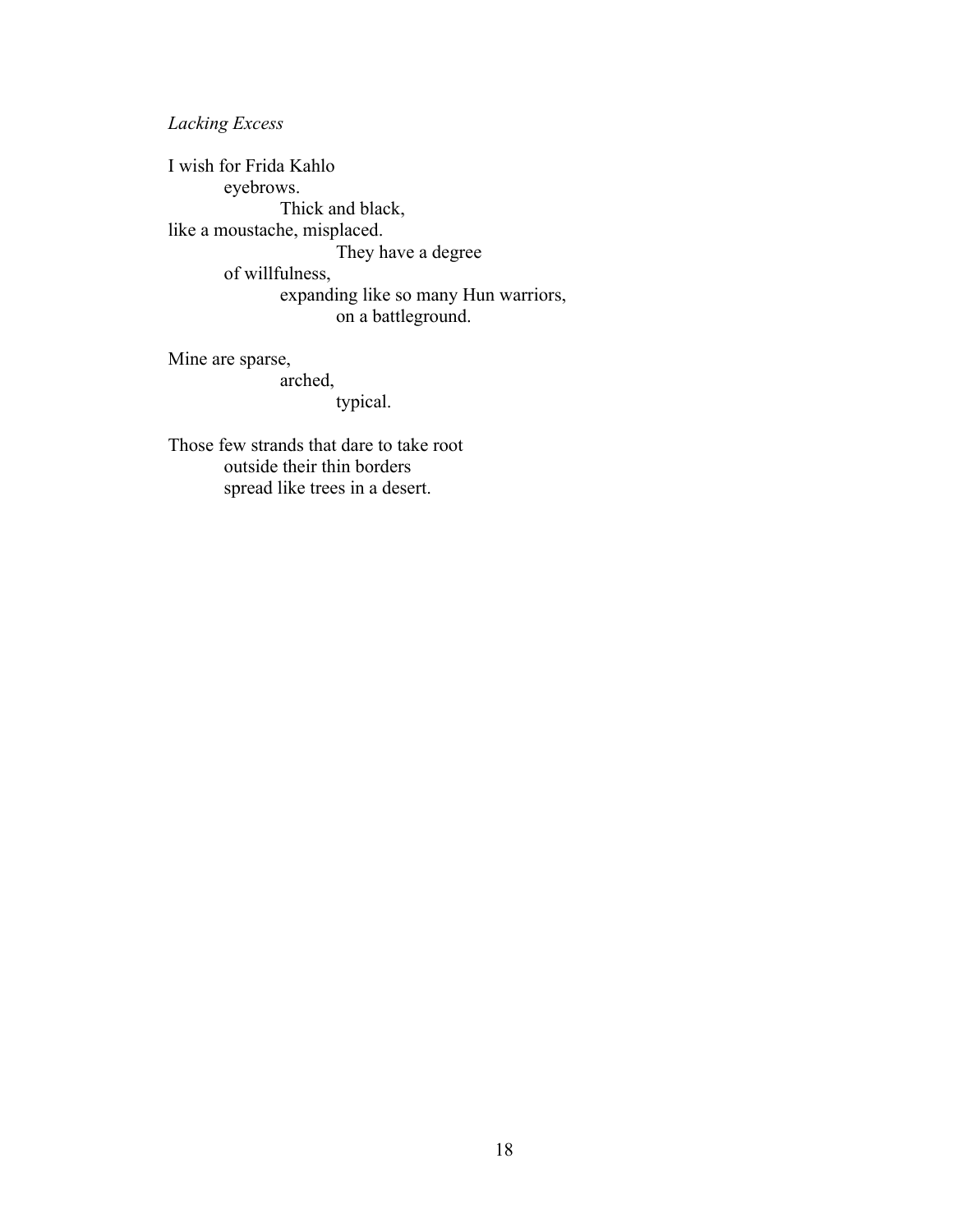*Lacking Excess*

I wish for Frida Kahlo eyebrows. Thick and black, like a moustache, misplaced. They have a degree of willfulness, expanding like so many Hun warriors, on a battleground.

Mine are sparse, arched,

typical.

Those few strands that dare to take root outside their thin borders spread like trees in a desert.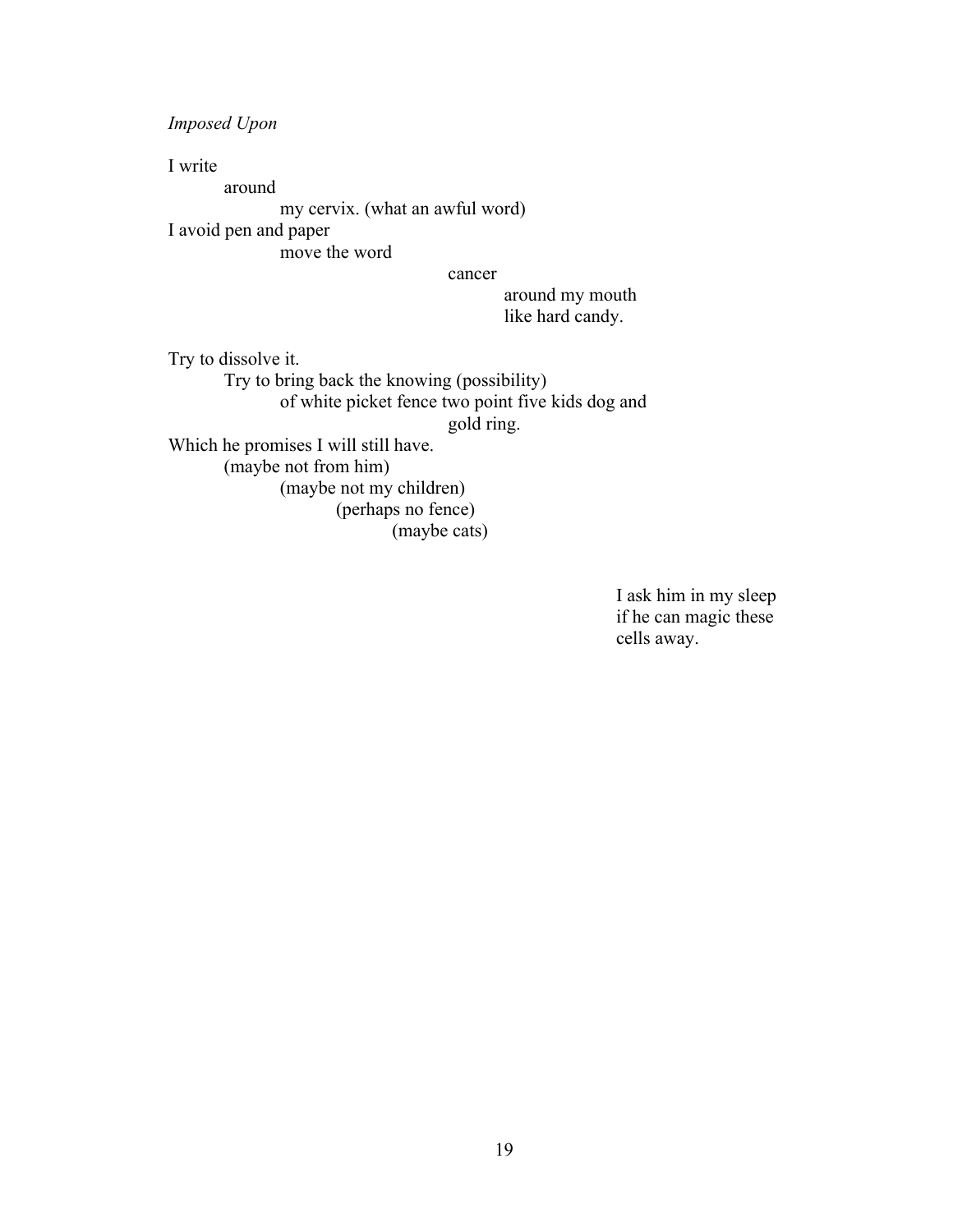*Imposed Upon*

I write around my cervix. (what an awful word) I avoid pen and paper move the word

cancer

around my mouth like hard candy.

Try to dissolve it. Try to bring back the knowing (possibility) of white picket fence two point five kids dog and gold ring. Which he promises I will still have. (maybe not from him) (maybe not my children) (perhaps no fence)

(maybe cats)

I ask him in my sleep if he can magic these cells away.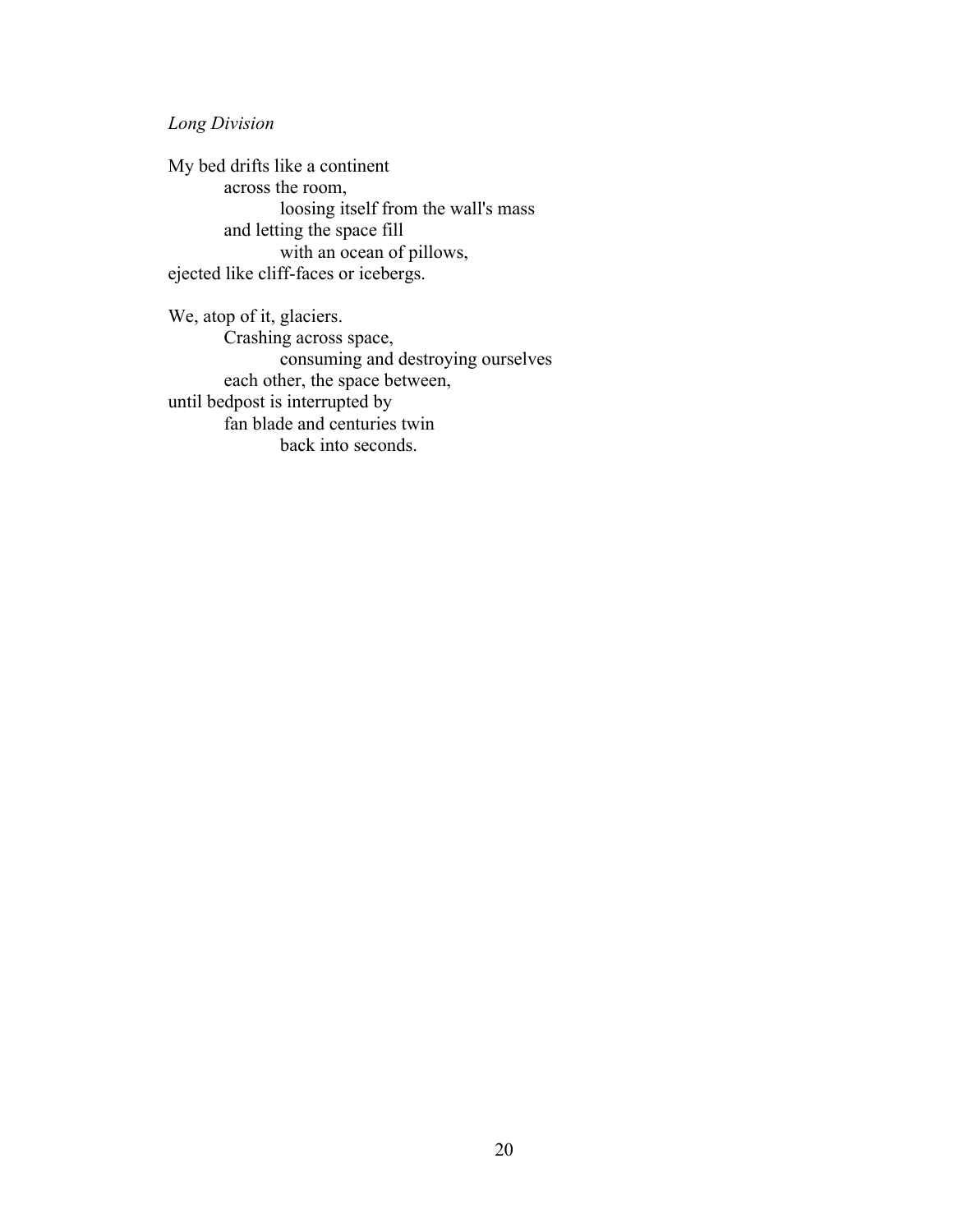## *Long Division*

My bed drifts like a continent across the room, loosing itself from the wall's mass and letting the space fill with an ocean of pillows, ejected like cliff-faces or icebergs.

We, atop of it, glaciers. Crashing across space, consuming and destroying ourselves each other, the space between, until bedpost is interrupted by fan blade and centuries twin back into seconds.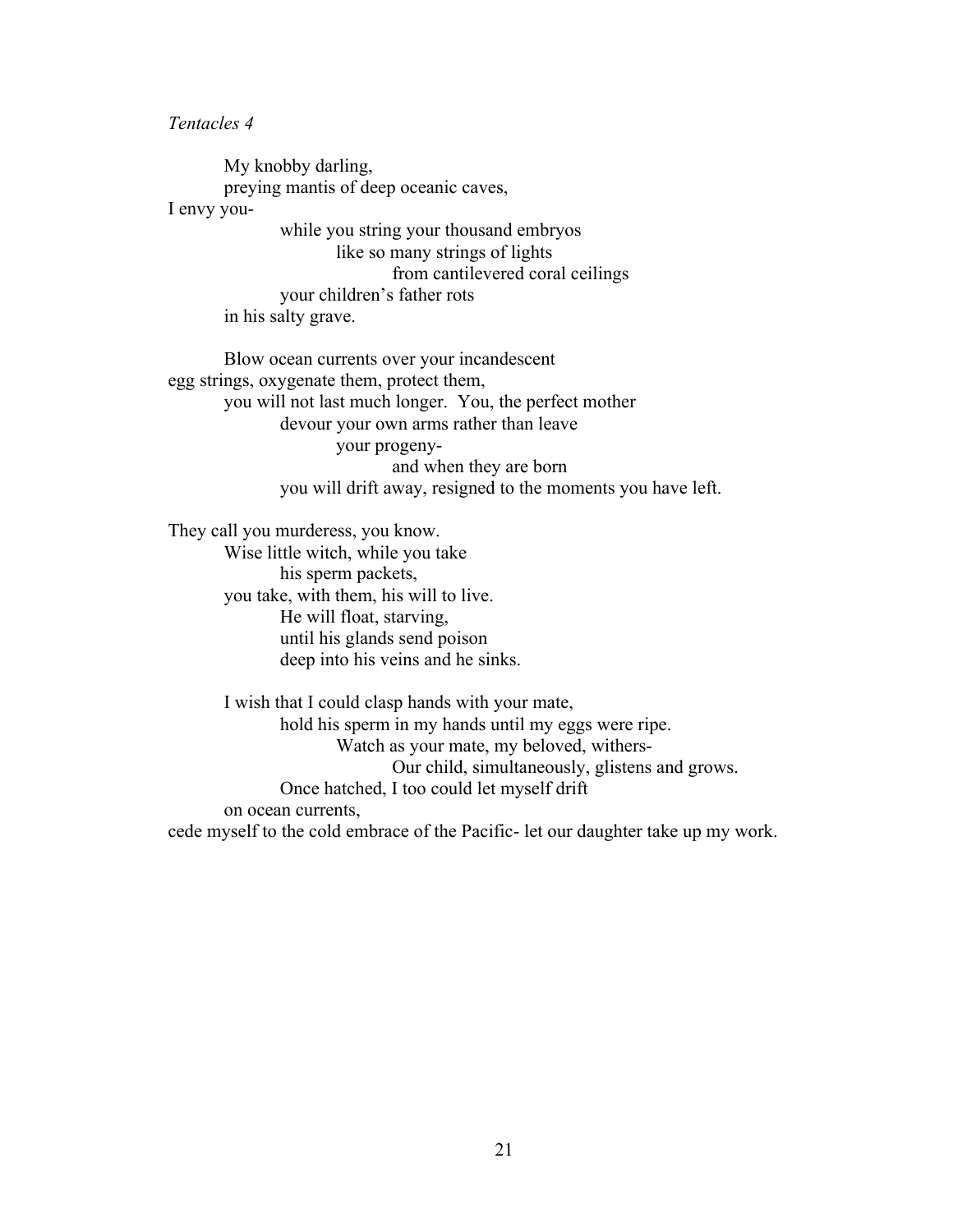*Tentacles 4*

My knobby darling, preying mantis of deep oceanic caves, I envy youwhile you string your thousand embryos like so many strings of lights from cantilevered coral ceilings your children's father rots in his salty grave.

Blow ocean currents over your incandescent egg strings, oxygenate them, protect them, you will not last much longer. You, the perfect mother devour your own arms rather than leave your progenyand when they are born you will drift away, resigned to the moments you have left.

They call you murderess, you know.

Wise little witch, while you take his sperm packets, you take, with them, his will to live. He will float, starving, until his glands send poison deep into his veins and he sinks.

I wish that I could clasp hands with your mate, hold his sperm in my hands until my eggs were ripe. Watch as your mate, my beloved, withers-Our child, simultaneously, glistens and grows. Once hatched, I too could let myself drift on ocean currents,

cede myself to the cold embrace of the Pacific- let our daughter take up my work.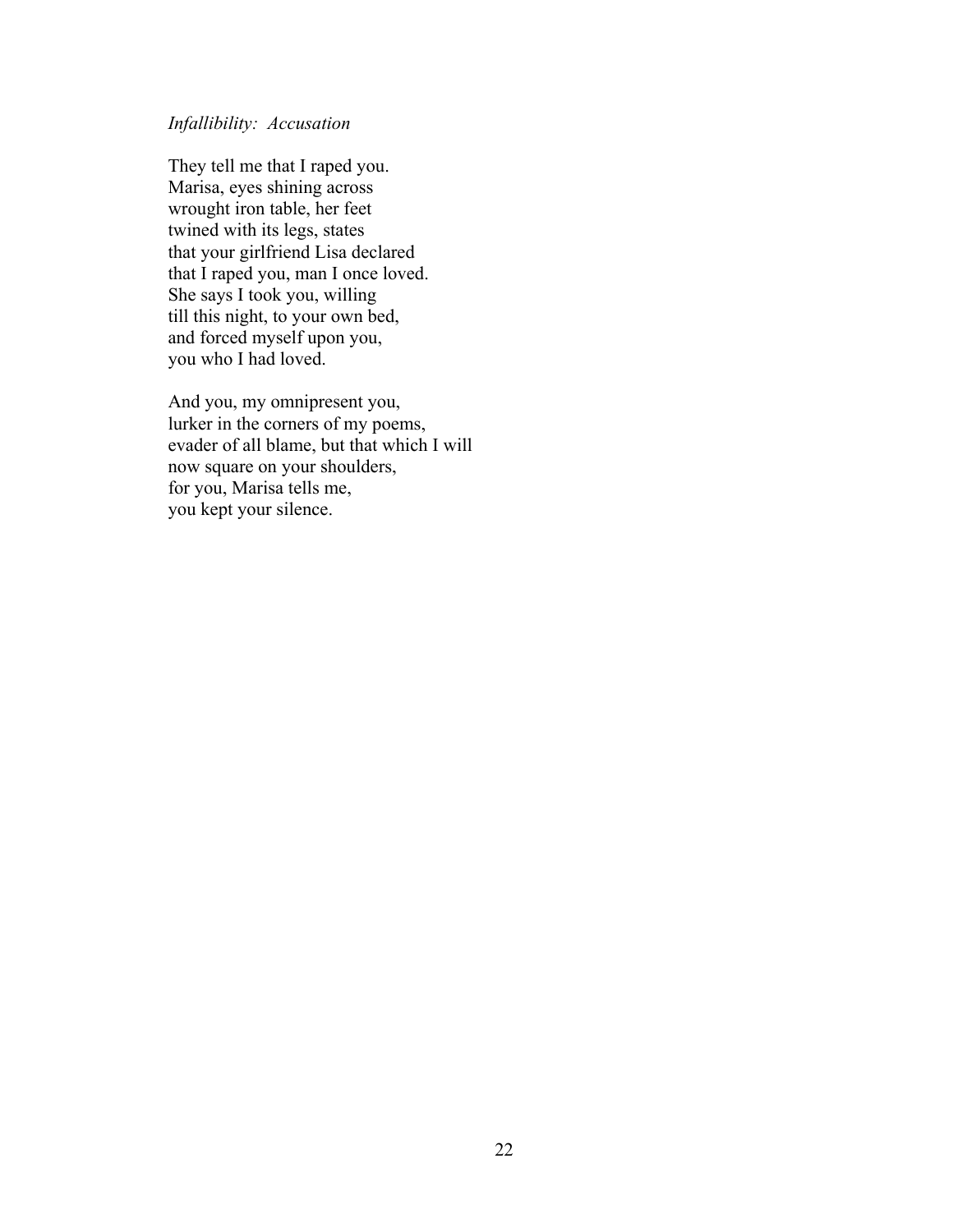### *Infallibility: Accusation*

They tell me that I raped you. Marisa, eyes shining across wrought iron table, her feet twined with its legs, states that your girlfriend Lisa declared that I raped you, man I once loved. She says I took you, willing till this night, to your own bed, and forced myself upon you, you who I had loved.

And you, my omnipresent you, lurker in the corners of my poems, evader of all blame, but that which I will now square on your shoulders, for you, Marisa tells me, you kept your silence.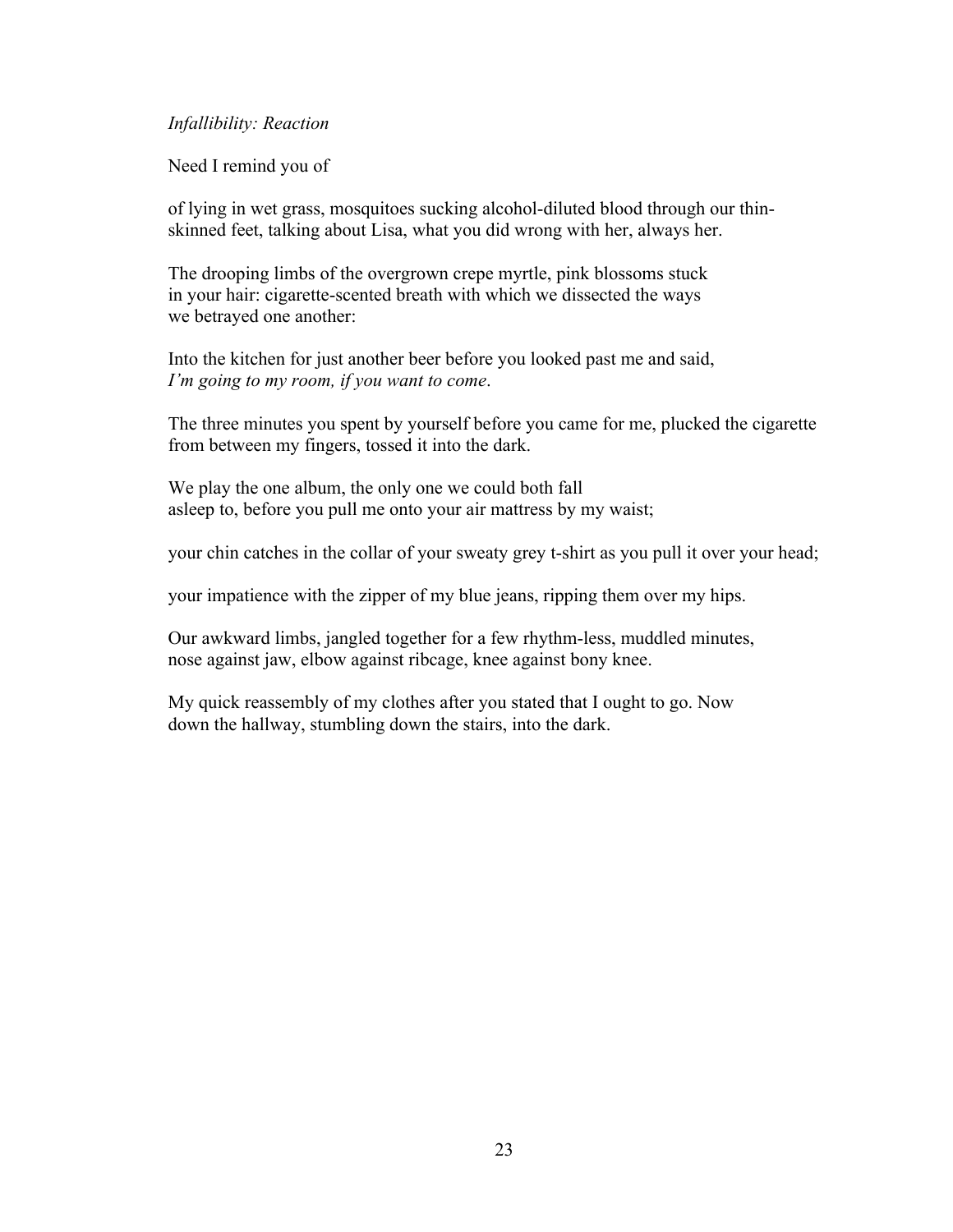### *Infallibility: Reaction*

Need I remind you of

of lying in wet grass, mosquitoes sucking alcohol-diluted blood through our thinskinned feet, talking about Lisa, what you did wrong with her, always her.

The drooping limbs of the overgrown crepe myrtle, pink blossoms stuck in your hair: cigarette-scented breath with which we dissected the ways we betrayed one another:

Into the kitchen for just another beer before you looked past me and said, *I'm going to my room, if you want to come*.

The three minutes you spent by yourself before you came for me, plucked the cigarette from between my fingers, tossed it into the dark.

We play the one album, the only one we could both fall asleep to, before you pull me onto your air mattress by my waist;

your chin catches in the collar of your sweaty grey t-shirt as you pull it over your head;

your impatience with the zipper of my blue jeans, ripping them over my hips.

Our awkward limbs, jangled together for a few rhythm-less, muddled minutes, nose against jaw, elbow against ribcage, knee against bony knee.

My quick reassembly of my clothes after you stated that I ought to go. Now down the hallway, stumbling down the stairs, into the dark.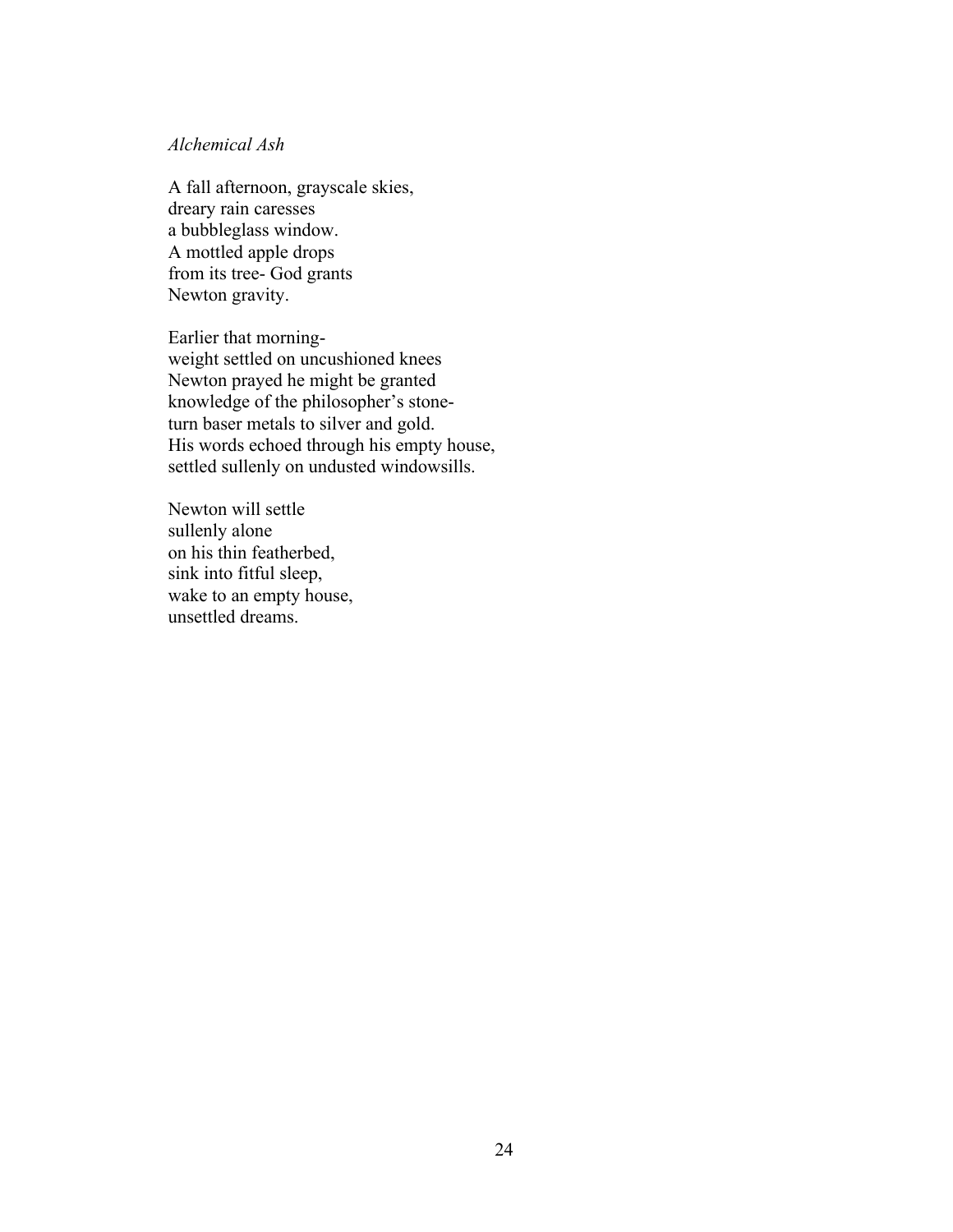### *Alchemical Ash*

A fall afternoon, grayscale skies, dreary rain caresses a bubbleglass window. A mottled apple drops from its tree- God grants Newton gravity.

Earlier that morningweight settled on uncushioned knees Newton prayed he might be granted knowledge of the philosopher's stoneturn baser metals to silver and gold. His words echoed through his empty house, settled sullenly on undusted windowsills.

Newton will settle sullenly alone on his thin featherbed, sink into fitful sleep, wake to an empty house, unsettled dreams.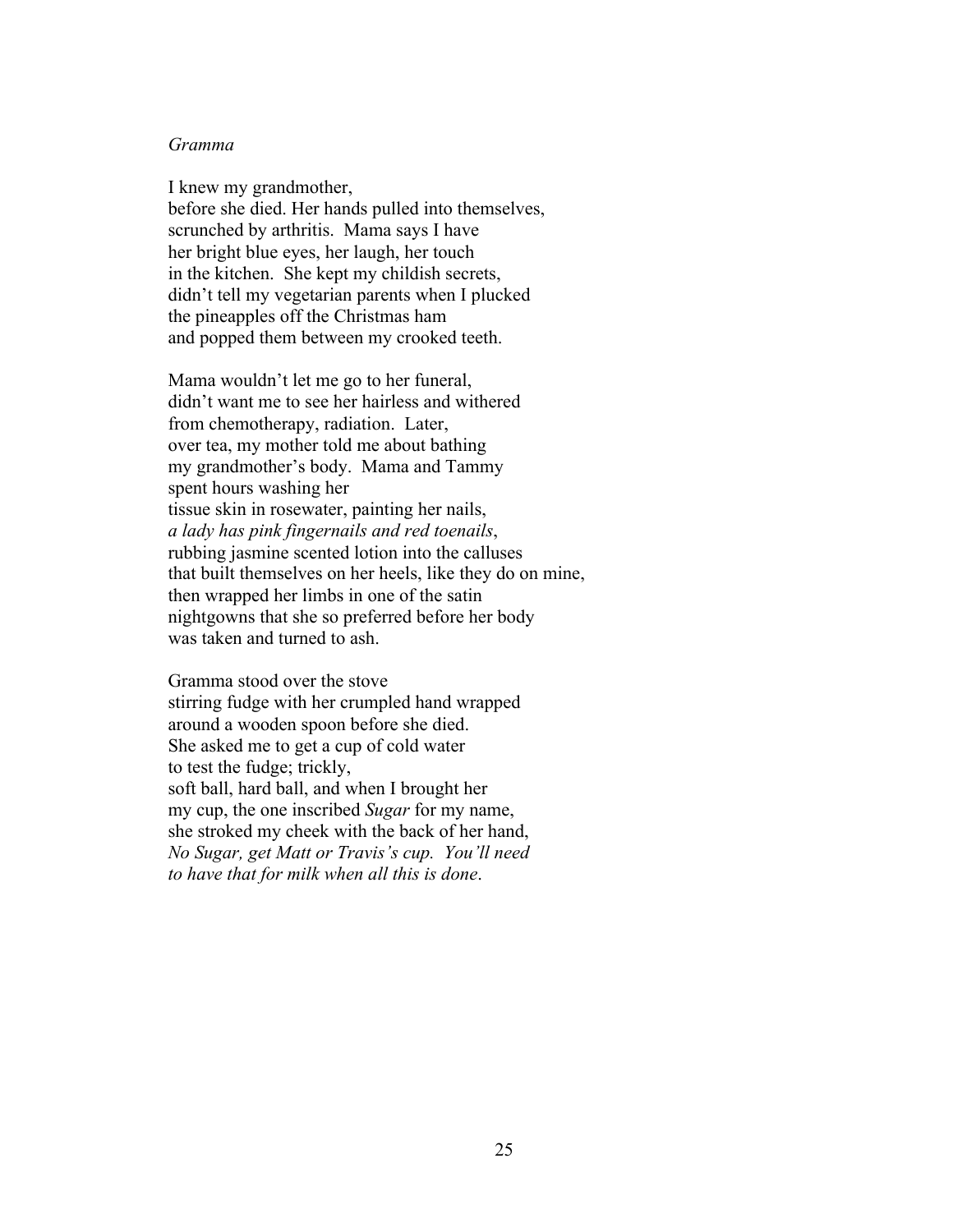### *Gramma*

I knew my grandmother, before she died. Her hands pulled into themselves, scrunched by arthritis. Mama says I have her bright blue eyes, her laugh, her touch in the kitchen. She kept my childish secrets, didn't tell my vegetarian parents when I plucked the pineapples off the Christmas ham and popped them between my crooked teeth.

Mama wouldn't let me go to her funeral, didn't want me to see her hairless and withered from chemotherapy, radiation. Later, over tea, my mother told me about bathing my grandmother's body. Mama and Tammy spent hours washing her tissue skin in rosewater, painting her nails, *a lady has pink fingernails and red toenails*, rubbing jasmine scented lotion into the calluses that built themselves on her heels, like they do on mine, then wrapped her limbs in one of the satin nightgowns that she so preferred before her body was taken and turned to ash.

Gramma stood over the stove stirring fudge with her crumpled hand wrapped around a wooden spoon before she died. She asked me to get a cup of cold water to test the fudge; trickly, soft ball, hard ball, and when I brought her my cup, the one inscribed *Sugar* for my name, she stroked my cheek with the back of her hand, *No Sugar, get Matt or Travis's cup. You'll need to have that for milk when all this is done*.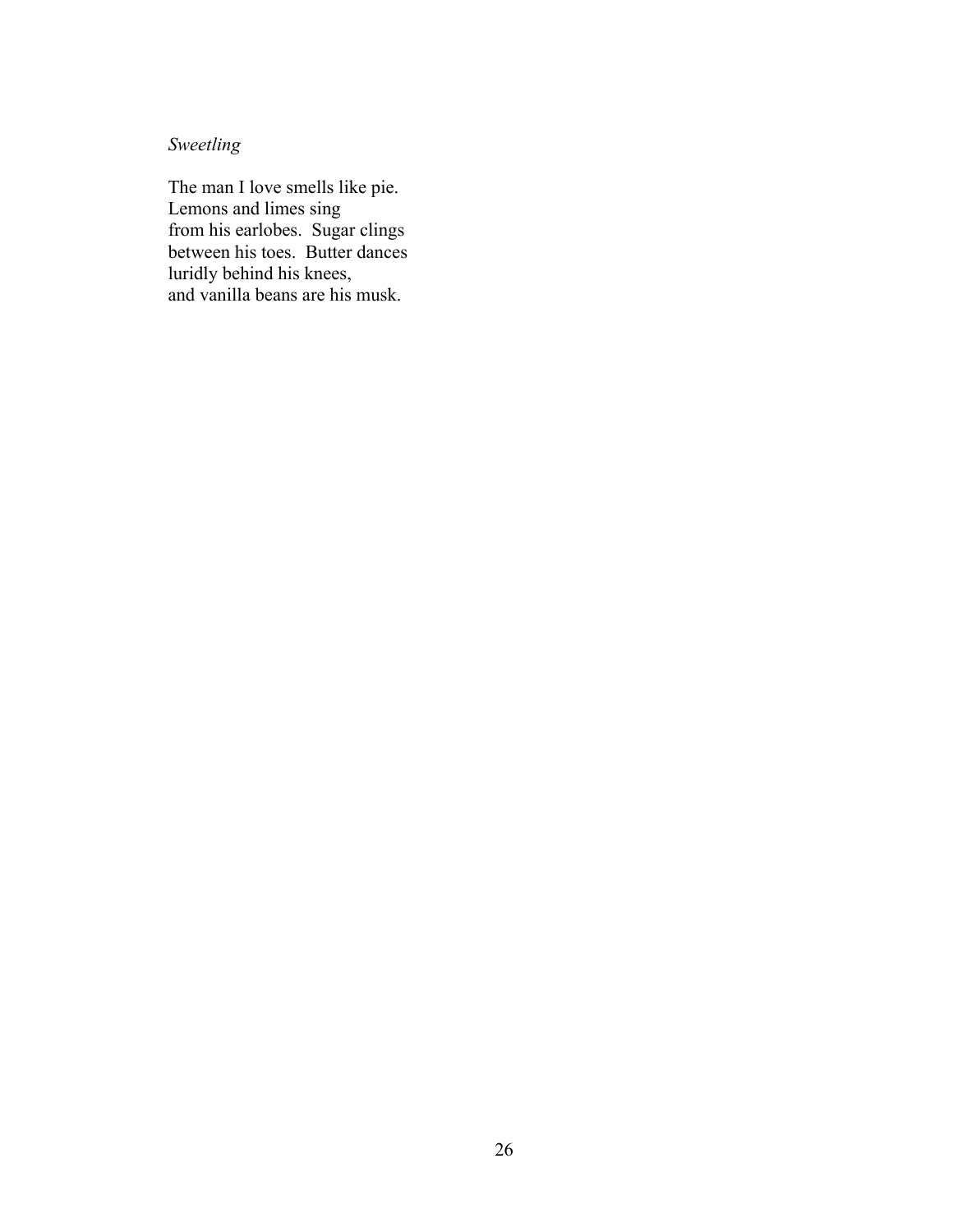# *Sweetling*

The man I love smells like pie. Lemons and limes sing from his earlobes. Sugar clings between his toes. Butter dances luridly behind his knees, and vanilla beans are his musk.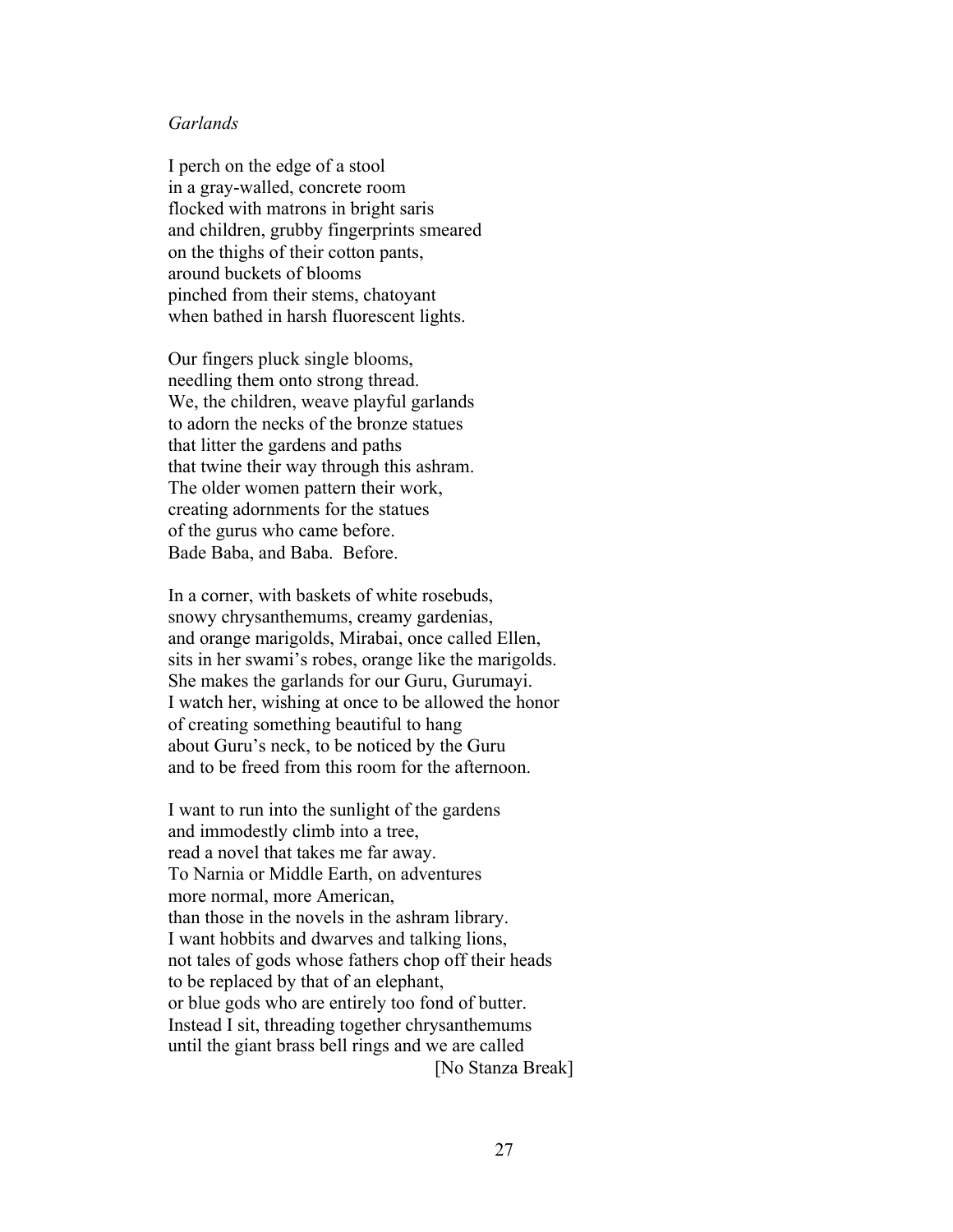### *Garlands*

I perch on the edge of a stool in a gray-walled, concrete room flocked with matrons in bright saris and children, grubby fingerprints smeared on the thighs of their cotton pants, around buckets of blooms pinched from their stems, chatoyant when bathed in harsh fluorescent lights.

Our fingers pluck single blooms, needling them onto strong thread. We, the children, weave playful garlands to adorn the necks of the bronze statues that litter the gardens and paths that twine their way through this ashram. The older women pattern their work, creating adornments for the statues of the gurus who came before. Bade Baba, and Baba. Before.

In a corner, with baskets of white rosebuds, snowy chrysanthemums, creamy gardenias, and orange marigolds, Mirabai, once called Ellen, sits in her swami's robes, orange like the marigolds. She makes the garlands for our Guru, Gurumayi. I watch her, wishing at once to be allowed the honor of creating something beautiful to hang about Guru's neck, to be noticed by the Guru and to be freed from this room for the afternoon.

I want to run into the sunlight of the gardens and immodestly climb into a tree, read a novel that takes me far away. To Narnia or Middle Earth, on adventures more normal, more American, than those in the novels in the ashram library. I want hobbits and dwarves and talking lions, not tales of gods whose fathers chop off their heads to be replaced by that of an elephant, or blue gods who are entirely too fond of butter. Instead I sit, threading together chrysanthemums until the giant brass bell rings and we are called [No Stanza Break]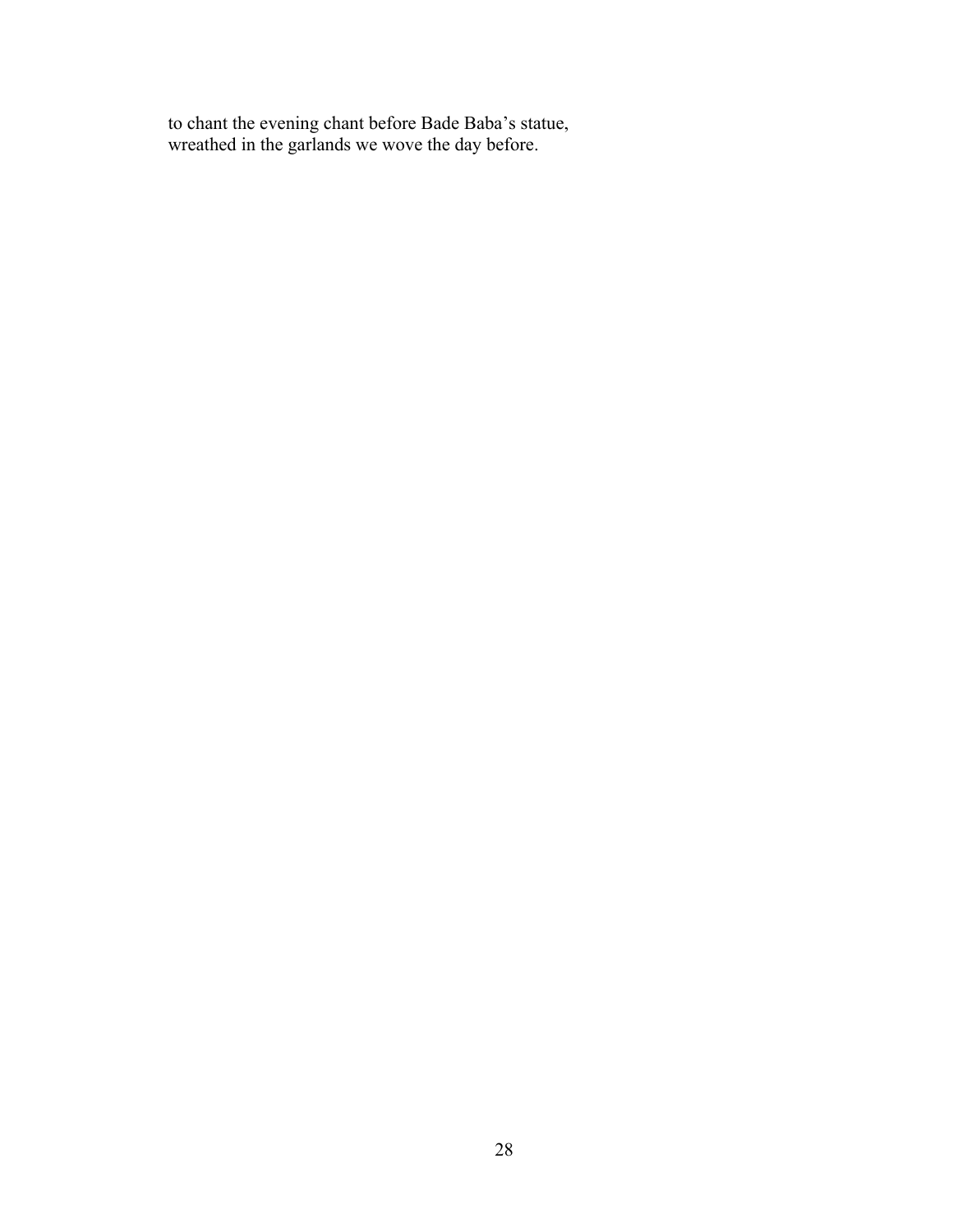to chant the evening chant before Bade Baba's statue, wreathed in the garlands we wove the day before.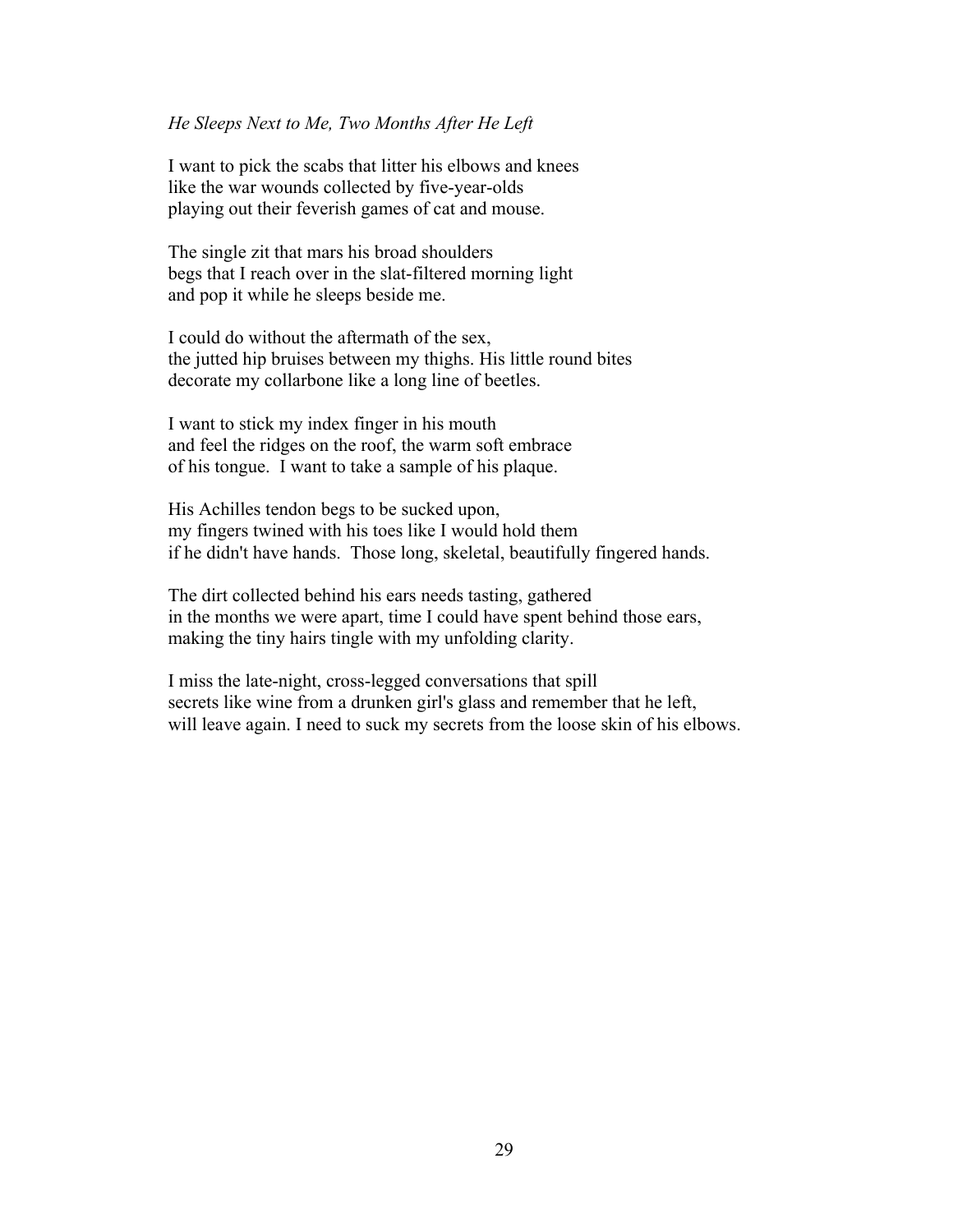### *He Sleeps Next to Me, Two Months After He Left*

I want to pick the scabs that litter his elbows and knees like the war wounds collected by five-year-olds playing out their feverish games of cat and mouse.

The single zit that mars his broad shoulders begs that I reach over in the slat-filtered morning light and pop it while he sleeps beside me.

I could do without the aftermath of the sex, the jutted hip bruises between my thighs. His little round bites decorate my collarbone like a long line of beetles.

I want to stick my index finger in his mouth and feel the ridges on the roof, the warm soft embrace of his tongue. I want to take a sample of his plaque.

His Achilles tendon begs to be sucked upon, my fingers twined with his toes like I would hold them if he didn't have hands. Those long, skeletal, beautifully fingered hands.

The dirt collected behind his ears needs tasting, gathered in the months we were apart, time I could have spent behind those ears, making the tiny hairs tingle with my unfolding clarity.

I miss the late-night, cross-legged conversations that spill secrets like wine from a drunken girl's glass and remember that he left, will leave again. I need to suck my secrets from the loose skin of his elbows.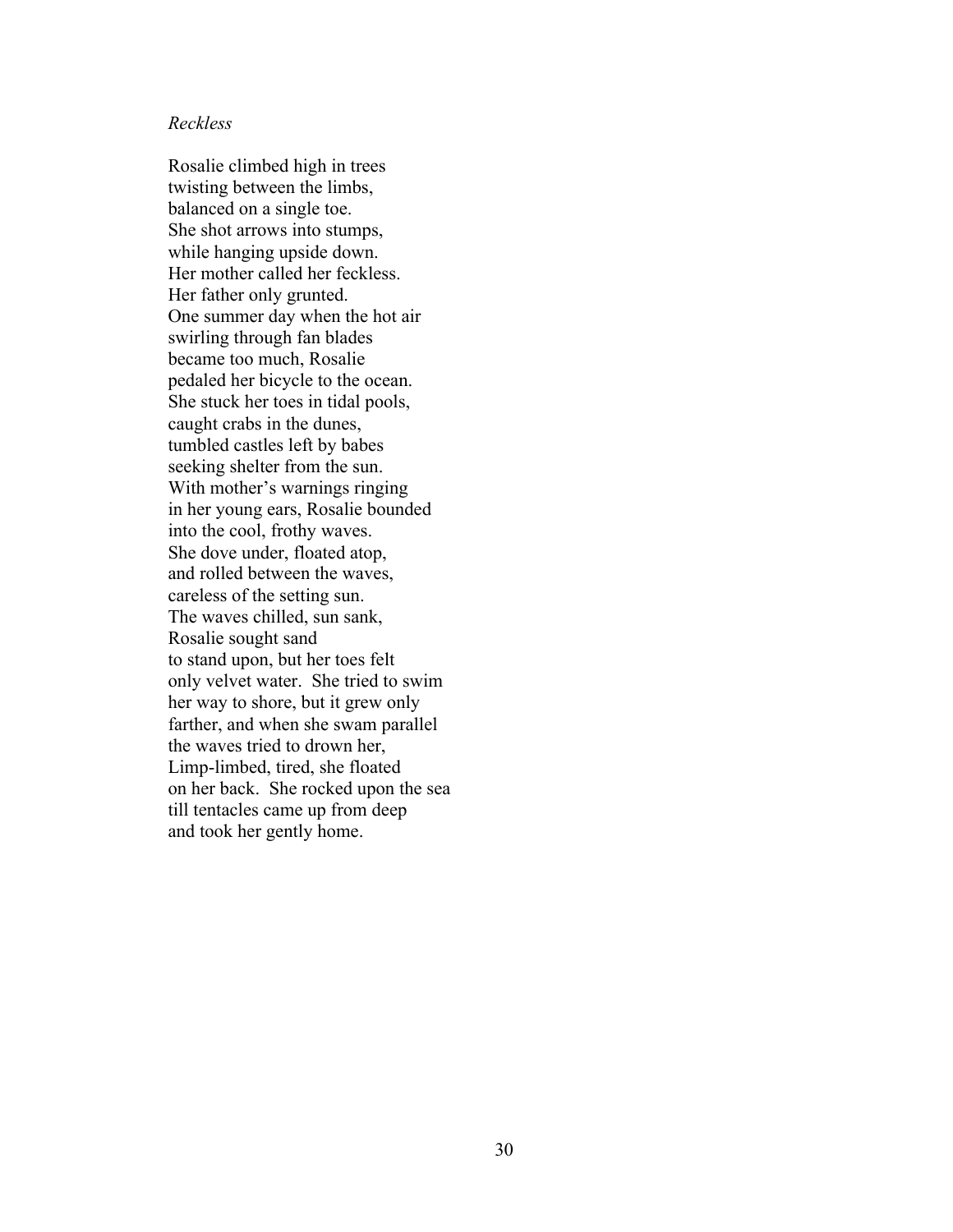### *Reckless*

Rosalie climbed high in trees twisting between the limbs, balanced on a single toe. She shot arrows into stumps, while hanging upside down. Her mother called her feckless. Her father only grunted. One summer day when the hot air swirling through fan blades became too much, Rosalie pedaled her bicycle to the ocean. She stuck her toes in tidal pools, caught crabs in the dunes, tumbled castles left by babes seeking shelter from the sun. With mother's warnings ringing in her young ears, Rosalie bounded into the cool, frothy waves. She dove under, floated atop, and rolled between the waves, careless of the setting sun. The waves chilled, sun sank, Rosalie sought sand to stand upon, but her toes felt only velvet water. She tried to swim her way to shore, but it grew only farther, and when she swam parallel the waves tried to drown her, Limp-limbed, tired, she floated on her back. She rocked upon the sea till tentacles came up from deep and took her gently home.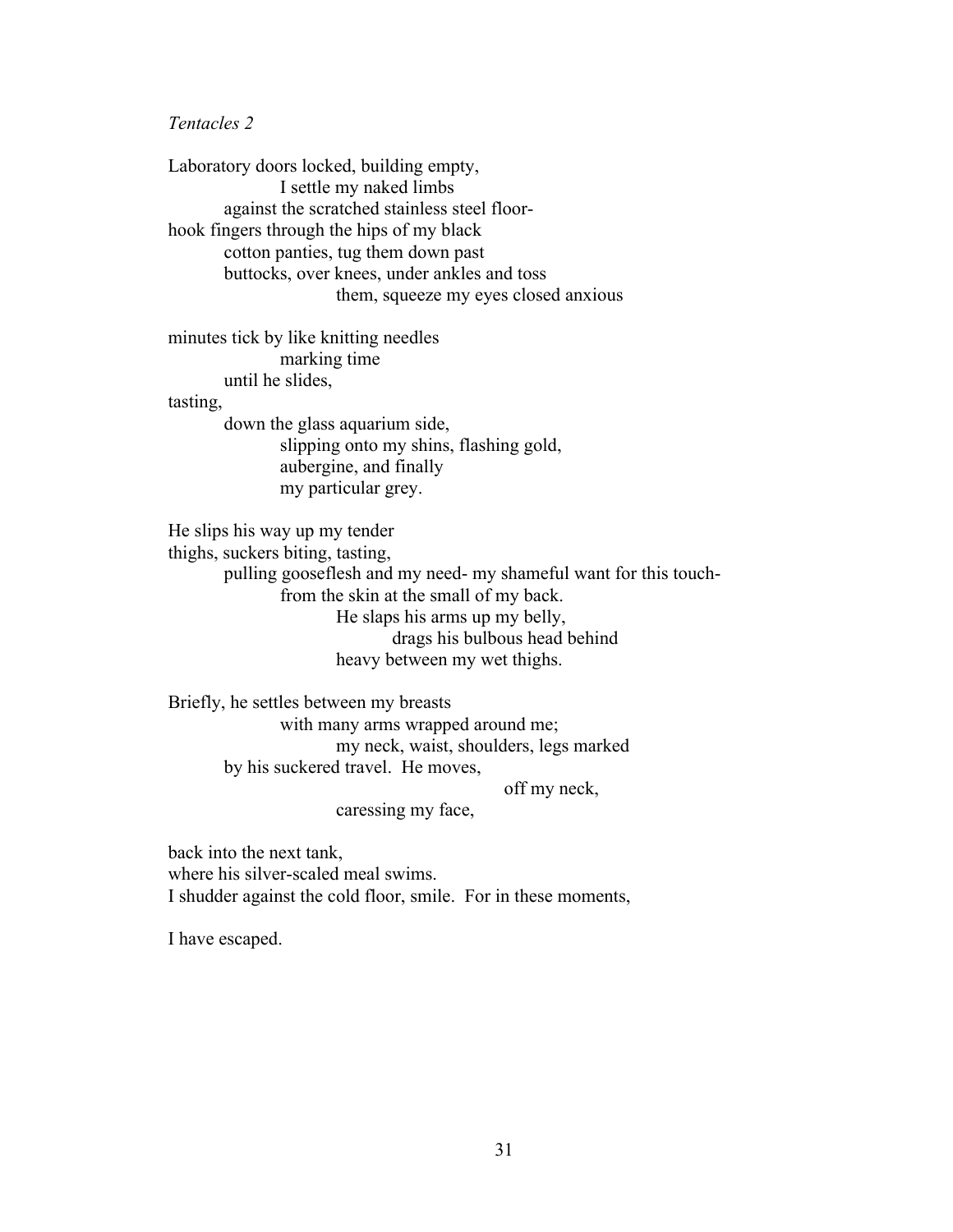*Tentacles 2*

Laboratory doors locked, building empty, I settle my naked limbs against the scratched stainless steel floorhook fingers through the hips of my black cotton panties, tug them down past buttocks, over knees, under ankles and toss them, squeeze my eyes closed anxious

minutes tick by like knitting needles marking time until he slides, tasting,

down the glass aquarium side, slipping onto my shins, flashing gold, aubergine, and finally my particular grey.

He slips his way up my tender

thighs, suckers biting, tasting,

pulling gooseflesh and my need- my shameful want for this touchfrom the skin at the small of my back. He slaps his arms up my belly,

drags his bulbous head behind

# heavy between my wet thighs.

Briefly, he settles between my breasts with many arms wrapped around me; my neck, waist, shoulders, legs marked by his suckered travel. He moves,

off my neck,

caressing my face,

back into the next tank, where his silver-scaled meal swims. I shudder against the cold floor, smile. For in these moments,

I have escaped.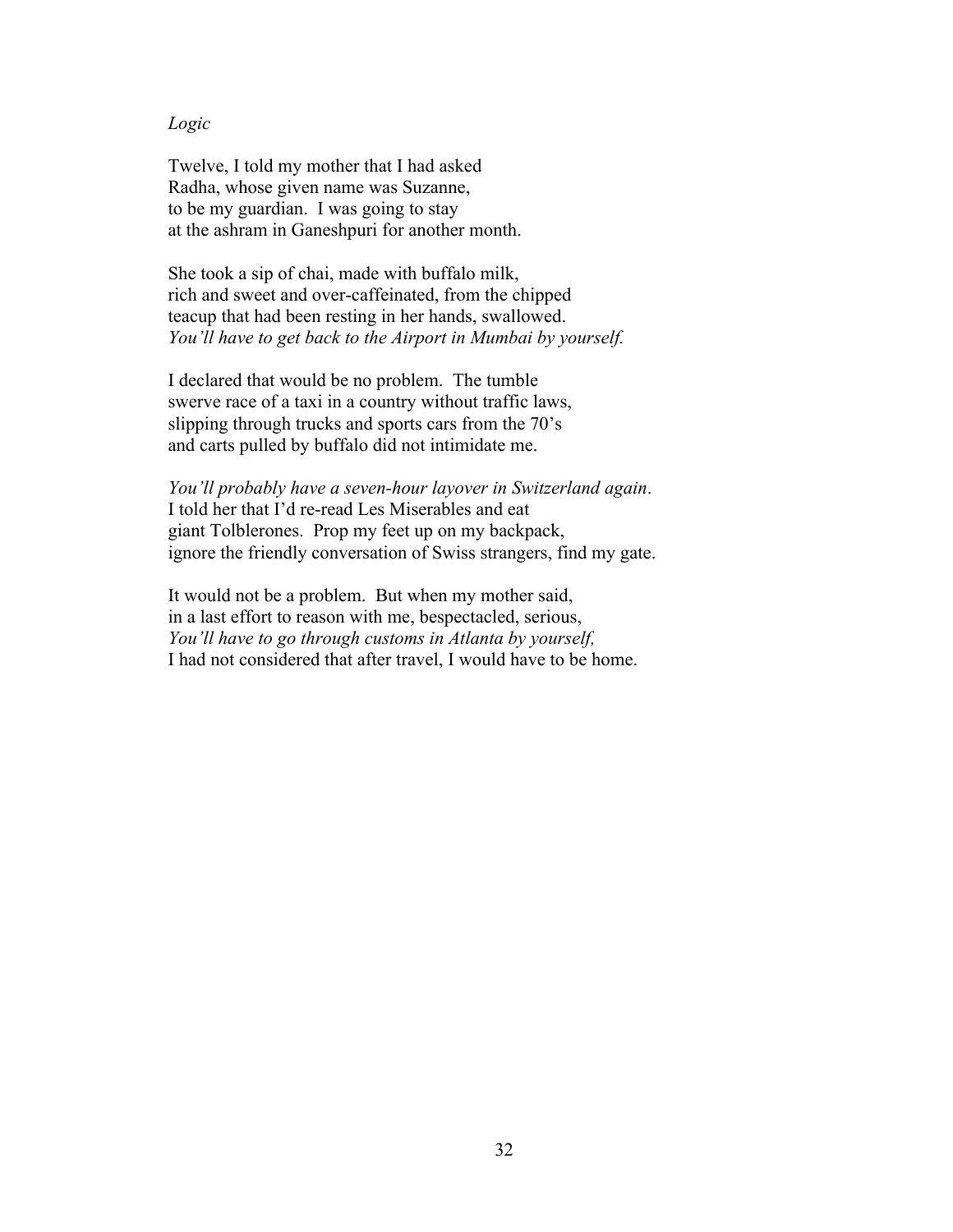### *Logic*

Twelve, I told my mother that I had asked Radha, whose given name was Suzanne, to be my guardian. I was going to stay at the ashram in Ganeshpuri for another month.

She took a sip of chai, made with buffalo milk, rich and sweet and over-caffeinated, from the chipped teacup that had been resting in her hands, swallowed. *You'll have to get back to the Airport in Mumbai by yourself.*

I declared that would be no problem. The tumble swerve race of a taxi in a country without traffic laws, slipping through trucks and sports cars from the 70's and carts pulled by buffalo did not intimidate me.

*You'll probably have a seven-hour layover in Switzerland again*. I told her that I'd re-read Les Miserables and eat giant Tolblerones. Prop my feet up on my backpack, ignore the friendly conversation of Swiss strangers, find my gate.

It would not be a problem. But when my mother said, in a last effort to reason with me, bespectacled, serious, *You'll have to go through customs in Atlanta by yourself,* I had not considered that after travel, I would have to be home.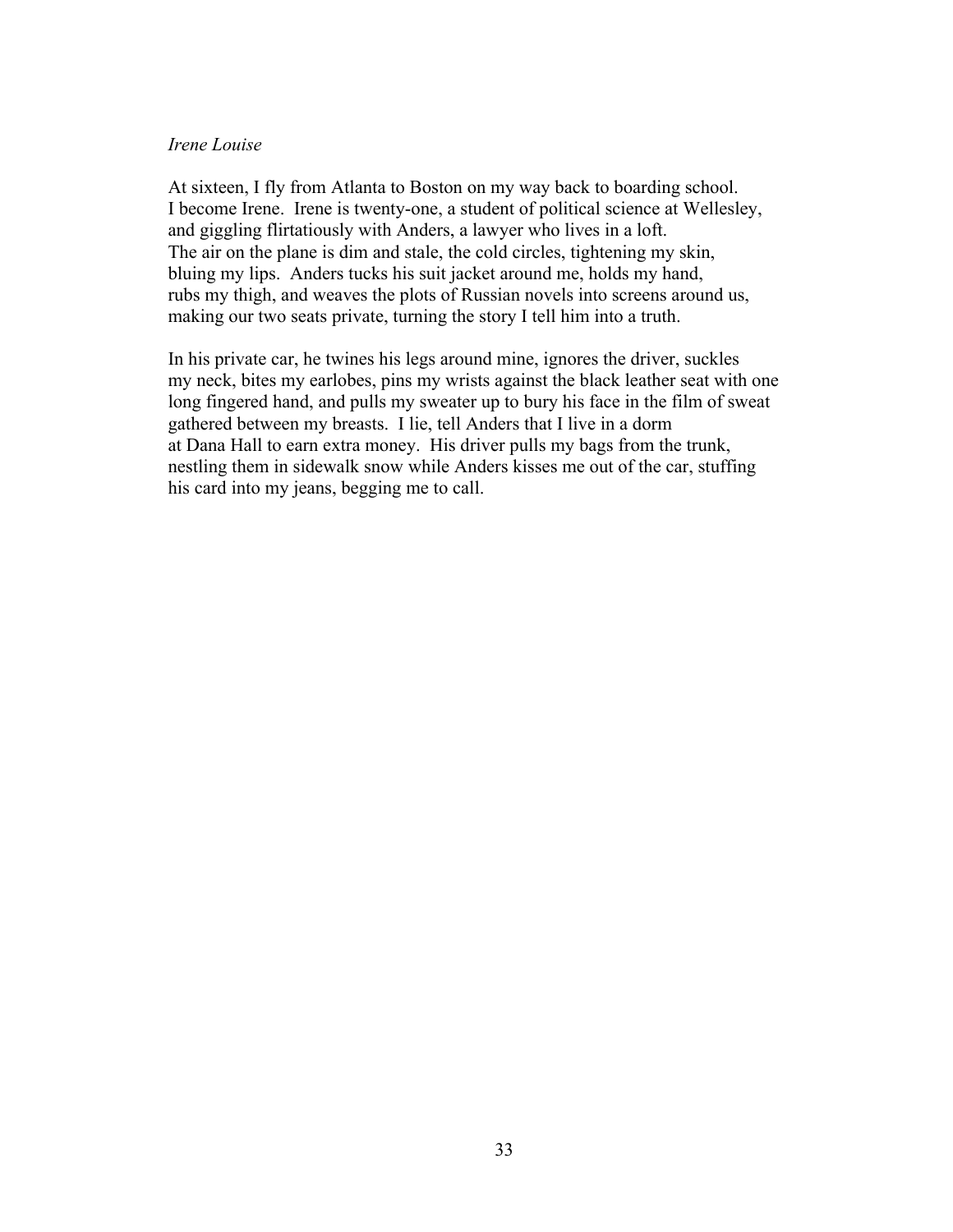### *Irene Louise*

At sixteen, I fly from Atlanta to Boston on my way back to boarding school. I become Irene. Irene is twenty-one, a student of political science at Wellesley, and giggling flirtatiously with Anders, a lawyer who lives in a loft. The air on the plane is dim and stale, the cold circles, tightening my skin, bluing my lips. Anders tucks his suit jacket around me, holds my hand, rubs my thigh, and weaves the plots of Russian novels into screens around us, making our two seats private, turning the story I tell him into a truth.

In his private car, he twines his legs around mine, ignores the driver, suckles my neck, bites my earlobes, pins my wrists against the black leather seat with one long fingered hand, and pulls my sweater up to bury his face in the film of sweat gathered between my breasts. I lie, tell Anders that I live in a dorm at Dana Hall to earn extra money. His driver pulls my bags from the trunk, nestling them in sidewalk snow while Anders kisses me out of the car, stuffing his card into my jeans, begging me to call.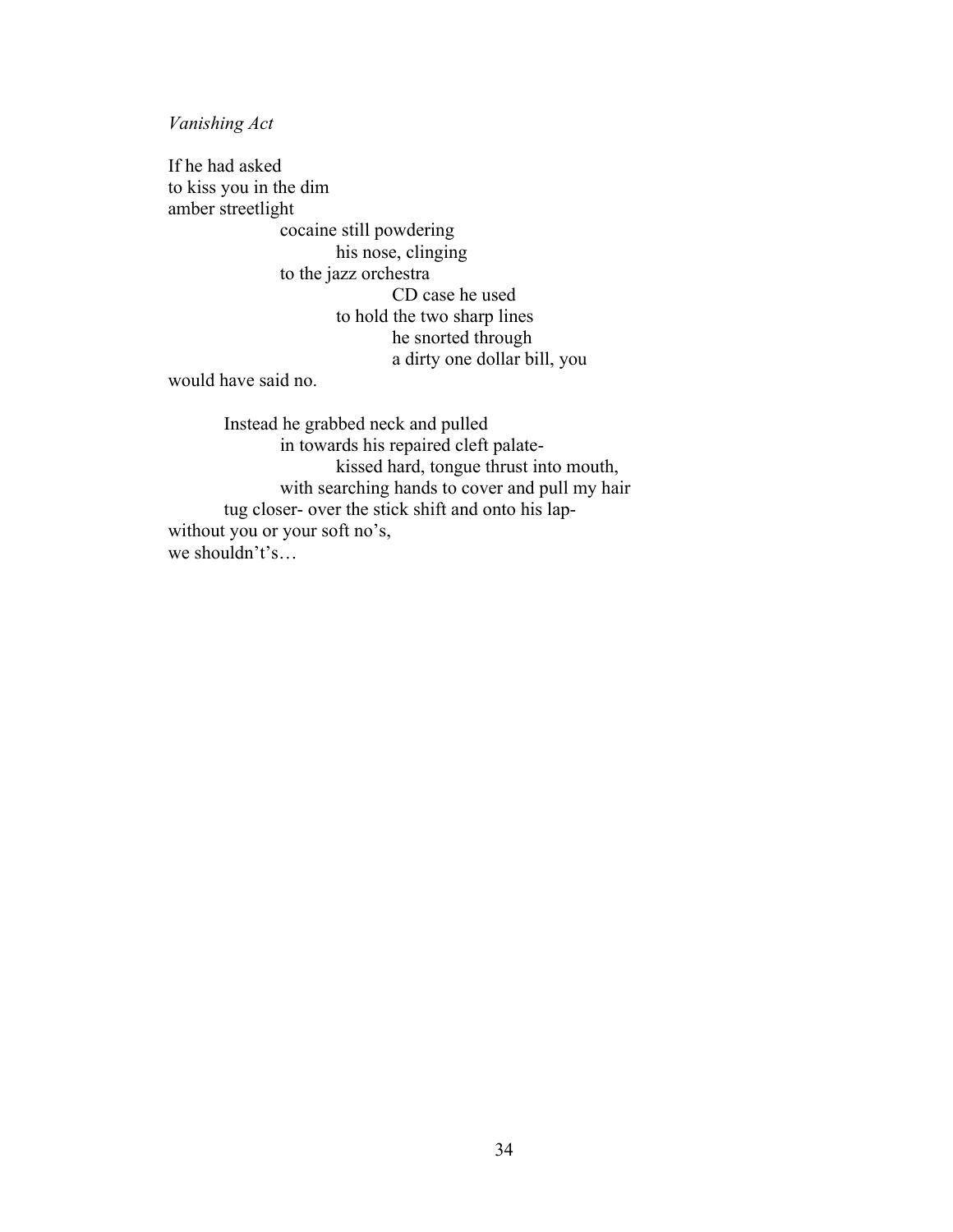*Vanishing Act*

If he had asked to kiss you in the dim amber streetlight cocaine still powdering his nose, clinging to the jazz orchestra CD case he used to hold the two sharp lines he snorted through a dirty one dollar bill, you

would have said no.

Instead he grabbed neck and pulled in towards his repaired cleft palatekissed hard, tongue thrust into mouth, with searching hands to cover and pull my hair tug closer- over the stick shift and onto his lapwithout you or your soft no's, we shouldn't's…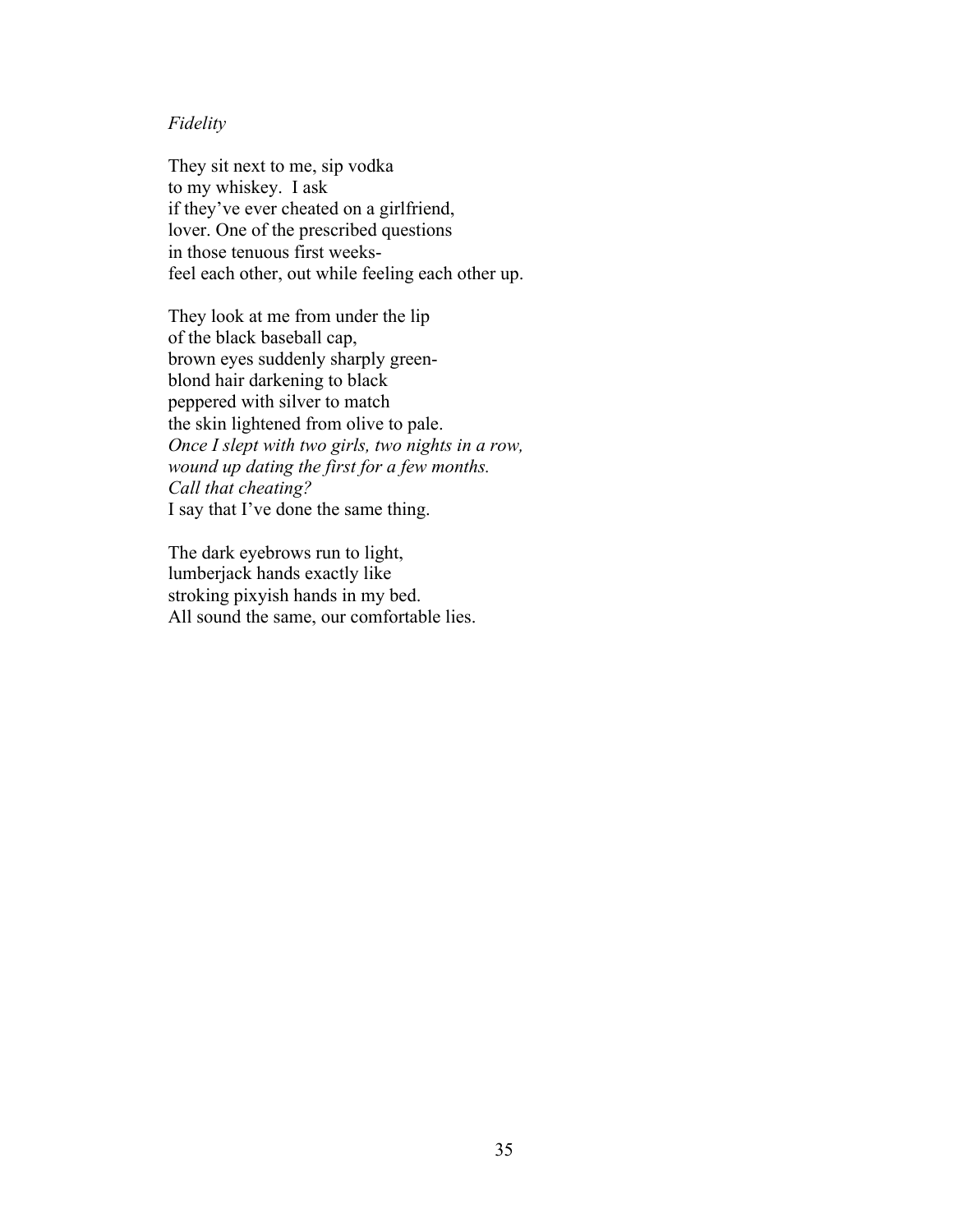### *Fidelity*

They sit next to me, sip vodka to my whiskey. I ask if they've ever cheated on a girlfriend, lover. One of the prescribed questions in those tenuous first weeksfeel each other, out while feeling each other up.

They look at me from under the lip of the black baseball cap, brown eyes suddenly sharply greenblond hair darkening to black peppered with silver to match the skin lightened from olive to pale. *Once I slept with two girls, two nights in a row, wound up dating the first for a few months. Call that cheating?* I say that I've done the same thing.

The dark eyebrows run to light, lumberjack hands exactly like stroking pixyish hands in my bed. All sound the same, our comfortable lies.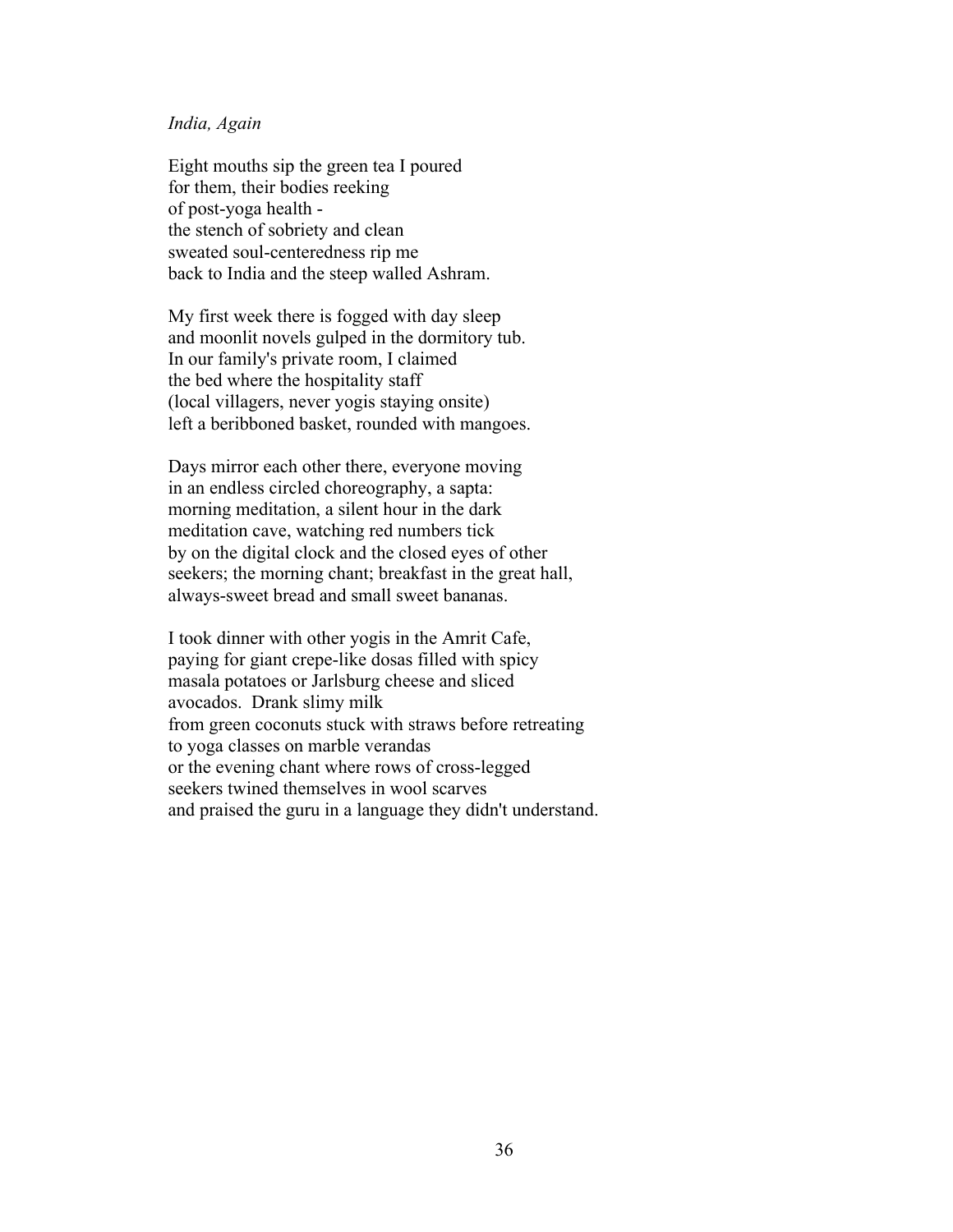#### *India, Again*

Eight mouths sip the green tea I poured for them, their bodies reeking of post-yoga health the stench of sobriety and clean sweated soul-centeredness rip me back to India and the steep walled Ashram.

My first week there is fogged with day sleep and moonlit novels gulped in the dormitory tub. In our family's private room, I claimed the bed where the hospitality staff (local villagers, never yogis staying onsite) left a beribboned basket, rounded with mangoes.

Days mirror each other there, everyone moving in an endless circled choreography, a sapta: morning meditation, a silent hour in the dark meditation cave, watching red numbers tick by on the digital clock and the closed eyes of other seekers; the morning chant; breakfast in the great hall, always-sweet bread and small sweet bananas.

I took dinner with other yogis in the Amrit Cafe, paying for giant crepe-like dosas filled with spicy masala potatoes or Jarlsburg cheese and sliced avocados. Drank slimy milk from green coconuts stuck with straws before retreating to yoga classes on marble verandas or the evening chant where rows of cross-legged seekers twined themselves in wool scarves and praised the guru in a language they didn't understand.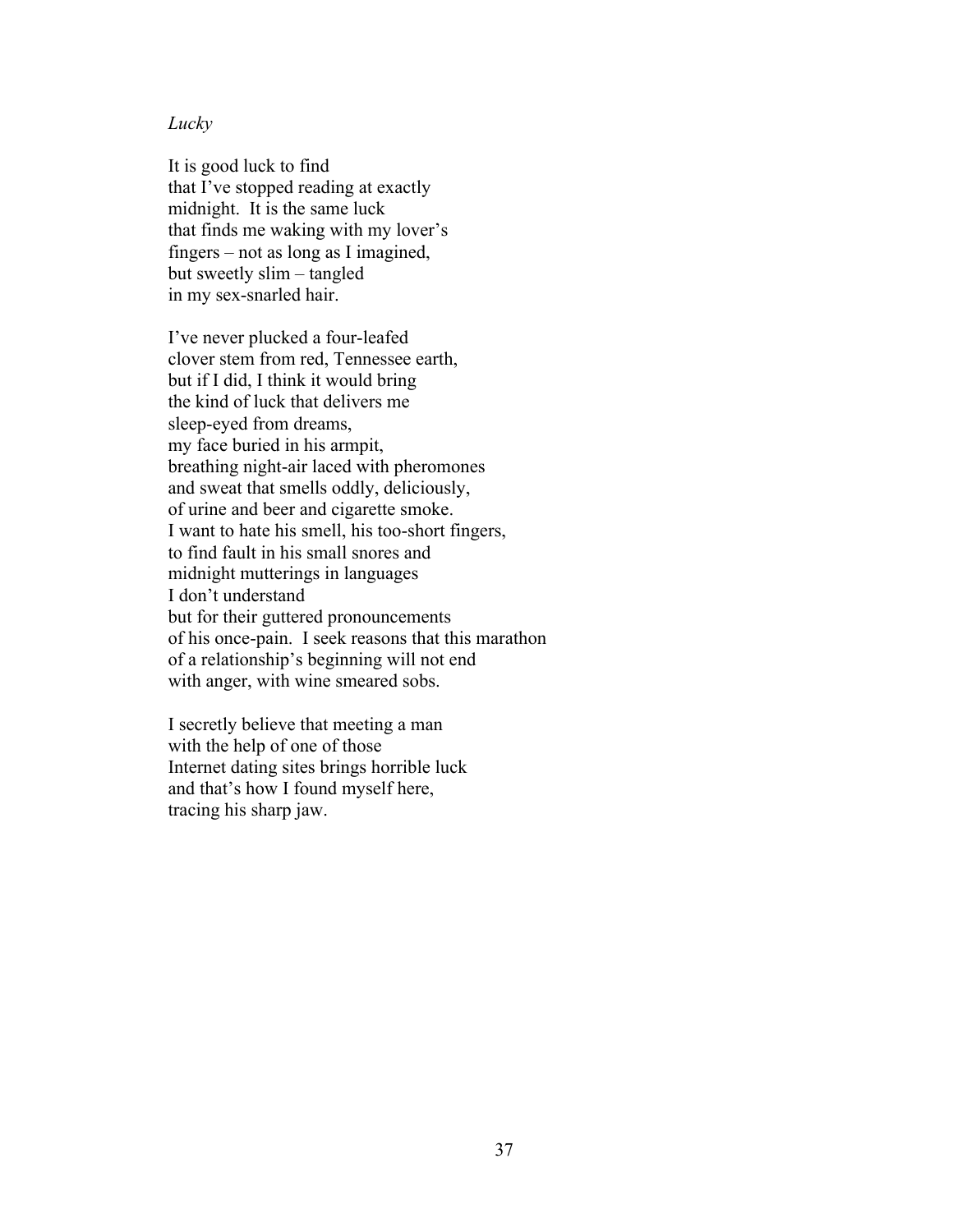### *Lucky*

It is good luck to find that I've stopped reading at exactly midnight. It is the same luck that finds me waking with my lover's fingers – not as long as I imagined, but sweetly slim – tangled in my sex-snarled hair.

I've never plucked a four-leafed clover stem from red, Tennessee earth, but if I did, I think it would bring the kind of luck that delivers me sleep-eyed from dreams, my face buried in his armpit, breathing night-air laced with pheromones and sweat that smells oddly, deliciously, of urine and beer and cigarette smoke. I want to hate his smell, his too-short fingers, to find fault in his small snores and midnight mutterings in languages I don't understand but for their guttered pronouncements of his once-pain. I seek reasons that this marathon of a relationship's beginning will not end with anger, with wine smeared sobs.

I secretly believe that meeting a man with the help of one of those Internet dating sites brings horrible luck and that's how I found myself here, tracing his sharp jaw.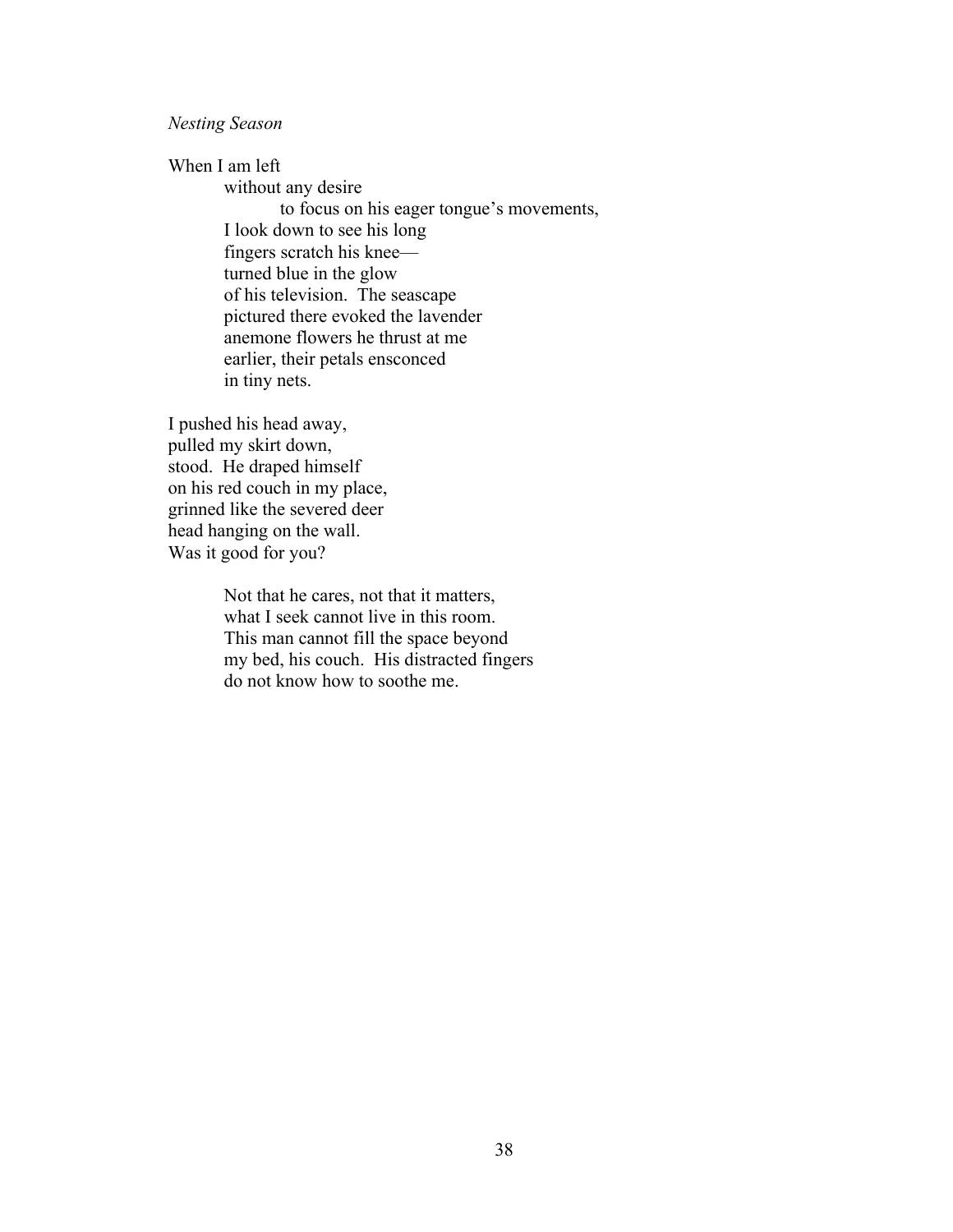*Nesting Season*

When I am left

without any desire to focus on his eager tongue's movements, I look down to see his long fingers scratch his knee turned blue in the glow of his television. The seascape pictured there evoked the lavender anemone flowers he thrust at me earlier, their petals ensconced in tiny nets.

I pushed his head away, pulled my skirt down, stood. He draped himself on his red couch in my place, grinned like the severed deer head hanging on the wall. Was it good for you?

> Not that he cares, not that it matters, what I seek cannot live in this room. This man cannot fill the space beyond my bed, his couch. His distracted fingers do not know how to soothe me.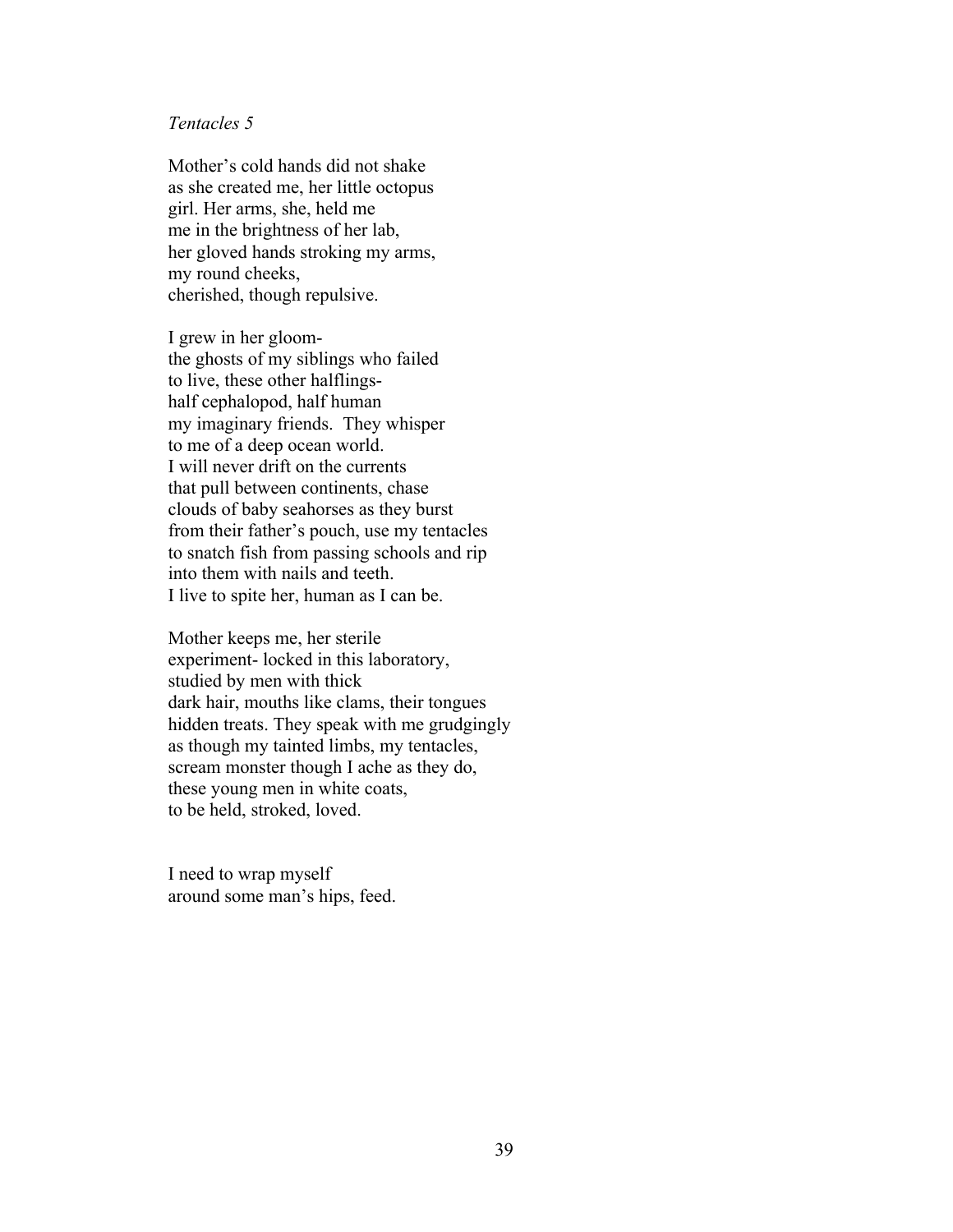### *Tentacles 5*

Mother's cold hands did not shake as she created me, her little octopus girl. Her arms, she, held me me in the brightness of her lab, her gloved hands stroking my arms, my round cheeks, cherished, though repulsive.

I grew in her gloomthe ghosts of my siblings who failed to live, these other halflingshalf cephalopod, half human my imaginary friends. They whisper to me of a deep ocean world. I will never drift on the currents that pull between continents, chase clouds of baby seahorses as they burst from their father's pouch, use my tentacles to snatch fish from passing schools and rip into them with nails and teeth. I live to spite her, human as I can be.

Mother keeps me, her sterile experiment- locked in this laboratory, studied by men with thick dark hair, mouths like clams, their tongues hidden treats. They speak with me grudgingly as though my tainted limbs, my tentacles, scream monster though I ache as they do, these young men in white coats, to be held, stroked, loved.

I need to wrap myself around some man's hips, feed.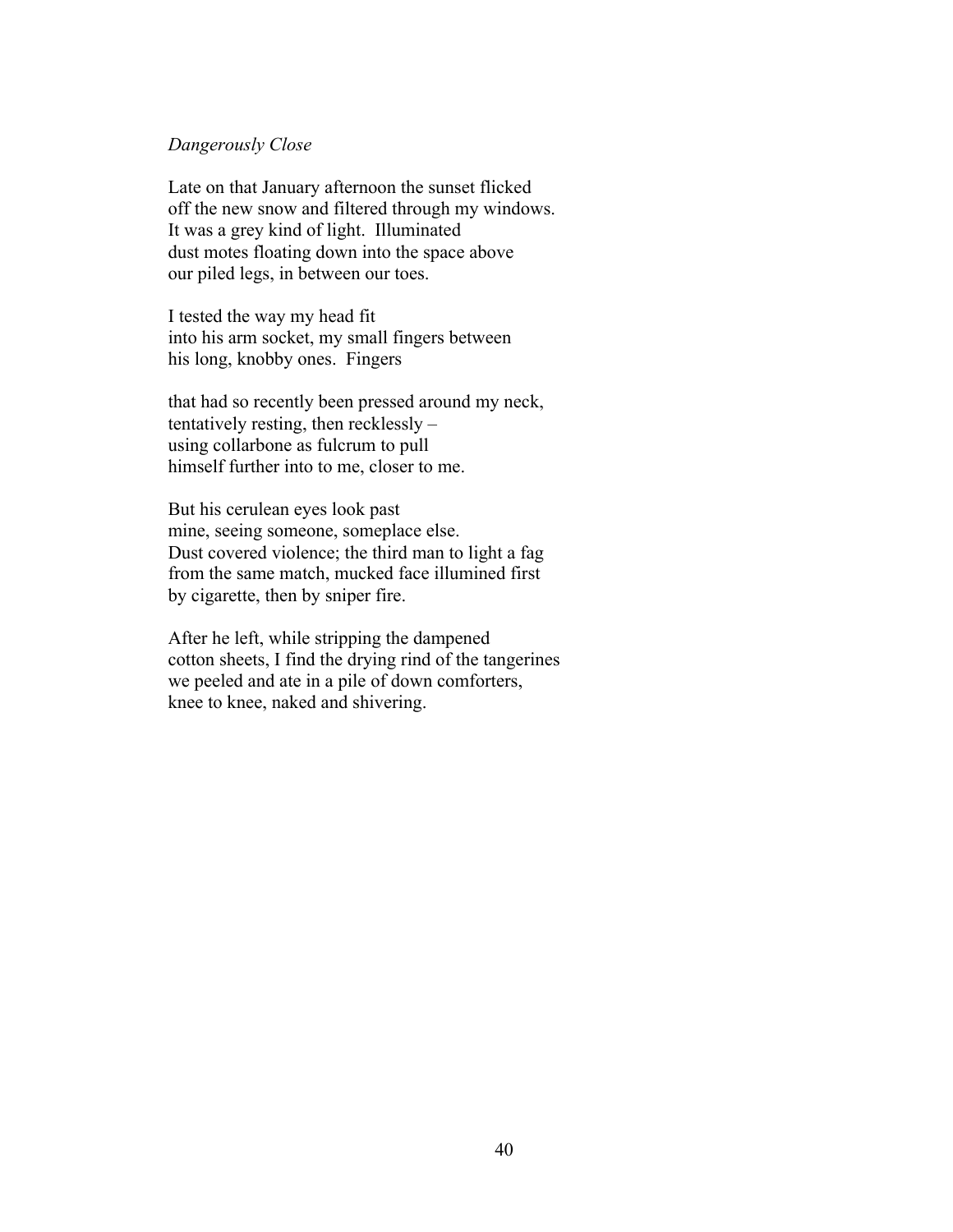### *Dangerously Close*

Late on that January afternoon the sunset flicked off the new snow and filtered through my windows. It was a grey kind of light. Illuminated dust motes floating down into the space above our piled legs, in between our toes.

I tested the way my head fit into his arm socket, my small fingers between his long, knobby ones. Fingers

that had so recently been pressed around my neck, tentatively resting, then recklessly – using collarbone as fulcrum to pull himself further into to me, closer to me.

But his cerulean eyes look past mine, seeing someone, someplace else. Dust covered violence; the third man to light a fag from the same match, mucked face illumined first by cigarette, then by sniper fire.

After he left, while stripping the dampened cotton sheets, I find the drying rind of the tangerines we peeled and ate in a pile of down comforters, knee to knee, naked and shivering.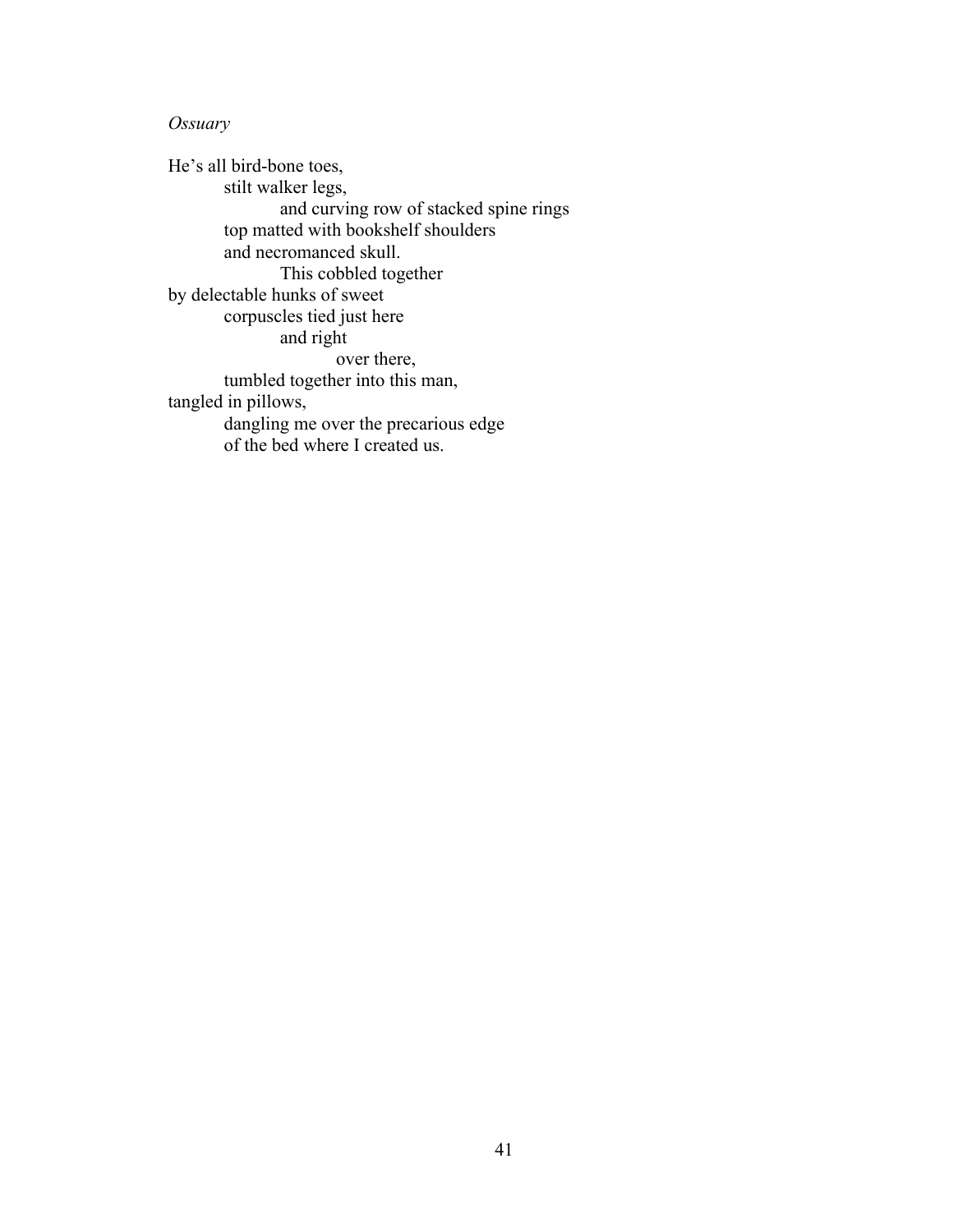# *Ossuary*

He's all bird-bone toes, stilt walker legs, and curving row of stacked spine rings top matted with bookshelf shoulders and necromanced skull. This cobbled together by delectable hunks of sweet corpuscles tied just here and right over there, tumbled together into this man, tangled in pillows, dangling me over the precarious edge of the bed where I created us.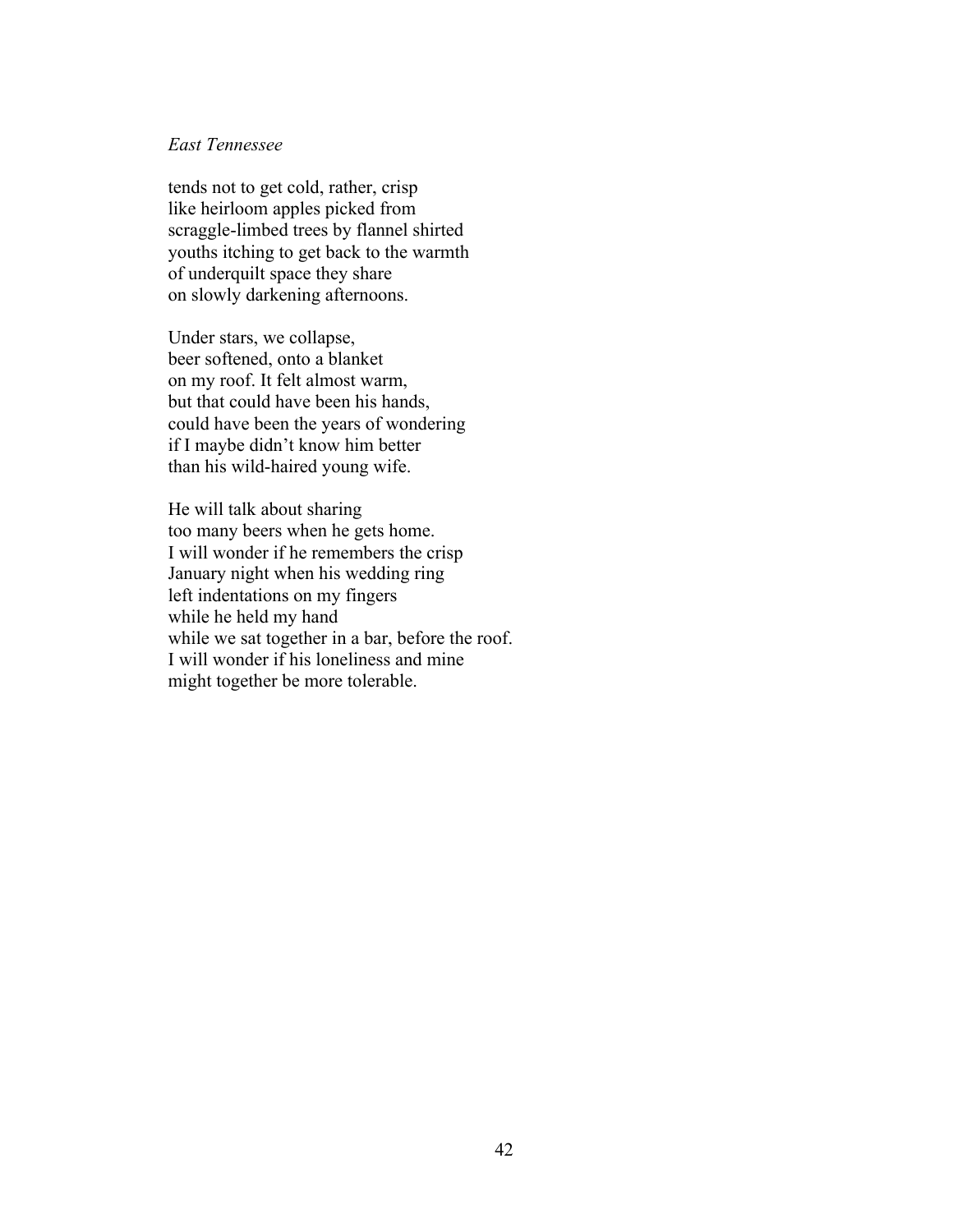### *East Tennessee*

tends not to get cold, rather, crisp like heirloom apples picked from scraggle-limbed trees by flannel shirted youths itching to get back to the warmth of underquilt space they share on slowly darkening afternoons.

Under stars, we collapse, beer softened, onto a blanket on my roof. It felt almost warm, but that could have been his hands, could have been the years of wondering if I maybe didn't know him better than his wild-haired young wife.

He will talk about sharing too many beers when he gets home. I will wonder if he remembers the crisp January night when his wedding ring left indentations on my fingers while he held my hand while we sat together in a bar, before the roof. I will wonder if his loneliness and mine might together be more tolerable.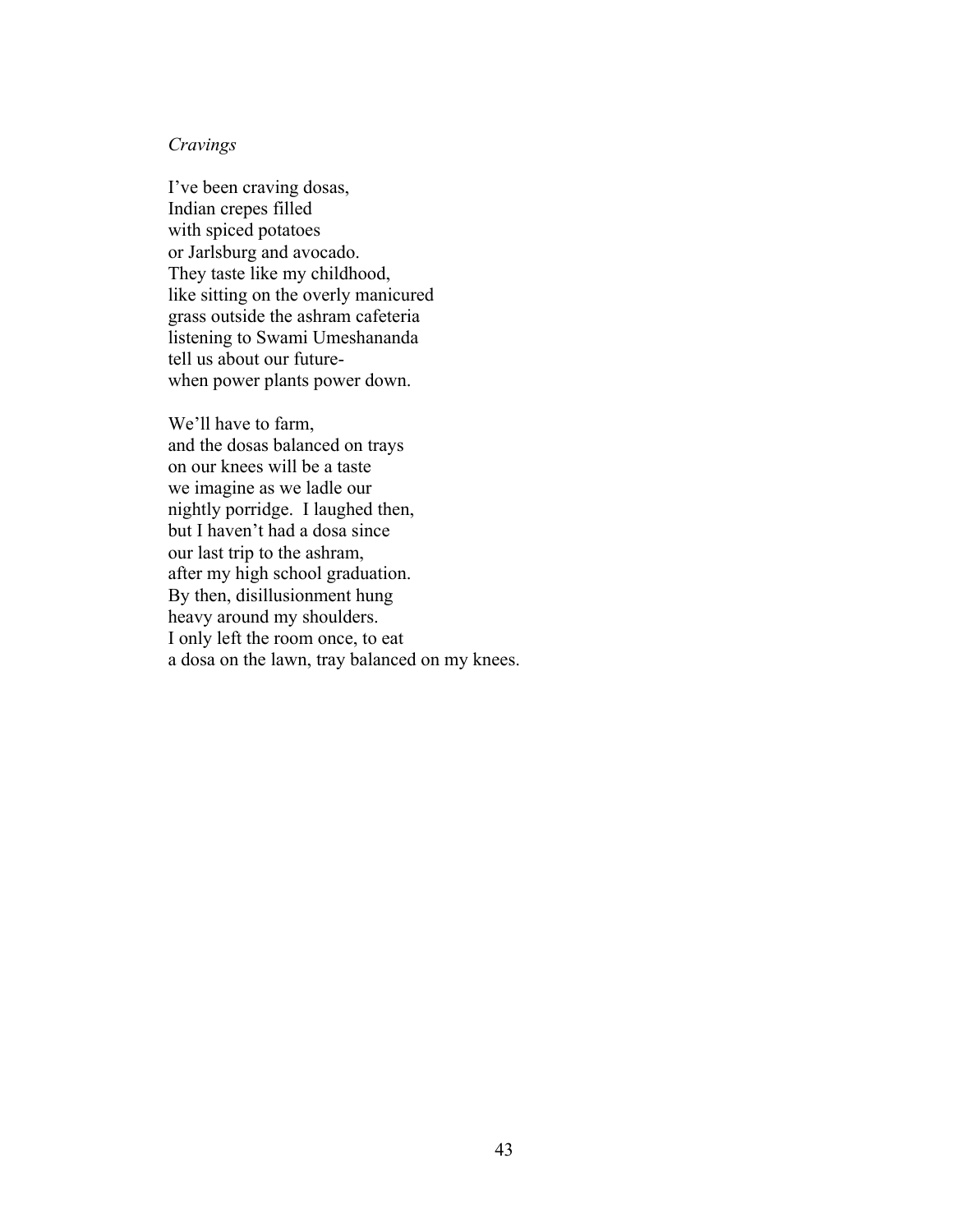### *Cravings*

I've been craving dosas, Indian crepes filled with spiced potatoes or Jarlsburg and avocado. They taste like my childhood, like sitting on the overly manicured grass outside the ashram cafeteria listening to Swami Umeshananda tell us about our futurewhen power plants power down.

We'll have to farm, and the dosas balanced on trays on our knees will be a taste we imagine as we ladle our nightly porridge. I laughed then, but I haven't had a dosa since our last trip to the ashram, after my high school graduation. By then, disillusionment hung heavy around my shoulders. I only left the room once, to eat a dosa on the lawn, tray balanced on my knees.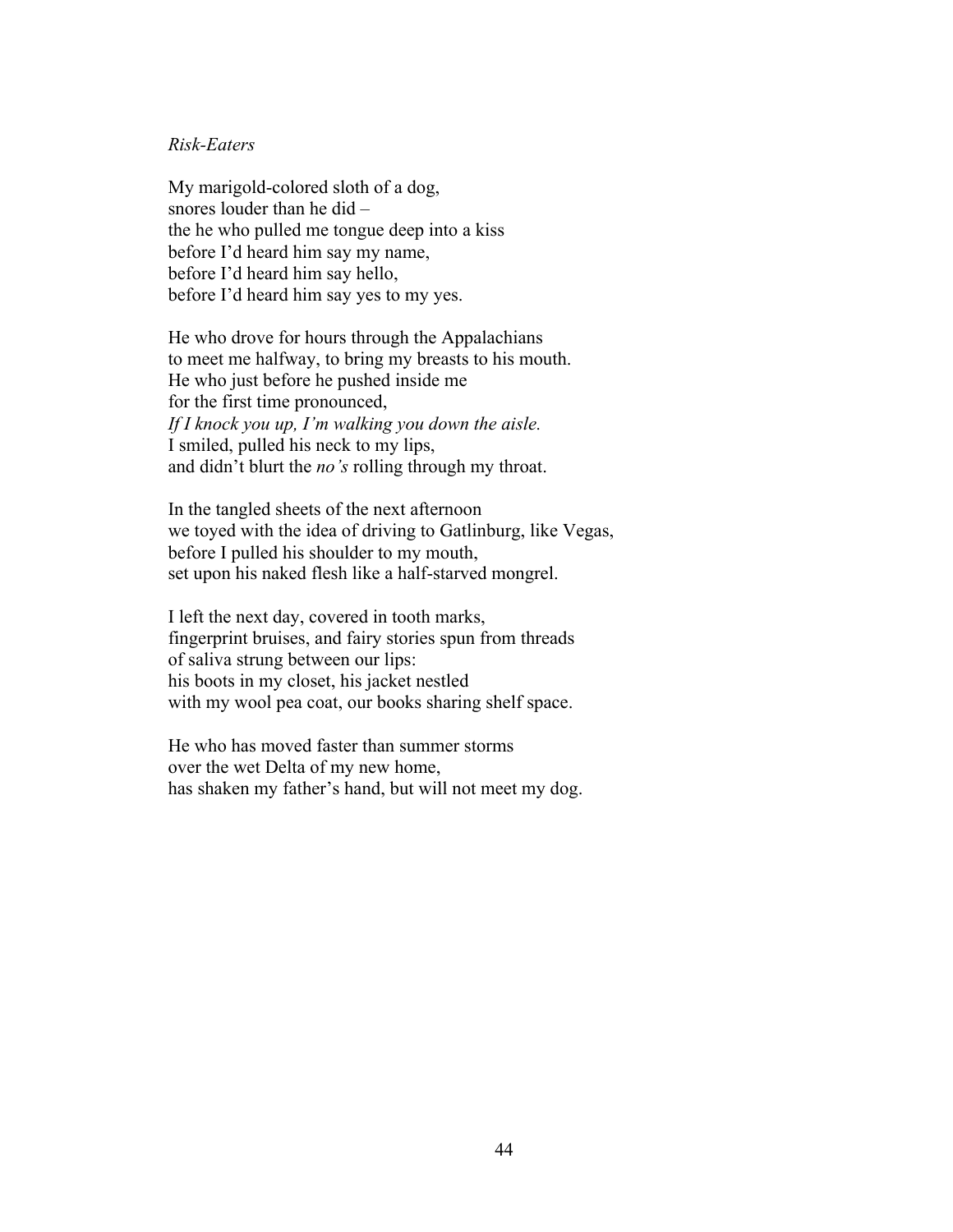### *Risk-Eaters*

My marigold-colored sloth of a dog, snores louder than he did – the he who pulled me tongue deep into a kiss before I'd heard him say my name, before I'd heard him say hello, before I'd heard him say yes to my yes.

He who drove for hours through the Appalachians to meet me halfway, to bring my breasts to his mouth. He who just before he pushed inside me for the first time pronounced, *If I knock you up, I'm walking you down the aisle.* I smiled, pulled his neck to my lips, and didn't blurt the *no's* rolling through my throat.

In the tangled sheets of the next afternoon we toyed with the idea of driving to Gatlinburg, like Vegas, before I pulled his shoulder to my mouth, set upon his naked flesh like a half-starved mongrel.

I left the next day, covered in tooth marks, fingerprint bruises, and fairy stories spun from threads of saliva strung between our lips: his boots in my closet, his jacket nestled with my wool pea coat, our books sharing shelf space.

He who has moved faster than summer storms over the wet Delta of my new home, has shaken my father's hand, but will not meet my dog.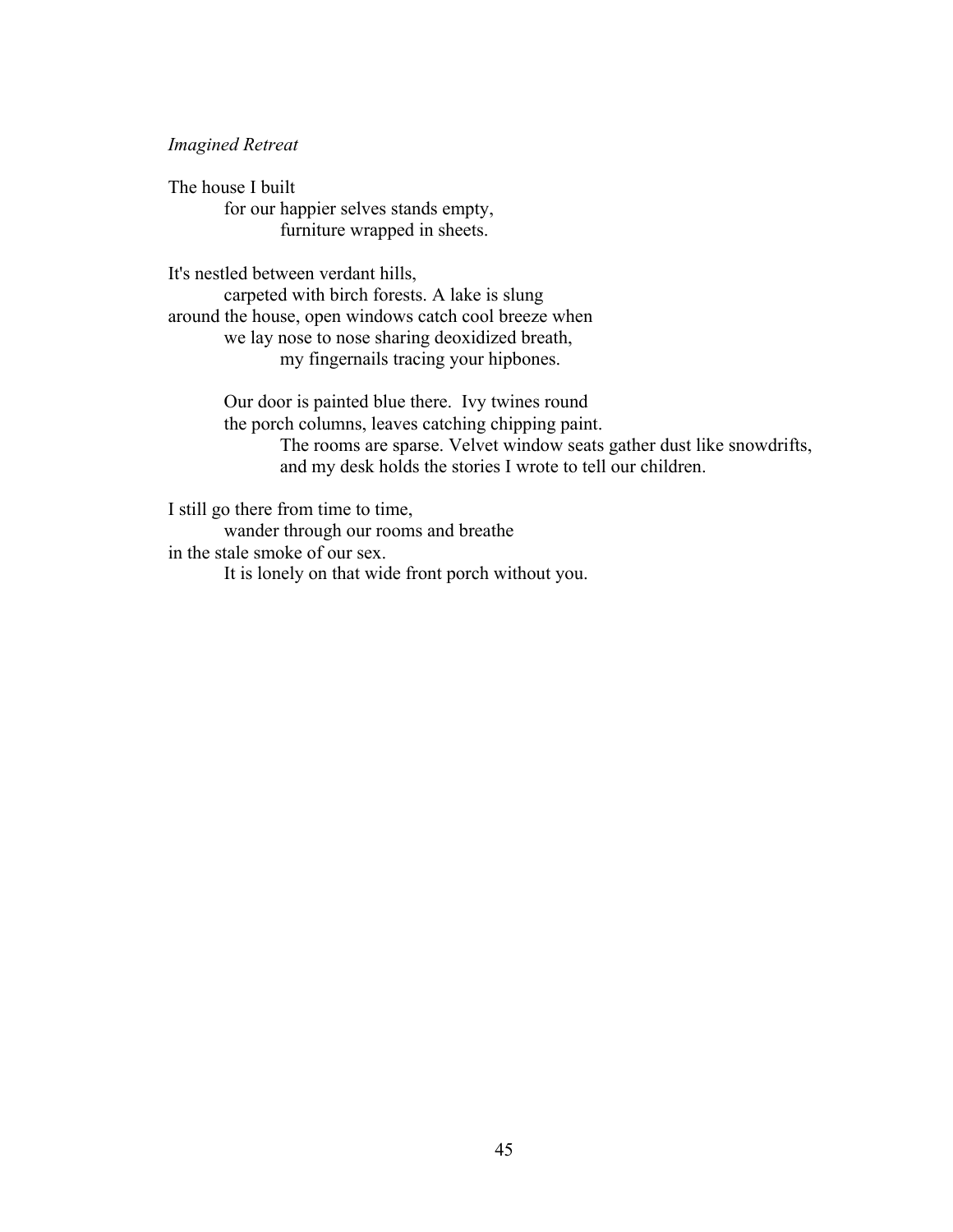### *Imagined Retreat*

The house I built for our happier selves stands empty, furniture wrapped in sheets.

It's nestled between verdant hills,

carpeted with birch forests. A lake is slung around the house, open windows catch cool breeze when we lay nose to nose sharing deoxidized breath, my fingernails tracing your hipbones.

> Our door is painted blue there. Ivy twines round the porch columns, leaves catching chipping paint. The rooms are sparse. Velvet window seats gather dust like snowdrifts, and my desk holds the stories I wrote to tell our children.

I still go there from time to time,

wander through our rooms and breathe in the stale smoke of our sex.

It is lonely on that wide front porch without you.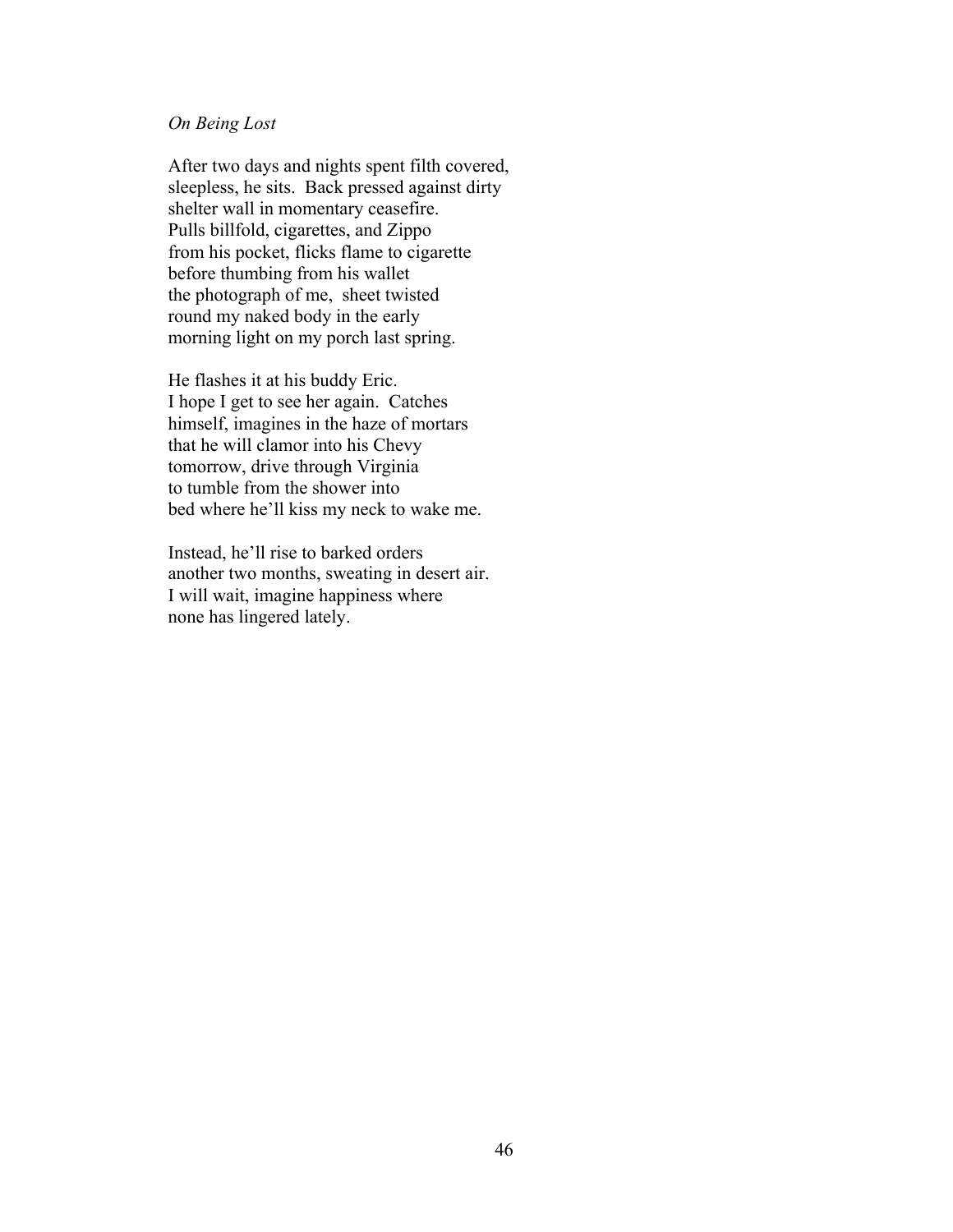### *On Being Lost*

After two days and nights spent filth covered, sleepless, he sits. Back pressed against dirty shelter wall in momentary ceasefire. Pulls billfold, cigarettes, and Zippo from his pocket, flicks flame to cigarette before thumbing from his wallet the photograph of me, sheet twisted round my naked body in the early morning light on my porch last spring.

He flashes it at his buddy Eric. I hope I get to see her again. Catches himself, imagines in the haze of mortars that he will clamor into his Chevy tomorrow, drive through Virginia to tumble from the shower into bed where he'll kiss my neck to wake me.

Instead, he'll rise to barked orders another two months, sweating in desert air. I will wait, imagine happiness where none has lingered lately.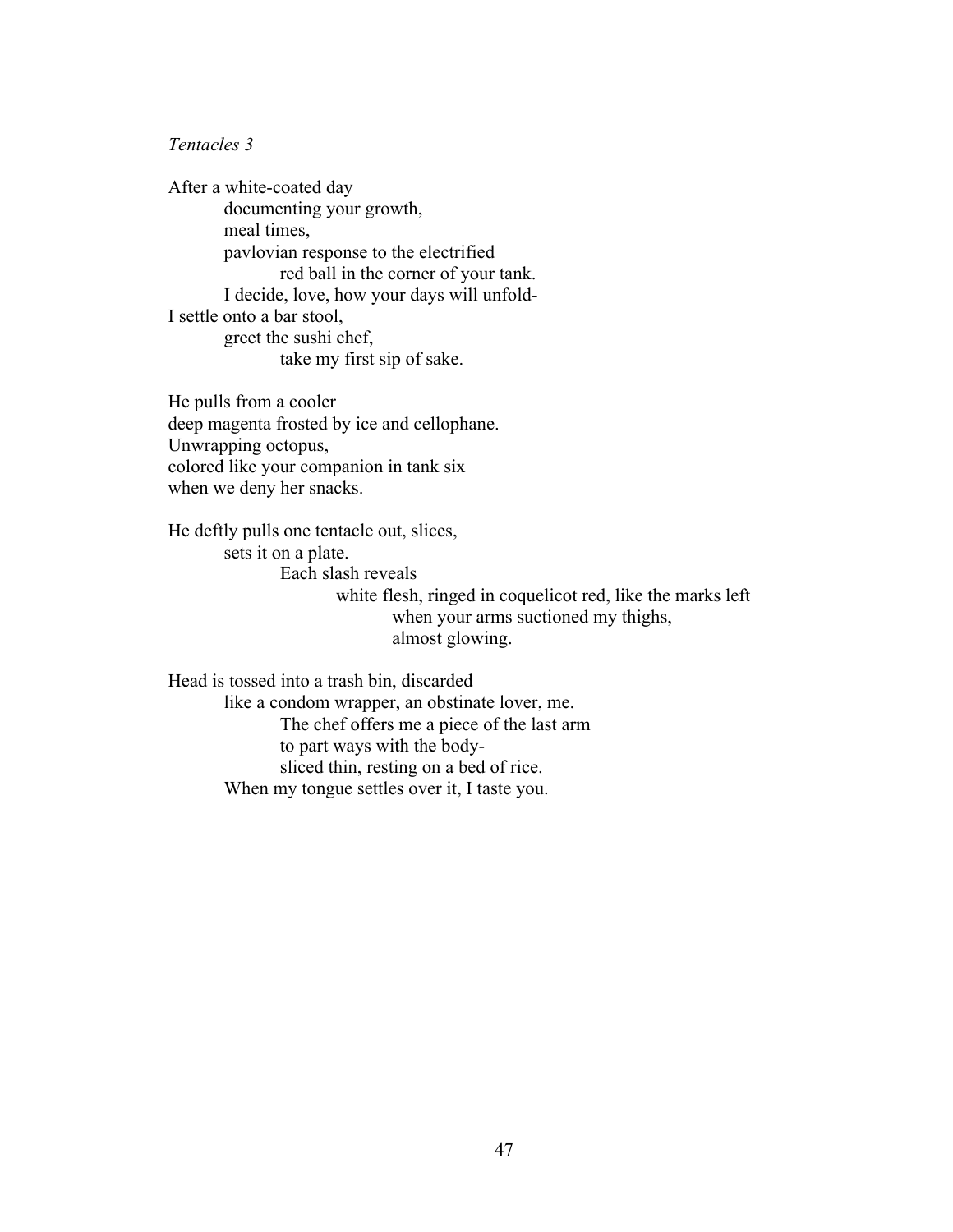### *Tentacles 3*

After a white-coated day documenting your growth, meal times, pavlovian response to the electrified red ball in the corner of your tank. I decide, love, how your days will unfold-I settle onto a bar stool, greet the sushi chef, take my first sip of sake.

He pulls from a cooler deep magenta frosted by ice and cellophane. Unwrapping octopus, colored like your companion in tank six when we deny her snacks.

He deftly pulls one tentacle out, slices, sets it on a plate. Each slash reveals white flesh, ringed in coquelicot red, like the marks left when your arms suctioned my thighs, almost glowing.

Head is tossed into a trash bin, discarded like a condom wrapper, an obstinate lover, me. The chef offers me a piece of the last arm to part ways with the bodysliced thin, resting on a bed of rice. When my tongue settles over it, I taste you.